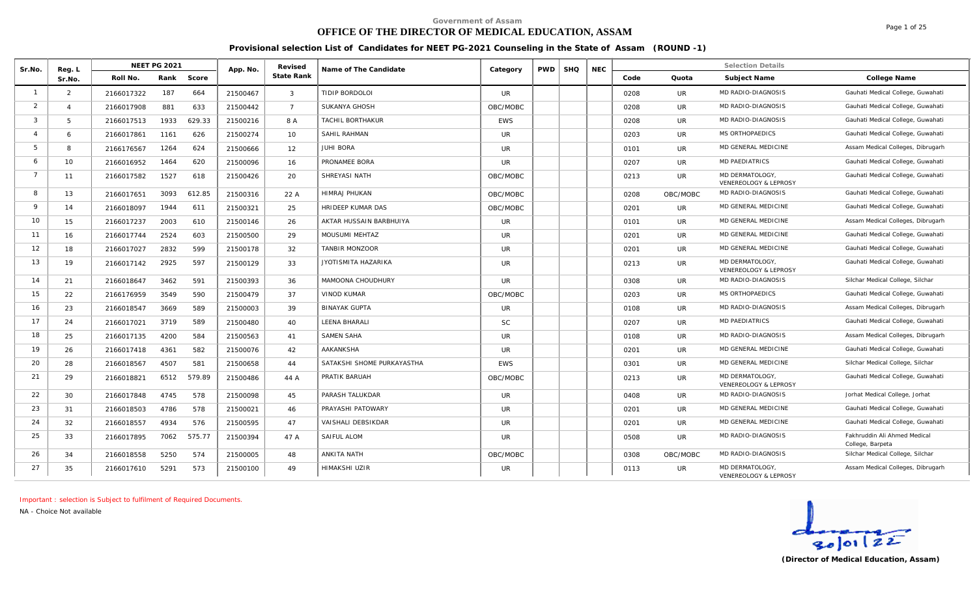# **OFFICE OF THE DIRECTOR OF MEDICAL EDUCATION, ASSAM**

Page 1 of 25

**Provisional selection List of Candidates for NEET PG-2021 Counseling in the State of Assam (ROUND -1)**

| Sr.No.         | Reg. L   |            | <b>NEET PG 2021</b> |        | App. No. | Revised        | Name of The Candidate      |            | PWD | <b>SHQ</b> | <b>NEC</b> |      |           | <b>Selection Details</b>                 |                                                  |
|----------------|----------|------------|---------------------|--------|----------|----------------|----------------------------|------------|-----|------------|------------|------|-----------|------------------------------------------|--------------------------------------------------|
|                | Sr.No.   | Roll No.   | Rank                | Score  |          | State Rank     |                            | Category   |     |            |            | Code | Quota     | Subject Name                             | College Name                                     |
|                | 2        | 2166017322 | 187                 | 664    | 21500467 | $\mathbf{3}$   | TIDIP BORDOLOI             | UR.        |     |            |            | 0208 | UR        | MD RADIO-DIAGNOSIS                       | Gauhati Medical College, Guwahati                |
| 2              | $\Delta$ | 2166017908 | 881                 | 633    | 21500442 | $\overline{7}$ | SUKANYA GHOSH              | OBC/MOBC   |     |            |            | 0208 | UR        | MD RADIO-DIAGNOSIS                       | Gauhati Medical College, Guwahati                |
| $\overline{3}$ | 5        | 2166017513 | 1933                | 629.33 | 21500216 | 8 A            | TACHIL BORTHAKUR           | <b>EWS</b> |     |            |            | 0208 | UR.       | MD RADIO-DIAGNOSIS                       | Gauhati Medical College, Guwahati                |
| $\overline{4}$ | 6        | 2166017861 | 1161                | 626    | 21500274 | 10             | <b>SAHIL RAHMAN</b>        | UR.        |     |            |            | 0203 | UR.       | MS ORTHOPAEDICS                          | Gauhati Medical College, Guwahati                |
| 5              | 8        | 2166176567 | 1264                | 624    | 21500666 | 12             | <b>JUHI BORA</b>           | <b>UR</b>  |     |            |            | 0101 | <b>UR</b> | MD GENERAL MEDICINE                      | Assam Medical Colleges, Dibrugarh                |
| 6              | 10       | 2166016952 | 1464                | 620    | 21500096 | 16             | PRONAMEE BORA              | <b>UR</b>  |     |            |            | 0207 | UR        | <b>MD PAEDIATRICS</b>                    | Gauhati Medical College, Guwahati                |
| $\overline{7}$ | 11       | 2166017582 | 1527                | 618    | 21500426 | 20             | SHREYASI NATH              | OBC/MOBC   |     |            |            | 0213 | UR        | MD DERMATOLOGY<br>VENEREOLOGY & LEPROSY  | Gauhati Medical College, Guwahati                |
| 8              | 13       | 2166017651 | 3093                | 612.85 | 21500316 | 22 A           | <b>HIMRAJ PHUKAN</b>       | OBC/MOBC   |     |            |            | 0208 | OBC/MOBC  | MD RADIO-DIAGNOSIS                       | Gauhati Medical College, Guwahati                |
| 9              | 14       | 2166018097 | 1944                | 611    | 21500321 | 25             | <b>HRIDEEP KUMAR DAS</b>   | OBC/MOBC   |     |            |            | 0201 | UR        | MD GENERAL MEDICINE                      | Gauhati Medical College, Guwahati                |
| 10             | 15       | 2166017237 | 2003                | 610    | 21500146 | 26             | AKTAR HUSSAIN BARBHUIYA    | UR.        |     |            |            | 0101 | UR        | MD GENERAL MEDICINE                      | Assam Medical Colleges, Dibrugarh                |
| 11             | 16       | 2166017744 | 2524                | 603    | 21500500 | 29             | MOUSUMI MEHTAZ             | UR.        |     |            |            | 0201 | UR.       | MD GENERAL MEDICINE                      | Gauhati Medical College, Guwahati                |
| 12             | 18       | 2166017027 | 2832                | 599    | 21500178 | 32             | TANBIR MONZOOR             | UR.        |     |            |            | 0201 | UR.       | MD GENERAL MEDICINE                      | Gauhati Medical College, Guwahati                |
| 13             | 19       | 2166017142 | 2925                | 597    | 21500129 | 33             | JYOTISMITA HAZARIKA        | <b>UR</b>  |     |            |            | 0213 | UR        | MD DERMATOLOGY,<br>VENEREOLOGY & LEPROSY | Gauhati Medical College, Guwahati                |
| 14             | 21       | 2166018647 | 3462                | 591    | 21500393 | 36             | MAMOONA CHOUDHURY          | <b>UR</b>  |     |            |            | 0308 | UR        | MD RADIO-DIAGNOSIS                       | Silchar Medical College, Silchar                 |
| 15             | 22       | 2166176959 | 3549                | 590    | 21500479 | 37             | <b>VINOD KUMAR</b>         | OBC/MOBC   |     |            |            | 0203 | UR        | MS ORTHOPAEDICS                          | Gauhati Medical College, Guwahati                |
| 16             | 23       | 2166018547 | 3669                | 589    | 21500003 | 39             | <b>BINAYAK GUPTA</b>       | <b>UR</b>  |     |            |            | 0108 | UR        | MD RADIO-DIAGNOSIS                       | Assam Medical Colleges, Dibrugarh                |
| 17             | 24       | 2166017021 | 3719                | 589    | 21500480 | 40             | LEENA BHARALI              | <b>SC</b>  |     |            |            | 0207 | UR.       | <b>MD PAEDIATRICS</b>                    | Gauhati Medical College, Guwahati                |
| 18             | 25       | 2166017135 | 4200                | 584    | 21500563 | 41             | <b>SAMEN SAHA</b>          | UR.        |     |            |            | 0108 | UR.       | MD RADIO-DIAGNOSIS                       | Assam Medical Colleges, Dibrugarh                |
| 19             | 26       | 2166017418 | 4361                | 582    | 21500076 | 42             | <b>AAKANKSHA</b>           | UR.        |     |            |            | 0201 | UR        | <b>MD GENERAL MEDICINE</b>               | Gauhati Medical College, Guwahati                |
| 20             | 28       | 2166018567 | 4507                | 581    | 21500658 | 44             | SATAKSHI SHOME PURKAYASTHA | <b>EWS</b> |     |            |            | 0301 | UR.       | MD GENERAL MEDICINE                      | Silchar Medical College, Silchar                 |
| 21             | 29       | 2166018821 | 6512                | 579.89 | 21500486 | 44 A           | PRATIK BARUAH              | OBC/MOBC   |     |            |            | 0213 | UR        | MD DERMATOLOGY,<br>VENEREOLOGY & LEPROSY | Gauhati Medical College, Guwahati                |
| 22             | 30       | 2166017848 | 4745                | 578    | 21500098 | 45             | PARASH TALUKDAR            | <b>UR</b>  |     |            |            | 0408 | UR        | MD RADIO-DIAGNOSIS                       | Jorhat Medical College, Jorhat                   |
| 23             | 31       | 2166018503 | 4786                | 578    | 21500021 | 46             | PRAYASHI PATOWARY          | UR.        |     |            |            | 0201 | UR        | MD GENERAL MEDICINE                      | Gauhati Medical College, Guwahati                |
| 24             | 32       | 2166018557 | 4934                | 576    | 21500595 | 47             | VAISHALI DEBSIKDAR         | <b>UR</b>  |     |            |            | 0201 | UR.       | MD GENERAL MEDICINE                      | Gauhati Medical College, Guwahati                |
| 25             | 33       | 2166017895 | 7062                | 575.77 | 21500394 | 47 A           | SAIFUL ALOM                | UR.        |     |            |            | 0508 | UR.       | MD RADIO-DIAGNOSIS                       | Fakhruddin Ali Ahmed Medical<br>College, Barpeta |
| 26             | 34       | 2166018558 | 5250                | 574    | 21500005 | 48             | ANKITA NATH                | OBC/MOBC   |     |            |            | 0308 | OBC/MOBC  | MD RADIO-DIAGNOSIS                       | Silchar Medical College, Silchar                 |
| 27             | 35       | 2166017610 | 5291                | 573    | 21500100 | 49             | HIMAKSHI UZIR              | UR.        |     |            |            | 0113 | UR        | MD DERMATOLOGY.<br>VENEREOLOGY & LEPROSY | Assam Medical Colleges, Dibrugarh                |

*Important : selection is Subject to fulfilment of Required Documents.*

*NA - Choice Not available*

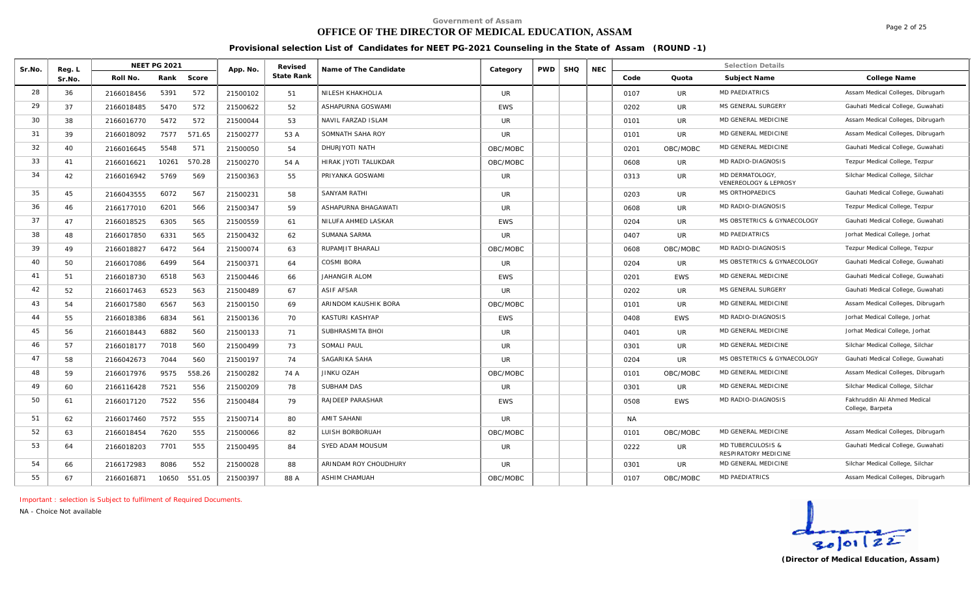# **OFFICE OF THE DIRECTOR OF MEDICAL EDUCATION, ASSAM**

**Provisional selection List of Candidates for NEET PG-2021 Counseling in the State of Assam (ROUND -1)**

| Sr.No. | Reg. L |            | <b>NEET PG 2021</b> |        | App. No. | Revised    | Name of The Candidate | Category   | <b>PWD</b> | <b>SHQ</b> | <b>NEC</b> |      |            | <b>Selection Details</b>                             |                                                  |
|--------|--------|------------|---------------------|--------|----------|------------|-----------------------|------------|------------|------------|------------|------|------------|------------------------------------------------------|--------------------------------------------------|
|        | Sr.No. | Roll No.   | Rank                | Score  |          | State Rank |                       |            |            |            |            | Code | Quota      | Subject Name                                         | College Name                                     |
| 28     | 36     | 2166018456 | 5391                | 572    | 21500102 | 51         | NILESH KHAKHOLIA      | UR.        |            |            |            | 0107 | UR         | <b>MD PAEDIATRICS</b>                                | Assam Medical Colleges, Dibrugarh                |
| 29     | 37     | 2166018485 | 5470                | 572    | 21500622 | 52         | ASHAPURNA GOSWAMI     | <b>EWS</b> |            |            |            | 0202 | UR         | MS GENERAL SURGERY                                   | Gauhati Medical College, Guwahati                |
| 30     | 38     | 2166016770 | 5472                | 572    | 21500044 | 53         | NAVIL FARZAD ISLAM    | <b>UR</b>  |            |            |            | 0101 | UR         | MD GENERAL MEDICINE                                  | Assam Medical Colleges, Dibrugarh                |
| 31     | 39     | 2166018092 | 7577                | 571.65 | 21500277 | 53 A       | SOMNATH SAHA ROY      | UR.        |            |            |            | 0101 | UR.        | MD GENERAL MEDICINE                                  | Assam Medical Colleges, Dibrugarh                |
| 32     | 40     | 2166016645 | 5548                | 571    | 21500050 | 54         | DHURJYOTI NATH        | OBC/MOBC   |            |            |            | 0201 | OBC/MOBC   | MD GENERAL MEDICINE                                  | Gauhati Medical College, Guwahati                |
| 33     | 41     | 2166016621 | 10261               | 570.28 | 21500270 | 54 A       | HIRAK JYOTI TALUKDAR  | OBC/MOBC   |            |            |            | 0608 | UR.        | MD RADIO-DIAGNOSIS                                   | Tezpur Medical College, Tezpur                   |
| 34     | 42     | 2166016942 | 5769                | 569    | 21500363 | 55         | PRIYANKA GOSWAMI      | UR.        |            |            |            | 0313 | UR         | MD DERMATOLOGY,<br>VENEREOLOGY & LEPROSY             | Silchar Medical College, Silchar                 |
| 35     | 45     | 2166043555 | 6072                | 567    | 21500231 | 58         | <b>SANYAM RATHI</b>   | UR.        |            |            |            | 0203 | <b>UR</b>  | MS ORTHOPAEDICS                                      | Gauhati Medical College, Guwahati                |
| 36     | 46     | 2166177010 | 6201                | 566    | 21500347 | 59         | ASHAPURNA BHAGAWATI   | UR.        |            |            |            | 0608 | UR.        | MD RADIO-DIAGNOSIS                                   | Tezpur Medical College, Tezpur                   |
| 37     | 47     | 2166018525 | 6305                | 565    | 21500559 | 61         | NILUFA AHMED LASKAR   | <b>EWS</b> |            |            |            | 0204 | UR         | MS OBSTETRICS & GYNAECOLOGY                          | Gauhati Medical College, Guwahati                |
| 38     | 48     | 2166017850 | 6331                | 565    | 21500432 | 62         | SUMANA SARMA          | UR.        |            |            |            | 0407 | UR         | <b>MD PAEDIATRICS</b>                                | Jorhat Medical College, Jorhat                   |
| 39     | 49     | 2166018827 | 6472                | 564    | 21500074 | 63         | RUPAMJIT BHARALI      | OBC/MOBC   |            |            |            | 0608 | OBC/MOBC   | MD RADIO-DIAGNOSIS                                   | Tezpur Medical College, Tezpur                   |
| 40     | 50     | 2166017086 | 6499                | 564    | 21500371 | 64         | COSMI BORA            | UR.        |            |            |            | 0204 | UR         | MS OBSTETRICS & GYNAECOLOGY                          | Gauhati Medical College, Guwahati                |
| 41     | 51     | 2166018730 | 6518                | 563    | 21500446 | 66         | <b>JAHANGIR ALOM</b>  | <b>EWS</b> |            |            |            | 0201 | <b>EWS</b> | MD GENERAL MEDICINE                                  | Gauhati Medical College, Guwahati                |
| 42     | 52     | 2166017463 | 6523                | 563    | 21500489 | 67         | <b>ASIF AFSAR</b>     | <b>UR</b>  |            |            |            | 0202 | UR         | MS GENERAL SURGERY                                   | Gauhati Medical College, Guwahati                |
| 43     | 54     | 2166017580 | 6567                | 563    | 21500150 | 69         | ARINDOM KAUSHIK BORA  | OBC/MOBC   |            |            |            | 0101 | UR         | MD GENERAL MEDICINE                                  | Assam Medical Colleges, Dibrugarh                |
| 44     | 55     | 2166018386 | 6834                | 561    | 21500136 | 70         | KASTURI KASHYAP       | <b>EWS</b> |            |            |            | 0408 | <b>EWS</b> | MD RADIO-DIAGNOSIS                                   | Jorhat Medical College, Jorhat                   |
| 45     | 56     | 2166018443 | 6882                | 560    | 21500133 | 71         | SUBHRASMITA BHOI      | <b>UR</b>  |            |            |            | 0401 | UR         | MD GENERAL MEDICINE                                  | Jorhat Medical College, Jorhat                   |
| 46     | 57     | 2166018177 | 7018                | 560    | 21500499 | 73         | SOMALI PAUL           | UR.        |            |            |            | 0301 | UR.        | MD GENERAL MEDICINE                                  | Silchar Medical College, Silchar                 |
| 47     | 58     | 2166042673 | 7044                | 560    | 21500197 | 74         | SAGARIKA SAHA         | <b>UR</b>  |            |            |            | 0204 | UR         | MS OBSTETRICS & GYNAECOLOGY                          | Gauhati Medical College, Guwahati                |
| 48     | 59     | 2166017976 | 9575                | 558.26 | 21500282 | 74 A       | JINKU OZAH            | OBC/MOBC   |            |            |            | 0101 | OBC/MOBC   | MD GENERAL MEDICINE                                  | Assam Medical Colleges, Dibrugarh                |
| 49     | 60     | 2166116428 | 7521                | 556    | 21500209 | 78         | SUBHAM DAS            | <b>UR</b>  |            |            |            | 0301 | <b>UR</b>  | MD GENERAL MEDICINE                                  | Silchar Medical College, Silchar                 |
| 50     | 61     | 2166017120 | 7522                | 556    | 21500484 | 79         | RAJDEEP PARASHAR      | <b>EWS</b> |            |            |            | 0508 | <b>EWS</b> | MD RADIO-DIAGNOSIS                                   | Fakhruddin Ali Ahmed Medical<br>College, Barpeta |
| 51     | 62     | 2166017460 | 7572                | 555    | 21500714 | 80         | <b>AMIT SAHANI</b>    | <b>UR</b>  |            |            |            | NA   |            |                                                      |                                                  |
| 52     | 63     | 2166018454 | 7620                | 555    | 21500066 | 82         | LUISH BORBORUAH       | OBC/MOBC   |            |            |            | 0101 | OBC/MOBC   | MD GENERAL MEDICINE                                  | Assam Medical Colleges, Dibrugarh                |
| 53     | 64     | 2166018203 | 7701                | 555    | 21500495 | 84         | SYED ADAM MOUSUM      | <b>UR</b>  |            |            |            | 0222 | UR         | <b>MD TUBERCULOSIS &amp;</b><br>RESPIRATORY MEDICINE | Gauhati Medical College, Guwahati                |
| 54     | 66     | 2166172983 | 8086                | 552    | 21500028 | 88         | ARINDAM ROY CHOUDHURY | UR.        |            |            |            | 0301 | UR         | MD GENERAL MEDICINE                                  | Silchar Medical College, Silchar                 |
| 55     | 67     | 2166016871 | 10650               | 551.05 | 21500397 | 88 A       | ASHIM CHAMUAH         | OBC/MOBC   |            |            |            | 0107 | OBC/MOBC   | <b>MD PAEDIATRICS</b>                                | Assam Medical Colleges, Dibrugarh                |

*Important : selection is Subject to fulfilment of Required Documents.*

*NA - Choice Not available*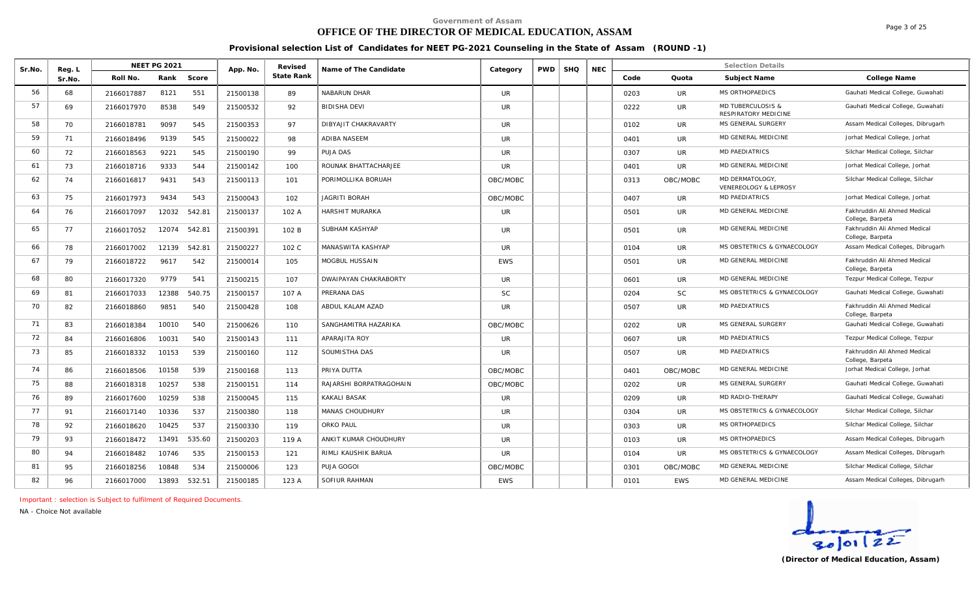# **OFFICE OF THE DIRECTOR OF MEDICAL EDUCATION, ASSAM**

**Provisional selection List of Candidates for NEET PG-2021 Counseling in the State of Assam (ROUND -1)**

| Sr.No. | Reg. L |            | <b>NEET PG 2021</b> |        | App. No. | Revised    | Name of The Candidate   | Category   | <b>PWD</b> | <b>SHQ</b> | <b>NEC</b> |      |            | <b>Selection Details</b>                                    |                                                  |
|--------|--------|------------|---------------------|--------|----------|------------|-------------------------|------------|------------|------------|------------|------|------------|-------------------------------------------------------------|--------------------------------------------------|
|        | Sr.No. | Roll No.   | Rank                | Score  |          | State Rank |                         |            |            |            |            | Code | Quota      | Subject Name                                                | College Name                                     |
| 56     | 68     | 2166017887 | 8121                | 551    | 21500138 | 89         | NABARUN DHAR            | UR.        |            |            |            | 0203 | UR         | MS ORTHOPAEDICS                                             | Gauhati Medical College, Guwahati                |
| 57     | 69     | 2166017970 | 8538                | 549    | 21500532 | 92         | <b>BIDISHA DEVI</b>     | <b>UR</b>  |            |            |            | 0222 | <b>UR</b>  | <b>MD TUBERCULOSIS &amp;</b><br><b>RESPIRATORY MEDICINE</b> | Gauhati Medical College, Guwahati                |
| 58     | 70     | 2166018781 | 9097                | 545    | 21500353 | 97         | DIBYAJIT CHAKRAVARTY    | UR.        |            |            |            | 0102 | UR         | MS GENERAL SURGERY                                          | Assam Medical Colleges, Dibrugarh                |
| 59     | 71     | 2166018496 | 9139                | 545    | 21500022 | 98         | ADIBA NASEEM            | <b>UR</b>  |            |            |            | 0401 | <b>UR</b>  | MD GENERAL MEDICINE                                         | Jorhat Medical College, Jorhat                   |
| 60     | 72     | 2166018563 | 9221                | 545    | 21500190 | 99         | <b>PUJA DAS</b>         | UR.        |            |            |            | 0307 | UR         | <b>MD PAEDIATRICS</b>                                       | Silchar Medical College, Silchar                 |
| 61     | 73     | 2166018716 | 9333                | 544    | 21500142 | 100        | ROUNAK BHATTACHARJEE    | UR.        |            |            |            | 0401 | UR         | MD GENERAL MEDICINE                                         | Jorhat Medical College, Jorhat                   |
| 62     | 74     | 2166016817 | 9431                | 543    | 21500113 | 101        | PORIMOLLIKA BORUAH      | OBC/MOBC   |            |            |            | 0313 | OBC/MOBC   | MD DERMATOLOGY<br>VENEREOLOGY & LEPROSY                     | Silchar Medical College, Silchar                 |
| 63     | 75     | 2166017973 | 9434                | 543    | 21500043 | 102        | <b>JAGRITI BORAH</b>    | OBC/MOBC   |            |            |            | 0407 | UR         | <b>MD PAEDIATRICS</b>                                       | Jorhat Medical College, Jorhat                   |
| 64     | 76     | 2166017097 | 12032               | 542.81 | 21500137 | 102 A      | <b>HARSHIT MURARKA</b>  | UR.        |            |            |            | 0501 | <b>UR</b>  | MD GENERAL MEDICINE                                         | Fakhruddin Ali Ahmed Medical<br>College, Barpeta |
| 65     | 77     | 2166017052 | 12074               | 542.81 | 21500391 | 102 B      | SUBHAM KASHYAP          | <b>UR</b>  |            |            |            | 0501 | UR         | MD GENERAL MEDICINE                                         | Fakhruddin Ali Ahmed Medical<br>College, Barpeta |
| 66     | 78     | 2166017002 | 12139               | 542.81 | 21500227 | 102 C      | MANASWITA KASHYAP       | UR.        |            |            |            | 0104 | UR         | MS OBSTETRICS & GYNAECOLOGY                                 | Assam Medical Colleges, Dibrugarh                |
| 67     | 79     | 2166018722 | 9617                | 542    | 21500014 | 105        | MOGBUL HUSSAIN          | <b>EWS</b> |            |            |            | 0501 | UR         | MD GENERAL MEDICINE                                         | Fakhruddin Ali Ahmed Medical<br>College, Barpeta |
| 68     | 80     | 2166017320 | 9779                | 541    | 21500215 | 107        | DWAIPAYAN CHAKRABORTY   | <b>UR</b>  |            |            |            | 0601 | UR         | MD GENERAL MEDICINE                                         | Tezpur Medical College, Tezpur                   |
| 69     | 81     | 2166017033 | 12388               | 540.75 | 21500157 | 107 A      | PRERANA DAS             | <b>SC</b>  |            |            |            | 0204 | SC         | MS OBSTETRICS & GYNAECOLOGY                                 | Gauhati Medical College, Guwahati                |
| 70     | 82     | 2166018860 | 9851                | 540    | 21500428 | 108        | ABDUL KALAM AZAD        | <b>UR</b>  |            |            |            | 0507 | <b>UR</b>  | <b>MD PAEDIATRICS</b>                                       | Fakhruddin Ali Ahmed Medical<br>College, Barpeta |
| 71     | 83     | 2166018384 | 10010               | 540    | 21500626 | 110        | SANGHAMITRA HAZARIKA    | OBC/MOBC   |            |            |            | 0202 | UR         | MS GENERAL SURGERY                                          | Gauhati Medical College, Guwahati                |
| 72     | 84     | 2166016806 | 10031               | 540    | 21500143 | 111        | APARAJITA ROY           | <b>UR</b>  |            |            |            | 0607 | UR         | <b>MD PAEDIATRICS</b>                                       | Tezpur Medical College, Tezpur                   |
| 73     | 85     | 2166018332 | 10153               | 539    | 21500160 | 112        | SOUMISTHA DAS           | UR.        |            |            |            | 0507 | <b>UR</b>  | <b>MD PAEDIATRICS</b>                                       | Fakhruddin Ali Ahmed Medical<br>College, Barpeta |
| 74     | 86     | 2166018506 | 10158               | 539    | 21500168 | 113        | PRIYA DUTTA             | OBC/MOBC   |            |            |            | 0401 | OBC/MOBC   | MD GENERAL MEDICINE                                         | Jorhat Medical College, Jorhat                   |
| 75     | 88     | 2166018318 | 10257               | 538    | 21500151 | 114        | RAJARSHI BORPATRAGOHAIN | OBC/MOBC   |            |            |            | 0202 | UR         | MS GENERAL SURGERY                                          | Gauhati Medical College, Guwahati                |
| 76     | 89     | 2166017600 | 10259               | 538    | 21500045 | 115        | <b>KAKALI BASAK</b>     | UR         |            |            |            | 0209 | <b>UR</b>  | MD RADIO-THERAPY                                            | Gauhati Medical College, Guwahati                |
| 77     | 91     | 2166017140 | 10336               | 537    | 21500380 | 118        | <b>MANAS CHOUDHURY</b>  | <b>UR</b>  |            |            |            | 0304 | UR         | MS OBSTETRICS & GYNAECOLOGY                                 | Silchar Medical College, Silchar                 |
| 78     | 92     | 2166018620 | 10425               | 537    | 21500330 | 119        | ORKO PAUL               | UR.        |            |            |            | 0303 | UR         | MS ORTHOPAEDICS                                             | Silchar Medical College, Silchar                 |
| 79     | 93     | 2166018472 | 13491               | 535.60 | 21500203 | 119 A      | ANKIT KUMAR CHOUDHURY   | UR.        |            |            |            | 0103 | UR.        | <b>MS ORTHOPAEDICS</b>                                      | Assam Medical Colleges, Dibrugarh                |
| 80     | 94     | 2166018482 | 10746               | 535    | 21500153 | 121        | RIMLI KAUSHIK BARUA     | <b>UR</b>  |            |            |            | 0104 | <b>UR</b>  | MS OBSTETRICS & GYNAECOLOGY                                 | Assam Medical Colleges, Dibrugarh                |
| 81     | 95     | 2166018256 | 10848               | 534    | 21500006 | 123        | PUJA GOGOI              | OBC/MOBC   |            |            |            | 0301 | OBC/MOBC   | MD GENERAL MEDICINE                                         | Silchar Medical College, Silchar                 |
| 82     | 96     | 2166017000 | 13893               | 532.51 | 21500185 | 123 A      | SOFIUR RAHMAN           | <b>EWS</b> |            |            |            | 0101 | <b>EWS</b> | MD GENERAL MEDICINE                                         | Assam Medical Colleges, Dibrugarh                |

*Important : selection is Subject to fulfilment of Required Documents.*

*NA - Choice Not available*

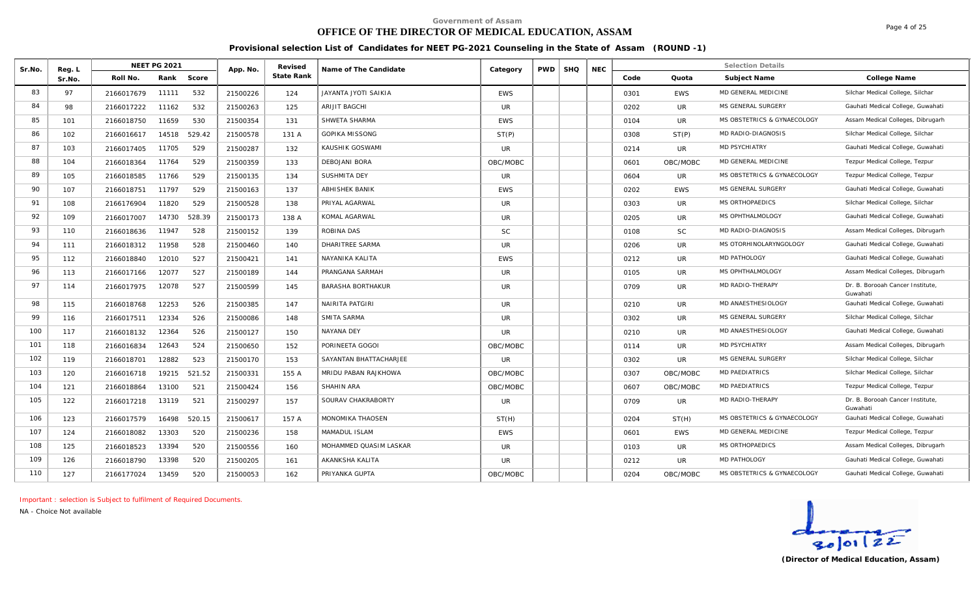# **OFFICE OF THE DIRECTOR OF MEDICAL EDUCATION, ASSAM**

**Provisional selection List of Candidates for NEET PG-2021 Counseling in the State of Assam (ROUND -1)**

| Sr.No. | Reg. L |            | <b>NEET PG 2021</b> |        | App. No. | Revised    | Name of The Candidate  | Category   | <b>PWD</b> | <b>SHQ</b> | <b>NEC</b> |      |            | <b>Selection Details</b>    |                                              |
|--------|--------|------------|---------------------|--------|----------|------------|------------------------|------------|------------|------------|------------|------|------------|-----------------------------|----------------------------------------------|
|        | Sr.No. | Roll No.   | Rank                | Score  |          | State Rank |                        |            |            |            |            | Code | Quota      | Subject Name                | College Name                                 |
| 83     | 97     | 2166017679 | 11111               | 532    | 21500226 | 124        | JAYANTA JYOTI SAIKIA   | <b>EWS</b> |            |            |            | 0301 | <b>EWS</b> | MD GENERAL MEDICINE         | Silchar Medical College, Silchar             |
| 84     | 98     | 2166017222 | 11162               | 532    | 21500263 | 125        | ARIJIT BAGCHI          | <b>UR</b>  |            |            |            | 0202 | <b>UR</b>  | MS GENERAL SURGERY          | Gauhati Medical College, Guwahati            |
| 85     | 101    | 2166018750 | 11659               | 530    | 21500354 | 131        | SHWETA SHARMA          | <b>EWS</b> |            |            |            | 0104 | UR         | MS OBSTETRICS & GYNAECOLOGY | Assam Medical Colleges, Dibrugarh            |
| 86     | 102    | 2166016617 | 14518               | 529.42 | 21500578 | 131 A      | <b>GOPIKA MISSONG</b>  | ST(P)      |            |            |            | 0308 | ST(P)      | MD RADIO-DIAGNOSIS          | Silchar Medical College, Silchar             |
| 87     | 103    | 2166017405 | 11705               | 529    | 21500287 | 132        | KAUSHIK GOSWAMI        | <b>UR</b>  |            |            |            | 0214 | UR         | <b>MD PSYCHIATRY</b>        | Gauhati Medical College, Guwahati            |
| 88     | 104    | 2166018364 | 11764               | 529    | 21500359 | 133        | DEBOJANI BORA          | OBC/MOBC   |            |            |            | 0601 | OBC/MOBC   | MD GENERAL MEDICINE         | Tezpur Medical College, Tezpur               |
| 89     | 105    | 2166018585 | 11766               | 529    | 21500135 | 134        | <b>SUSHMITA DEY</b>    | UR.        |            |            |            | 0604 | UR         | MS OBSTETRICS & GYNAECOLOGY | Tezpur Medical College, Tezpur               |
| 90     | 107    | 2166018751 | 11797               | 529    | 21500163 | 137        | <b>ABHISHEK BANIK</b>  | <b>EWS</b> |            |            |            | 0202 | <b>EWS</b> | MS GENERAL SURGERY          | Gauhati Medical College, Guwahati            |
| 91     | 108    | 2166176904 | 11820               | 529    | 21500528 | 138        | PRIYAL AGARWAL         | <b>UR</b>  |            |            |            | 0303 | <b>UR</b>  | <b>MS ORTHOPAEDICS</b>      | Silchar Medical College, Silchar             |
| 92     | 109    | 2166017007 | 14730               | 528.39 | 21500173 | 138 A      | KOMAL AGARWAL          | <b>UR</b>  |            |            |            | 0205 | <b>UR</b>  | MS OPHTHALMOLOGY            | Gauhati Medical College, Guwahati            |
| 93     | 110    | 2166018636 | 11947               | 528    | 21500152 | 139        | ROBINA DAS             | SC         |            |            |            | 0108 | <b>SC</b>  | MD RADIO-DIAGNOSIS          | Assam Medical Colleges, Dibrugarh            |
| 94     | 111    | 2166018312 | 11958               | 528    | 21500460 | 140        | <b>DHARITREE SARMA</b> | <b>UR</b>  |            |            |            | 0206 | UR         | MS OTORHINOLARYNGOLOGY      | Gauhati Medical College, Guwahati            |
| 95     | 112    | 2166018840 | 12010               | 527    | 21500421 | 141        | NAYANIKA KALITA        | <b>EWS</b> |            |            |            | 0212 | UR.        | MD PATHOLOGY                | Gauhati Medical College, Guwahati            |
| 96     | 113    | 2166017166 | 12077               | 527    | 21500189 | 144        | PRANGANA SARMAH        | UR         |            |            |            | 0105 | UR         | MS OPHTHALMOLOGY            | Assam Medical Colleges, Dibrugarh            |
| 97     | 114    | 2166017975 | 12078               | 527    | 21500599 | 145        | BARASHA BORTHAKUR      | <b>UR</b>  |            |            |            | 0709 | UR         | MD RADIO-THERAPY            | Dr. B. Borooah Cancer Institute,<br>Guwahati |
| 98     | 115    | 2166018768 | 12253               | 526    | 21500385 | 147        | NAIRITA PATGIRI        | <b>UR</b>  |            |            |            | 0210 | UR         | MD ANAESTHESIOLOGY          | Gauhati Medical College, Guwahati            |
| 99     | 116    | 2166017511 | 12334               | 526    | 21500086 | 148        | SMITA SARMA            | <b>UR</b>  |            |            |            | 0302 | UR         | MS GENERAL SURGERY          | Silchar Medical College, Silchar             |
| 100    | 117    | 2166018132 | 12364               | 526    | 21500127 | 150        | NAYANA DEY             | UR         |            |            |            | 0210 | UR.        | MD ANAESTHESIOLOGY          | Gauhati Medical College, Guwahati            |
| 101    | 118    | 2166016834 | 12643               | 524    | 21500650 | 152        | PORINEETA GOGOI        | OBC/MOBC   |            |            |            | 0114 | UR         | <b>MD PSYCHIATRY</b>        | Assam Medical Colleges, Dibrugarh            |
| 102    | 119    | 2166018701 | 12882               | 523    | 21500170 | 153        | SAYANTAN BHATTACHARJEE | UR         |            |            |            | 0302 | UR         | MS GENERAL SURGERY          | Silchar Medical College, Silchar             |
| 103    | 120    | 2166016718 | 19215               | 521.52 | 21500331 | 155 A      | MRIDU PABAN RAJKHOWA   | OBC/MOBC   |            |            |            | 0307 | OBC/MOBC   | <b>MD PAEDIATRICS</b>       | Silchar Medical College, Silchar             |
| 104    | 121    | 2166018864 | 13100               | 521    | 21500424 | 156        | SHAHIN ARA             | OBC/MOBC   |            |            |            | 0607 | OBC/MOBC   | <b>MD PAEDIATRICS</b>       | Tezpur Medical College, Tezpur               |
| 105    | 122    | 2166017218 | 13119               | 521    | 21500297 | 157        | SOURAV CHAKRABORTY     | UR         |            |            |            | 0709 | UR         | MD RADIO-THERAPY            | Dr. B. Borooah Cancer Institute,<br>Guwahati |
| 106    | 123    | 2166017579 | 16498               | 520.15 | 21500617 | 157 A      | MONOMIKA THAOSEN       | ST(H)      |            |            |            | 0204 | ST(H)      | MS OBSTETRICS & GYNAECOLOGY | Gauhati Medical College, Guwahati            |
| 107    | 124    | 2166018082 | 13303               | 520    | 21500236 | 158        | MAMADUL ISLAM          | <b>EWS</b> |            |            |            | 0601 | <b>EWS</b> | MD GENERAL MEDICINE         | Tezpur Medical College, Tezpur               |
| 108    | 125    | 2166018523 | 13394               | 520    | 21500556 | 160        | MOHAMMED QUASIM LASKAR | <b>UR</b>  |            |            |            | 0103 | UR         | MS ORTHOPAEDICS             | Assam Medical Colleges, Dibrugarh            |
| 109    | 126    | 2166018790 | 13398               | 520    | 21500205 | 161        | <b>AKANKSHA KALITA</b> | <b>UR</b>  |            |            |            | 0212 | UR         | MD PATHOLOGY                | Gauhati Medical College, Guwahati            |
| 110    | 127    | 2166177024 | 13459               | 520    | 21500053 | 162        | PRIYANKA GUPTA         | OBC/MOBC   |            |            |            | 0204 | OBC/MOBC   | MS OBSTETRICS & GYNAECOLOGY | Gauhati Medical College, Guwahati            |

*Important : selection is Subject to fulfilment of Required Documents.*

*NA - Choice Not available*

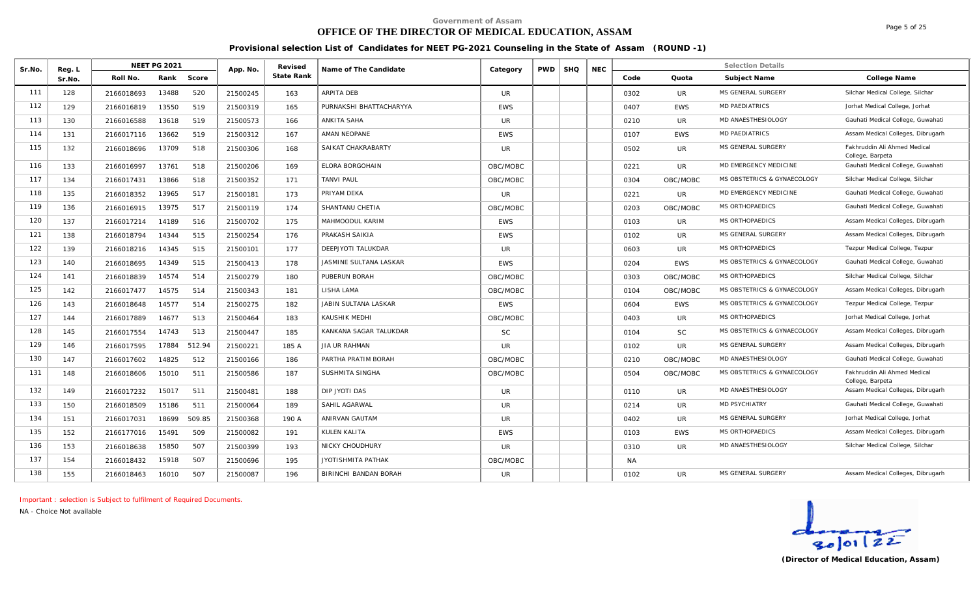# **OFFICE OF THE DIRECTOR OF MEDICAL EDUCATION, ASSAM**

**Provisional selection List of Candidates for NEET PG-2021 Counseling in the State of Assam (ROUND -1)**

| Sr.No. | Reg. L |            | <b>NEET PG 2021</b> |        | App. No. | Revised    | Name of The Candidate       | Category   | <b>PWD</b> | <b>SHQ</b> | <b>NFC</b> |      |            | <b>Selection Details</b>    |                                                  |
|--------|--------|------------|---------------------|--------|----------|------------|-----------------------------|------------|------------|------------|------------|------|------------|-----------------------------|--------------------------------------------------|
|        | Sr.No. | Roll No.   | Rank                | Score  |          | State Rank |                             |            |            |            |            | Code | Quota      | Subject Name                | College Name                                     |
| 111    | 128    | 2166018693 | 13488               | 520    | 21500245 | 163        | ARPITA DEB                  | <b>UR</b>  |            |            |            | 0302 | UR         | MS GENERAL SURGERY          | Silchar Medical College, Silchar                 |
| 112    | 129    | 2166016819 | 13550               | 519    | 21500319 | 165        | PURNAKSHI BHATTACHARYYA     | <b>EWS</b> |            |            |            | 0407 | <b>EWS</b> | <b>MD PAEDIATRICS</b>       | Jorhat Medical College, Jorhat                   |
| 113    | 130    | 2166016588 | 13618               | 519    | 21500573 | 166        | ANKITA SAHA                 | <b>UR</b>  |            |            |            | 0210 | UR         | MD ANAESTHESIOLOGY          | Gauhati Medical College, Guwahati                |
| 114    | 131    | 2166017116 | 13662               | 519    | 21500312 | 167        | AMAN NEOPANE                | <b>EWS</b> |            |            |            | 0107 | <b>EWS</b> | <b>MD PAEDIATRICS</b>       | Assam Medical Colleges, Dibrugarh                |
| 115    | 132    | 2166018696 | 13709               | 518    | 21500306 | 168        | SAIKAT CHAKRABARTY          | UR.        |            |            |            | 0502 | UR.        | MS GENERAL SURGERY          | Fakhruddin Ali Ahmed Medical<br>College, Barpeta |
| 116    | 133    | 2166016997 | 13761               | 518    | 21500206 | 169        | ELORA BORGOHAIN             | OBC/MOBC   |            |            |            | 0221 | <b>UR</b>  | MD EMERGENCY MEDICINE       | Gauhati Medical College, Guwahati                |
| 117    | 134    | 2166017431 | 13866               | 518    | 21500352 | 171        | <b>TANVI PAUL</b>           | OBC/MOBC   |            |            |            | 0304 | OBC/MOBC   | MS OBSTETRICS & GYNAECOLOGY | Silchar Medical College, Silchar                 |
| 118    | 135    | 2166018352 | 13965               | 517    | 21500181 | 173        | PRIYAM DEKA                 | <b>UR</b>  |            |            |            | 0221 | <b>UR</b>  | MD EMERGENCY MEDICINE       | Gauhati Medical College, Guwahati                |
| 119    | 136    | 2166016915 | 13975               | 517    | 21500119 | 174        | SHANTANU CHETIA             | OBC/MOBC   |            |            |            | 0203 | OBC/MOBC   | <b>MS ORTHOPAEDICS</b>      | Gauhati Medical College, Guwahati                |
| 120    | 137    | 2166017214 | 14189               | 516    | 21500702 | 175        | MAHMOODUL KARIM             | <b>EWS</b> |            |            |            | 0103 | <b>UR</b>  | <b>MS ORTHOPAEDICS</b>      | Assam Medical Colleges, Dibrugarh                |
| 121    | 138    | 2166018794 | 14344               | 515    | 21500254 | 176        | PRAKASH SAIKIA              | <b>EWS</b> |            |            |            | 0102 | UR.        | MS GENERAL SURGERY          | Assam Medical Colleges, Dibrugarh                |
| 122    | 139    | 2166018216 | 14345               | 515    | 21500101 | 177        | DEEPJYOTI TALUKDAR          | <b>UR</b>  |            |            |            | 0603 | UR.        | MS ORTHOPAEDICS             | Tezpur Medical College, Tezpur                   |
| 123    | 140    | 2166018695 | 14349               | 515    | 21500413 | 178        | JASMINE SULTANA LASKAR      | <b>EWS</b> |            |            |            | 0204 | <b>EWS</b> | MS OBSTETRICS & GYNAECOLOGY | Gauhati Medical College, Guwahati                |
| 124    | 141    | 2166018839 | 14574               | 514    | 21500279 | 180        | PUBERUN BORAH               | OBC/MOBC   |            |            |            | 0303 | OBC/MOBC   | <b>MS ORTHOPAEDICS</b>      | Silchar Medical College, Silchar                 |
| 125    | 142    | 2166017477 | 14575               | 514    | 21500343 | 181        | LISHA LAMA                  | OBC/MOBC   |            |            |            | 0104 | OBC/MOBC   | MS OBSTETRICS & GYNAECOLOGY | Assam Medical Colleges, Dibrugarh                |
| 126    | 143    | 2166018648 | 14577               | 514    | 21500275 | 182        | <b>JABIN SULTANA LASKAR</b> | <b>EWS</b> |            |            |            | 0604 | <b>EWS</b> | MS OBSTETRICS & GYNAECOLOGY | Tezpur Medical College, Tezpur                   |
| 127    | 144    | 2166017889 | 14677               | 513    | 21500464 | 183        | KAUSHIK MEDHI               | OBC/MOBC   |            |            |            | 0403 | UR         | MS ORTHOPAEDICS             | Jorhat Medical College, Jorhat                   |
| 128    | 145    | 2166017554 | 14743               | 513    | 21500447 | 185        | KANKANA SAGAR TALUKDAR      | <b>SC</b>  |            |            |            | 0104 | <b>SC</b>  | MS OBSTETRICS & GYNAECOLOGY | Assam Medical Colleges, Dibrugarh                |
| 129    | 146    | 2166017595 | 17884               | 512.94 | 21500221 | 185 A      | <b>JIA UR RAHMAN</b>        | UR.        |            |            |            | 0102 | UR.        | MS GENERAL SURGERY          | Assam Medical Colleges, Dibrugarh                |
| 130    | 147    | 2166017602 | 14825               | 512    | 21500166 | 186        | PARTHA PRATIM BORAH         | OBC/MOBC   |            |            |            | 0210 | OBC/MOBC   | MD ANAESTHESIOLOGY          | Gauhati Medical College, Guwahati                |
| 131    | 148    | 2166018606 | 15010               | 511    | 21500586 | 187        | SUSHMITA SINGHA             | OBC/MOBC   |            |            |            | 0504 | OBC/MOBC   | MS OBSTETRICS & GYNAECOLOGY | Fakhruddin Ali Ahmed Medical<br>College, Barpeta |
| 132    | 149    | 2166017232 | 15017               | 511    | 21500481 | 188        | DIP JYOTI DAS               | UR.        |            |            |            | 0110 | <b>UR</b>  | MD ANAESTHESIOLOGY          | Assam Medical Colleges, Dibrugarh                |
| 133    | 150    | 2166018509 | 15186               | 511    | 21500064 | 189        | SAHIL AGARWAL               | <b>UR</b>  |            |            |            | 0214 | UR.        | <b>MD PSYCHIATRY</b>        | Gauhati Medical College, Guwahati                |
| 134    | 151    | 2166017031 | 18699               | 509.85 | 21500368 | 190 A      | ANIRVAN GAUTAM              | UR         |            |            |            | 0402 | UR         | MS GENERAL SURGERY          | Jorhat Medical College, Jorhat                   |
| 135    | 152    | 2166177016 | 15491               | 509    | 21500082 | 191        | KULEN KALITA                | <b>EWS</b> |            |            |            | 0103 | <b>EWS</b> | MS ORTHOPAEDICS             | Assam Medical Colleges, Dibrugarh                |
| 136    | 153    | 2166018638 | 15850               | 507    | 21500399 | 193        | NICKY CHOUDHURY             | <b>UR</b>  |            |            |            | 0310 | <b>UR</b>  | MD ANAESTHESIOLOGY          | Silchar Medical College, Silchar                 |
| 137    | 154    | 2166018432 | 15918               | 507    | 21500696 | 195        | <b>JYOTISHMITA PATHAK</b>   | OBC/MOBC   |            |            |            | NA   |            |                             |                                                  |
| 138    | 155    | 2166018463 | 16010               | 507    | 21500087 | 196        | BIRINCHI BANDAN BORAH       | UR         |            |            |            | 0102 | <b>UR</b>  | MS GENERAL SURGERY          | Assam Medical Colleges, Dibrugarh                |

*Important : selection is Subject to fulfilment of Required Documents.*

*NA - Choice Not available*



Page 5 of 25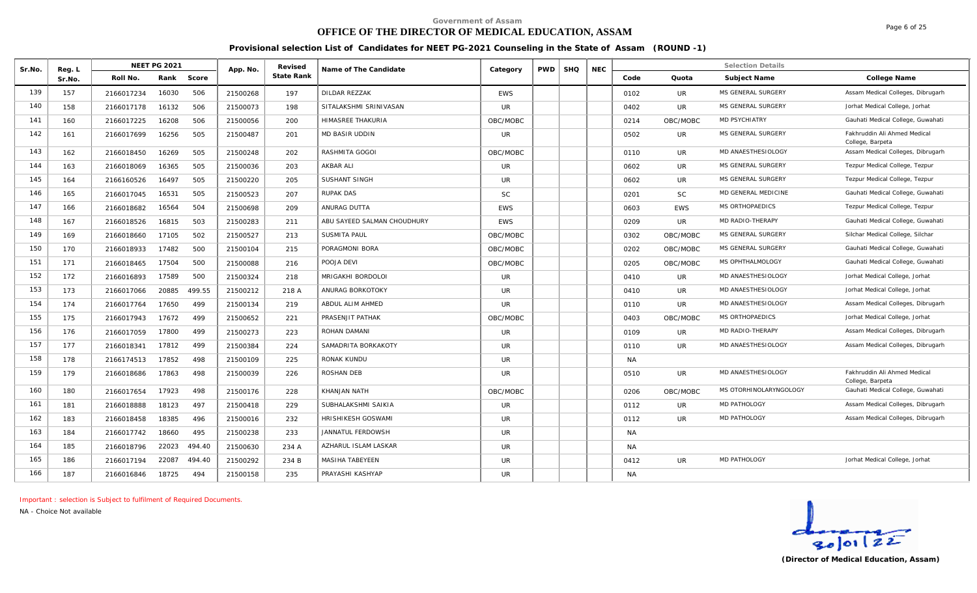## **OFFICE OF THE DIRECTOR OF MEDICAL EDUCATION, ASSAM**

Page 6 of 25

**Provisional selection List of Candidates for NEET PG-2021 Counseling in the State of Assam (ROUND -1)**

| Sr.No. | Reg. L |            | <b>NEET PG 2021</b> |        | App. No. | Revised    | Name of The Candidate       | Category   | <b>PWD</b> | <b>SHQ</b> | <b>NEC</b> |           |            | <b>Selection Details</b> |                                                  |
|--------|--------|------------|---------------------|--------|----------|------------|-----------------------------|------------|------------|------------|------------|-----------|------------|--------------------------|--------------------------------------------------|
|        | Sr.No. | Roll No.   | Rank                | Score  |          | State Rank |                             |            |            |            |            | Code      | Quota      | Subject Name             | College Name                                     |
| 139    | 157    | 2166017234 | 16030               | 506    | 21500268 | 197        | DILDAR REZZAK               | <b>EWS</b> |            |            |            | 0102      | <b>UR</b>  | MS GENERAL SURGERY       | Assam Medical Colleges, Dibrugarh                |
| 140    | 158    | 2166017178 | 16132               | 506    | 21500073 | 198        | SITALAKSHMI SRINIVASAN      | UR.        |            |            |            | 0402      | UR         | MS GENERAL SURGERY       | Jorhat Medical College, Jorhat                   |
| 141    | 160    | 2166017225 | 16208               | 506    | 21500056 | 200        | HIMASREE THAKURIA           | OBC/MOBC   |            |            |            | 0214      | OBC/MOBC   | <b>MD PSYCHIATRY</b>     | Gauhati Medical College, Guwahati                |
| 142    | 161    | 2166017699 | 16256               | 505    | 21500487 | 201        | MD BASIR UDDIN              | <b>UR</b>  |            |            |            | 0502      | <b>UR</b>  | MS GENERAL SURGERY       | Fakhruddin Ali Ahmed Medical<br>College, Barpeta |
| 143    | 162    | 2166018450 | 16269               | 505    | 21500248 | 202        | RASHMITA GOGOI              | OBC/MOBC   |            |            |            | 0110      | UR.        | MD ANAESTHESIOLOGY       | Assam Medical Colleges, Dibrugarh                |
| 144    | 163    | 2166018069 | 16365               | 505    | 21500036 | 203        | AKBAR ALI                   | UR.        |            |            |            | 0602      | UR         | MS GENERAL SURGERY       | Tezpur Medical College, Tezpur                   |
| 145    | 164    | 2166160526 | 16497               | 505    | 21500220 | 205        | <b>SUSHANT SINGH</b>        | UR.        |            |            |            | 0602      | UR         | MS GENERAL SURGERY       | Tezpur Medical College, Tezpur                   |
| 146    | 165    | 2166017045 | 16531               | 505    | 21500523 | 207        | RUPAK DAS                   | <b>SC</b>  |            |            |            | 0201      | <b>SC</b>  | MD GENERAL MEDICINE      | Gauhati Medical College, Guwahati                |
| 147    | 166    | 2166018682 | 16564               | 504    | 21500698 | 209        | ANURAG DUTTA                | <b>EWS</b> |            |            |            | 0603      | <b>EWS</b> | MS ORTHOPAEDICS          | Tezpur Medical College, Tezpur                   |
| 148    | 167    | 2166018526 | 16815               | 503    | 21500283 | 211        | ABU SAYEED SALMAN CHOUDHURY | <b>EWS</b> |            |            |            | 0209      | <b>UR</b>  | MD RADIO-THERAPY         | Gauhati Medical College, Guwahati                |
| 149    | 169    | 2166018660 | 17105               | 502    | 21500527 | 213        | <b>SUSMITA PAUL</b>         | OBC/MOBC   |            |            |            | 0302      | OBC/MOBC   | MS GENERAL SURGERY       | Silchar Medical College, Silchar                 |
| 150    | 170    | 2166018933 | 17482               | 500    | 21500104 | 215        | PORAGMONI BORA              | OBC/MOBC   |            |            |            | 0202      | OBC/MOBC   | MS GENERAL SURGERY       | Gauhati Medical College, Guwahati                |
| 151    | 171    | 2166018465 | 17504               | 500    | 21500088 | 216        | POOJA DEVI                  | OBC/MOBC   |            |            |            | 0205      | OBC/MOBC   | MS OPHTHALMOLOGY         | Gauhati Medical College, Guwahati                |
| 152    | 172    | 2166016893 | 17589               | 500    | 21500324 | 218        | MRIGAKHI BORDOLOI           | UR.        |            |            |            | 0410      | UR.        | MD ANAESTHESIOLOGY       | Jorhat Medical College, Jorhat                   |
| 153    | 173    | 2166017066 | 20885               | 499.55 | 21500212 | 218 A      | ANURAG BORKOTOKY            | UR.        |            |            |            | 0410      | <b>UR</b>  | MD ANAESTHESIOLOGY       | Jorhat Medical College, Jorhat                   |
| 154    | 174    | 2166017764 | 17650               | 499    | 21500134 | 219        | ABDUL ALIM AHMED            | UR.        |            |            |            | 0110      | UR.        | MD ANAESTHESIOLOGY       | Assam Medical Colleges, Dibrugarh                |
| 155    | 175    | 2166017943 | 17672               | 499    | 21500652 | 221        | PRASENJIT PATHAK            | OBC/MOBC   |            |            |            | 0403      | OBC/MOBC   | <b>MS ORTHOPAEDICS</b>   | Jorhat Medical College, Jorhat                   |
| 156    | 176    | 2166017059 | 17800               | 499    | 21500273 | 223        | ROHAN DAMANI                | UR.        |            |            |            | 0109      | UR         | MD RADIO-THERAPY         | Assam Medical Colleges, Dibrugarh                |
| 157    | 177    | 2166018341 | 17812               | 499    | 21500384 | 224        | SAMADRITA BORKAKOTY         | <b>UR</b>  |            |            |            | 0110      | <b>UR</b>  | MD ANAESTHESIOLOGY       | Assam Medical Colleges, Dibrugarh                |
| 158    | 178    | 2166174513 | 17852               | 498    | 21500109 | 225        | RONAK KUNDU                 | <b>UR</b>  |            |            |            | NA        |            |                          |                                                  |
| 159    | 179    | 2166018686 | 17863               | 498    | 21500039 | 226        | ROSHAN DEB                  | UR.        |            |            |            | 0510      | <b>UR</b>  | MD ANAESTHESIOLOGY       | Fakhruddin Ali Ahmed Medical<br>College, Barpeta |
| 160    | 180    | 2166017654 | 17923               | 498    | 21500176 | 228        | KHANJAN NATH                | OBC/MOBC   |            |            |            | 0206      | OBC/MOBC   | MS OTORHINOLARYNGOLOGY   | Gauhati Medical College, Guwahati                |
| 161    | 181    | 2166018888 | 18123               | 497    | 21500418 | 229        | SUBHALAKSHMI SAIKIA         | UR.        |            |            |            | 0112      | UR.        | MD PATHOLOGY             | Assam Medical Colleges, Dibrugarh                |
| 162    | 183    | 2166018458 | 18385               | 496    | 21500016 | 232        | HRISHIKESH GOSWAMI          | <b>UR</b>  |            |            |            | 0112      | UR.        | MD PATHOLOGY             | Assam Medical Colleges, Dibrugarh                |
| 163    | 184    | 2166017742 | 18660               | 495    | 21500238 | 233        | JANNATUL FERDOWSH           | UR.        |            |            |            | <b>NA</b> |            |                          |                                                  |
| 164    | 185    | 2166018796 | 22023               | 494.40 | 21500630 | 234 A      | AZHARUL ISLAM LASKAR        | UR.        |            |            |            | <b>NA</b> |            |                          |                                                  |
| 165    | 186    | 2166017194 | 22087               | 494.40 | 21500292 | 234 B      | MASIHA TABEYEEN             | <b>UR</b>  |            |            |            | 0412      | <b>UR</b>  | <b>MD PATHOLOGY</b>      | Jorhat Medical College, Jorhat                   |
| 166    | 187    | 2166016846 | 18725               | 494    | 21500158 | 235        | PRAYASHI KASHYAP            | <b>UR</b>  |            |            |            | <b>NA</b> |            |                          |                                                  |

*Important : selection is Subject to fulfilment of Required Documents.*

*NA - Choice Not available*

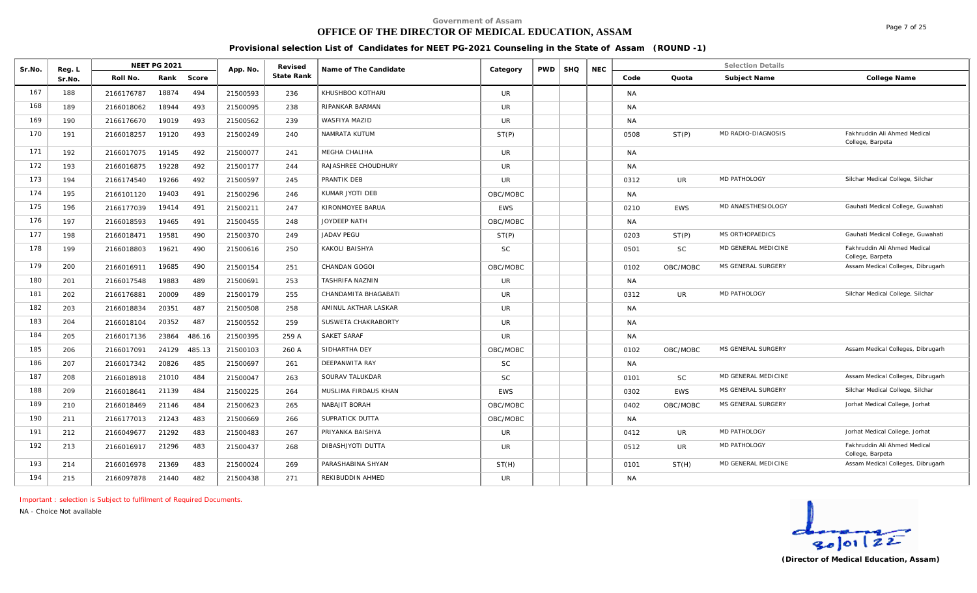# **OFFICE OF THE DIRECTOR OF MEDICAL EDUCATION, ASSAM**

**Provisional selection List of Candidates for NEET PG-2021 Counseling in the State of Assam (ROUND -1)**

| Sr.No. | Reg. L |            | NEET PG 2021 |        | App. No. | Revised           | Name of The Candidate | Category   | <b>PWD</b> | <b>SHQ</b> | <b>NEC</b> |           |            | <b>Selection Details</b> |                                                  |
|--------|--------|------------|--------------|--------|----------|-------------------|-----------------------|------------|------------|------------|------------|-----------|------------|--------------------------|--------------------------------------------------|
|        | Sr.No. | Roll No.   | Rank         | Score  |          | <b>State Rank</b> |                       |            |            |            |            | Code      | Quota      | Subject Name             | College Name                                     |
| 167    | 188    | 2166176787 | 18874        | 494    | 21500593 | 236               | KHUSHBOO KOTHARI      | UR.        |            |            |            | <b>NA</b> |            |                          |                                                  |
| 168    | 189    | 2166018062 | 18944        | 493    | 21500095 | 238               | RIPANKAR BARMAN       | <b>UR</b>  |            |            |            | <b>NA</b> |            |                          |                                                  |
| 169    | 190    | 2166176670 | 19019        | 493    | 21500562 | 239               | WASFIYA MAZID         | <b>UR</b>  |            |            |            | <b>NA</b> |            |                          |                                                  |
| 170    | 191    | 2166018257 | 19120        | 493    | 21500249 | 240               | NAMRATA KUTUM         | ST(P)      |            |            |            | 0508      | ST(P)      | MD RADIO-DIAGNOSIS       | Fakhruddin Ali Ahmed Medical<br>College, Barpeta |
| 171    | 192    | 2166017075 | 19145        | 492    | 21500077 | 241               | MEGHA CHALIHA         | <b>UR</b>  |            |            |            | <b>NA</b> |            |                          |                                                  |
| 172    | 193    | 2166016875 | 19228        | 492    | 21500177 | 244               | RAJASHREE CHOUDHURY   | <b>UR</b>  |            |            |            | <b>NA</b> |            |                          |                                                  |
| 173    | 194    | 2166174540 | 19266        | 492    | 21500597 | 245               | PRANTIK DEB           | UR.        |            |            |            | 0312      | <b>UR</b>  | MD PATHOLOGY             | Silchar Medical College, Silchar                 |
| 174    | 195    | 2166101120 | 19403        | 491    | 21500296 | 246               | KUMAR JYOTI DEB       | OBC/MOBC   |            |            |            | <b>NA</b> |            |                          |                                                  |
| 175    | 196    | 2166177039 | 19414        | 491    | 21500211 | 247               | KIRONMOYEE BARUA      | EWS        |            |            |            | 0210      | <b>EWS</b> | MD ANAESTHESIOLOGY       | Gauhati Medical College, Guwahati                |
| 176    | 197    | 2166018593 | 19465        | 491    | 21500455 | 248               | JOYDEEP NATH          | OBC/MOBC   |            |            |            | <b>NA</b> |            |                          |                                                  |
| 177    | 198    | 2166018471 | 19581        | 490    | 21500370 | 249               | <b>JADAV PEGU</b>     | ST(P)      |            |            |            | 0203      | ST(P)      | <b>MS ORTHOPAEDICS</b>   | Gauhati Medical College, Guwahati                |
| 178    | 199    | 2166018803 | 19621        | 490    | 21500616 | 250               | KAKOLI BAISHYA        | <b>SC</b>  |            |            |            | 0501      | <b>SC</b>  | MD GENERAL MEDICINE      | Fakhruddin Ali Ahmed Medical<br>College, Barpeta |
| 179    | 200    | 2166016911 | 19685        | 490    | 21500154 | 251               | CHANDAN GOGOI         | OBC/MOBC   |            |            |            | 0102      | OBC/MOBC   | MS GENERAL SURGERY       | Assam Medical Colleges, Dibrugarh                |
| 180    | 201    | 2166017548 | 19883        | 489    | 21500691 | 253               | TASHRIFA NAZNIN       | UR.        |            |            |            | NA.       |            |                          |                                                  |
| 181    | 202    | 2166176881 | 20009        | 489    | 21500179 | 255               | CHANDAMITA BHAGABATI  | <b>UR</b>  |            |            |            | 0312      | <b>UR</b>  | MD PATHOLOGY             | Silchar Medical College, Silchar                 |
| 182    | 203    | 2166018834 | 20351        | 487    | 21500508 | 258               | AMINUL AKTHAR LASKAR  | UR.        |            |            |            | <b>NA</b> |            |                          |                                                  |
| 183    | 204    | 2166018104 | 20352        | 487    | 21500552 | 259               | SUSWETA CHAKRABORTY   | <b>UR</b>  |            |            |            | <b>NA</b> |            |                          |                                                  |
| 184    | 205    | 2166017136 | 23864        | 486.16 | 21500395 | 259 A             | <b>SAKET SARAF</b>    | UR.        |            |            |            | <b>NA</b> |            |                          |                                                  |
| 185    | 206    | 2166017091 | 24129        | 485.13 | 21500103 | 260 A             | SIDHARTHA DEY         | OBC/MOBC   |            |            |            | 0102      | OBC/MOBC   | MS GENERAL SURGERY       | Assam Medical Colleges, Dibrugarh                |
| 186    | 207    | 2166017342 | 20826        | 485    | 21500697 | 261               | DEEPANWITA RAY        | <b>SC</b>  |            |            |            | <b>NA</b> |            |                          |                                                  |
| 187    | 208    | 2166018918 | 21010        | 484    | 21500047 | 263               | SOURAV TALUKDAR       | SC         |            |            |            | 0101      | <b>SC</b>  | MD GENERAL MEDICINE      | Assam Medical Colleges, Dibrugarh                |
| 188    | 209    | 2166018641 | 21139        | 484    | 21500225 | 264               | MUSLIMA FIRDAUS KHAN  | <b>EWS</b> |            |            |            | 0302      | <b>EWS</b> | MS GENERAL SURGERY       | Silchar Medical College, Silchar                 |
| 189    | 210    | 2166018469 | 21146        | 484    | 21500623 | 265               | NABAJIT BORAH         | OBC/MOBC   |            |            |            | 0402      | OBC/MOBC   | MS GENERAL SURGERY       | Jorhat Medical College, Jorhat                   |
| 190    | 211    | 2166177013 | 21243        | 483    | 21500669 | 266               | SUPRATICK DUTTA       | OBC/MOBC   |            |            |            | <b>NA</b> |            |                          |                                                  |
| 191    | 212    | 2166049677 | 21292        | 483    | 21500483 | 267               | PRIYANKA BAISHYA      | UR.        |            |            |            | 0412      | <b>UR</b>  | MD PATHOLOGY             | Jorhat Medical College, Jorhat                   |
| 192    | 213    | 2166016917 | 21296        | 483    | 21500437 | 268               | DIBASHJYOTI DUTTA     | <b>UR</b>  |            |            |            | 0512      | UR         | MD PATHOLOGY             | Fakhruddin Ali Ahmed Medical<br>College, Barpeta |
| 193    | 214    | 2166016978 | 21369        | 483    | 21500024 | 269               | PARASHABINA SHYAM     | ST(H)      |            |            |            | 0101      | ST(H)      | MD GENERAL MEDICINE      | Assam Medical Colleges, Dibrugarh                |
| 194    | 215    | 2166097878 | 21440        | 482    | 21500438 | 271               | REKIBUDDIN AHMED      | UR         |            |            |            | <b>NA</b> |            |                          |                                                  |

*Important : selection is Subject to fulfilment of Required Documents.*

*NA - Choice Not available*

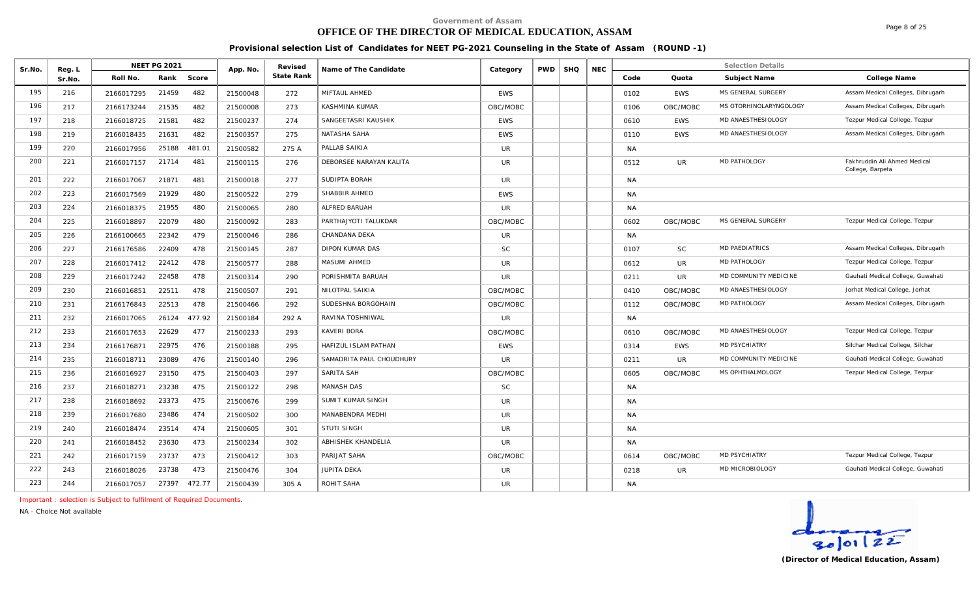# **OFFICE OF THE DIRECTOR OF MEDICAL EDUCATION, ASSAM**

**Provisional selection List of Candidates for NEET PG-2021 Counseling in the State of Assam (ROUND -1)**

| Sr.No. | Reg. L | NEET PG 2021                  | App. No. | Revised    | Name of The Candidate    | Category   | <b>PWD</b> | <b>SHQ</b> | <b>NEC</b> |           |            | <b>Selection Details</b> |                                                  |
|--------|--------|-------------------------------|----------|------------|--------------------------|------------|------------|------------|------------|-----------|------------|--------------------------|--------------------------------------------------|
|        | Sr.No. | Roll No.<br>Rank<br>Score     |          | State Rank |                          |            |            |            |            | Code      | Quota      | Subject Name             | College Name                                     |
| 195    | 216    | 21459<br>482<br>2166017295    | 21500048 | 272        | MIFTAUL AHMED            | <b>EWS</b> |            |            |            | 0102      | <b>EWS</b> | MS GENERAL SURGERY       | Assam Medical Colleges, Dibrugarh                |
| 196    | 217    | 21535<br>482<br>2166173244    | 21500008 | 273        | KASHMINA KUMAR           | OBC/MOBC   |            |            |            | 0106      | OBC/MOBC   | MS OTORHINOLARYNGOLOGY   | Assam Medical Colleges, Dibrugarh                |
| 197    | 218    | 482<br>2166018725<br>21581    | 21500237 | 274        | SANGEETASRI KAUSHIK      | <b>EWS</b> |            |            |            | 0610      | <b>EWS</b> | MD ANAESTHESIOLOGY       | Tezpur Medical College, Tezpur                   |
| 198    | 219    | 21631<br>482<br>2166018435    | 21500357 | 275        | NATASHA SAHA             | <b>EWS</b> |            |            |            | 0110      | <b>EWS</b> | MD ANAESTHESIOLOGY       | Assam Medical Colleges, Dibrugarh                |
| 199    | 220    | 25188<br>481.01<br>2166017956 | 21500582 | 275 A      | PALLAB SAIKIA            | <b>UR</b>  |            |            |            | <b>NA</b> |            |                          |                                                  |
| 200    | 221    | 21714<br>481<br>2166017157    | 21500115 | 276        | DEBORSEE NARAYAN KALITA  | <b>UR</b>  |            |            |            | 0512      | <b>UR</b>  | MD PATHOLOGY             | Fakhruddin Ali Ahmed Medical<br>College, Barpeta |
| 201    | 222    | 2166017067<br>21871<br>481    | 21500018 | 277        | SUDIPTA BORAH            | <b>UR</b>  |            |            |            | <b>NA</b> |            |                          |                                                  |
| 202    | 223    | 21929<br>480<br>2166017569    | 21500522 | 279        | SHABBIR AHMED            | <b>EWS</b> |            |            |            | <b>NA</b> |            |                          |                                                  |
| 203    | 224    | 21955<br>480<br>2166018375    | 21500065 | 280        | ALFRED BARUAH            | <b>UR</b>  |            |            |            | <b>NA</b> |            |                          |                                                  |
| 204    | 225    | 22079<br>480<br>2166018897    | 21500092 | 283        | PARTHAJYOTI TALUKDAR     | OBC/MOBC   |            |            |            | 0602      | OBC/MOBC   | MS GENERAL SURGERY       | Tezpur Medical College, Tezpur                   |
| 205    | 226    | 22342<br>2166100665<br>479    | 21500046 | 286        | CHANDANA DEKA            | <b>UR</b>  |            |            |            | <b>NA</b> |            |                          |                                                  |
| 206    | 227    | 22409<br>478<br>2166176586    | 21500145 | 287        | <b>DIPON KUMAR DAS</b>   | <b>SC</b>  |            |            |            | 0107      | <b>SC</b>  | <b>MD PAEDIATRICS</b>    | Assam Medical Colleges, Dibrugarh                |
| 207    | 228    | 2166017412<br>22412<br>478    | 21500577 | 288        | MASUMI AHMED             | <b>UR</b>  |            |            |            | 0612      | <b>UR</b>  | <b>MD PATHOLOGY</b>      | Tezpur Medical College, Tezpur                   |
| 208    | 229    | 478<br>22458<br>2166017242    | 21500314 | 290        | PORISHMITA BARUAH        | <b>UR</b>  |            |            |            | 0211      | UR         | MD COMMUNITY MEDICINE    | Gauhati Medical College, Guwahati                |
| 209    | 230    | 2166016851<br>22511<br>478    | 21500507 | 291        | NILOTPAL SAIKIA          | OBC/MOBC   |            |            |            | 0410      | OBC/MOBC   | MD ANAESTHESIOLOGY       | Jorhat Medical College, Jorhat                   |
| 210    | 231    | 22513<br>478<br>2166176843    | 21500466 | 292        | SUDESHNA BORGOHAIN       | OBC/MOBC   |            |            |            | 0112      | OBC/MOBC   | MD PATHOLOGY             | Assam Medical Colleges, Dibrugarh                |
| 211    | 232    | 2166017065<br>26124<br>477.92 | 21500184 | 292 A      | RAVINA TOSHNIWAL         | UR         |            |            |            | <b>NA</b> |            |                          |                                                  |
| 212    | 233    | 477<br>2166017653<br>22629    | 21500233 | 293        | KAVERI BORA              | OBC/MOBC   |            |            |            | 0610      | OBC/MOBC   | MD ANAESTHESIOLOGY       | Tezpur Medical College, Tezpur                   |
| 213    | 234    | 22975<br>476<br>2166176871    | 21500188 | 295        | HAFIZUL ISLAM PATHAN     | <b>EWS</b> |            |            |            | 0314      | <b>EWS</b> | <b>MD PSYCHIATRY</b>     | Silchar Medical College, Silchar                 |
| 214    | 235    | 2166018711<br>23089<br>476    | 21500140 | 296        | SAMADRITA PAUL CHOUDHURY | UR.        |            |            |            | 0211      | UR.        | MD COMMUNITY MEDICINE    | Gauhati Medical College, Guwahati                |
| 215    | 236    | 23150<br>2166016927<br>475    | 21500403 | 297        | SARITA SAH               | OBC/MOBC   |            |            |            | 0605      | OBC/MOBC   | MS OPHTHALMOLOGY         | Tezpur Medical College, Tezpur                   |
| 216    | 237    | 23238<br>475<br>2166018271    | 21500122 | 298        | <b>MANASH DAS</b>        | <b>SC</b>  |            |            |            | NA        |            |                          |                                                  |
| 217    | 238    | 23373<br>475<br>2166018692    | 21500676 | 299        | <b>SUMIT KUMAR SINGH</b> | <b>UR</b>  |            |            |            | <b>NA</b> |            |                          |                                                  |
| 218    | 239    | 474<br>2166017680<br>23486    | 21500502 | 300        | MANABENDRA MEDHI         | <b>UR</b>  |            |            |            | <b>NA</b> |            |                          |                                                  |
| 219    | 240    | 23514<br>2166018474<br>474    | 21500605 | 301        | <b>STUTI SINGH</b>       | <b>UR</b>  |            |            |            | NA        |            |                          |                                                  |
| 220    | 241    | 2166018452<br>23630<br>473    | 21500234 | 302        | ABHISHEK KHANDELIA       | <b>UR</b>  |            |            |            | <b>NA</b> |            |                          |                                                  |
| 221    | 242    | 473<br>2166017159<br>23737    | 21500412 | 303        | PARIJAT SAHA             | OBC/MOBC   |            |            |            | 0614      | OBC/MOBC   | <b>MD PSYCHIATRY</b>     | Tezpur Medical College, Tezpur                   |
| 222    | 243    | 23738<br>473<br>2166018026    | 21500476 | 304        | JUPITA DEKA              | <b>UR</b>  |            |            |            | 0218      | <b>UR</b>  | MD MICROBIOLOGY          | Gauhati Medical College, Guwahati                |
| 223    | 244    | 2166017057<br>27397<br>472.77 | 21500439 | 305 A      | ROHIT SAHA               | <b>UR</b>  |            |            |            | <b>NA</b> |            |                          |                                                  |

*Important : selection is Subject to fulfilment of Required Documents.*

*NA - Choice Not available*

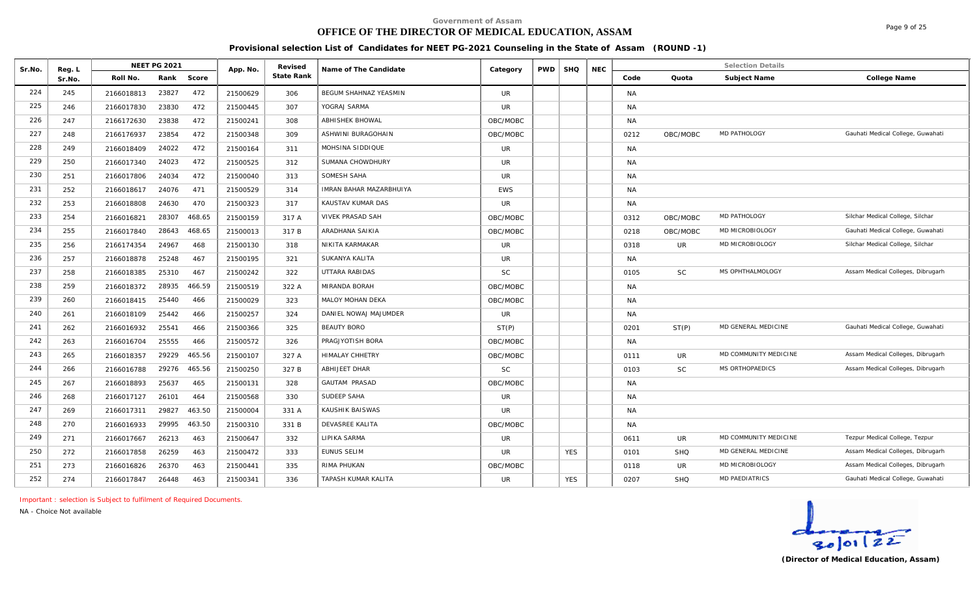# **OFFICE OF THE DIRECTOR OF MEDICAL EDUCATION, ASSAM**

**Provisional selection List of Candidates for NEET PG-2021 Counseling in the State of Assam (ROUND -1)**

| Sr.No. | Reg. L | <b>NEET PG 2021</b>           | App. No. | Revised    | Name of The Candidate   | Category   | <b>PWD</b> | <b>SHQ</b> | <b>NEC</b> |           |            | <b>Selection Details</b> |                                   |
|--------|--------|-------------------------------|----------|------------|-------------------------|------------|------------|------------|------------|-----------|------------|--------------------------|-----------------------------------|
|        | Sr.No. | Rank<br>Score<br>Roll No.     |          | State Rank |                         |            |            |            |            | Code      | Quota      | Subject Name             | College Name                      |
| 224    | 245    | 23827<br>2166018813<br>472    | 21500629 | 306        | BEGUM SHAHNAZ YEASMIN   | <b>UR</b>  |            |            |            | <b>NA</b> |            |                          |                                   |
| 225    | 246    | 23830<br>472<br>2166017830    | 21500445 | 307        | YOGRAJ SARMA            | UR.        |            |            |            | <b>NA</b> |            |                          |                                   |
| 226    | 247    | 472<br>23838<br>2166172630    | 21500241 | 308        | <b>ABHISHEK BHOWAL</b>  | OBC/MOBC   |            |            |            | NA        |            |                          |                                   |
| 227    | 248    | 23854<br>472<br>2166176937    | 21500348 | 309        | ASHWINI BURAGOHAIN      | OBC/MOBC   |            |            |            | 0212      | OBC/MOBC   | <b>MD PATHOLOGY</b>      | Gauhati Medical College, Guwahati |
| 228    | 249    | 24022<br>472<br>2166018409    | 21500164 | 311        | MOHSINA SIDDIQUE        | UR         |            |            |            | NA        |            |                          |                                   |
| 229    | 250    | 24023<br>472<br>2166017340    | 21500525 | 312        | SUMANA CHOWDHURY        | <b>UR</b>  |            |            |            | <b>NA</b> |            |                          |                                   |
| 230    | 251    | 24034<br>472<br>2166017806    | 21500040 | 313        | SOMESH SAHA             | <b>UR</b>  |            |            |            | <b>NA</b> |            |                          |                                   |
| 231    | 252    | 24076<br>471<br>2166018617    | 21500529 | 314        | IMRAN BAHAR MAZARBHUIYA | <b>EWS</b> |            |            |            | <b>NA</b> |            |                          |                                   |
| 232    | 253    | 470<br>24630<br>2166018808    | 21500323 | 317        | KAUSTAV KUMAR DAS       | UR         |            |            |            | NA        |            |                          |                                   |
| 233    | 254    | 468.65<br>28307<br>2166016821 | 21500159 | 317 A      | <b>VIVEK PRASAD SAH</b> | OBC/MOBC   |            |            |            | 0312      | OBC/MOBC   | MD PATHOLOGY             | Silchar Medical College, Silchar  |
| 234    | 255    | 28643<br>468.65<br>2166017840 | 21500013 | 317 B      | <b>ARADHANA SAIKIA</b>  | OBC/MOBC   |            |            |            | 0218      | OBC/MOBC   | MD MICROBIOLOGY          | Gauhati Medical College, Guwahati |
| 235    | 256    | 24967<br>468<br>2166174354    | 21500130 | 318        | NIKITA KARMAKAR         | UR         |            |            |            | 0318      | UR         | MD MICROBIOLOGY          | Silchar Medical College, Silchar  |
| 236    | 257    | 25248<br>467<br>2166018878    | 21500195 | 321        | SUKANYA KALITA          | UR.        |            |            |            | <b>NA</b> |            |                          |                                   |
| 237    | 258    | 25310<br>467<br>2166018385    | 21500242 | 322        | UTTARA RABIDAS          | <b>SC</b>  |            |            |            | 0105      | <b>SC</b>  | MS OPHTHALMOLOGY         | Assam Medical Colleges, Dibrugarh |
| 238    | 259    | 28935<br>466.59<br>2166018372 | 21500519 | 322 A      | MIRANDA BORAH           | OBC/MOBC   |            |            |            | <b>NA</b> |            |                          |                                   |
| 239    | 260    | 25440<br>466<br>2166018415    | 21500029 | 323        | MALOY MOHAN DEKA        | OBC/MOBC   |            |            |            | <b>NA</b> |            |                          |                                   |
| 240    | 261    | 25442<br>466<br>2166018109    | 21500257 | 324        | DANIEL NOWAJ MAJUMDER   | <b>UR</b>  |            |            |            | <b>NA</b> |            |                          |                                   |
| 241    | 262    | 25541<br>466<br>2166016932    | 21500366 | 325        | <b>BEAUTY BORO</b>      | ST(P)      |            |            |            | 0201      | ST(P)      | MD GENERAL MEDICINE      | Gauhati Medical College, Guwahati |
| 242    | 263    | 25555<br>466<br>2166016704    | 21500572 | 326        | PRAGJYOTISH BORA        | OBC/MOBC   |            |            |            | <b>NA</b> |            |                          |                                   |
| 243    | 265    | 29229<br>465.56<br>2166018357 | 21500107 | 327 A      | <b>HIMALAY CHHETRY</b>  | OBC/MOBC   |            |            |            | 0111      | UR         | MD COMMUNITY MEDICINE    | Assam Medical Colleges, Dibrugarh |
| 244    | 266    | 29276<br>465.56<br>2166016788 | 21500250 | 327 B      | ABHIJEET DHAR           | <b>SC</b>  |            |            |            | 0103      | <b>SC</b>  | MS ORTHOPAEDICS          | Assam Medical Colleges, Dibrugarh |
| 245    | 267    | 25637<br>465<br>2166018893    | 21500131 | 328        | <b>GAUTAM PRASAD</b>    | OBC/MOBC   |            |            |            | <b>NA</b> |            |                          |                                   |
| 246    | 268    | 26101<br>464<br>2166017127    | 21500568 | 330        | SUDEEP SAHA             | UR         |            |            |            | <b>NA</b> |            |                          |                                   |
| 247    | 269    | 29827<br>463.50<br>2166017311 | 21500004 | 331 A      | KAUSHIK BAISWAS         | UR.        |            |            |            | <b>NA</b> |            |                          |                                   |
| 248    | 270    | 29995<br>463.50<br>2166016933 | 21500310 | 331 B      | DEVASREE KALITA         | OBC/MOBC   |            |            |            | NA        |            |                          |                                   |
| 249    | 271    | 26213<br>463<br>2166017667    | 21500647 | 332        | <b>LIPIKA SARMA</b>     | <b>UR</b>  |            |            |            | 0611      | UR         | MD COMMUNITY MEDICINE    | Tezpur Medical College, Tezpur    |
| 250    | 272    | 26259<br>463<br>2166017858    | 21500472 | 333        | EUNUS SELIM             | <b>UR</b>  |            | <b>YES</b> |            | 0101      | SHQ        | MD GENERAL MEDICINE      | Assam Medical Colleges, Dibrugarh |
| 251    | 273    | 26370<br>463<br>2166016826    | 21500441 | 335        | RIMA PHUKAN             | OBC/MOBC   |            |            |            | 0118      | UR         | MD MICROBIOLOGY          | Assam Medical Colleges, Dibrugarh |
| 252    | 274    | 26448<br>463<br>2166017847    | 21500341 | 336        | TAPASH KUMAR KALITA     | UR         |            | <b>YES</b> |            | 0207      | <b>SHQ</b> | <b>MD PAEDIATRICS</b>    | Gauhati Medical College, Guwahati |

*Important : selection is Subject to fulfilment of Required Documents.*

*NA - Choice Not available*

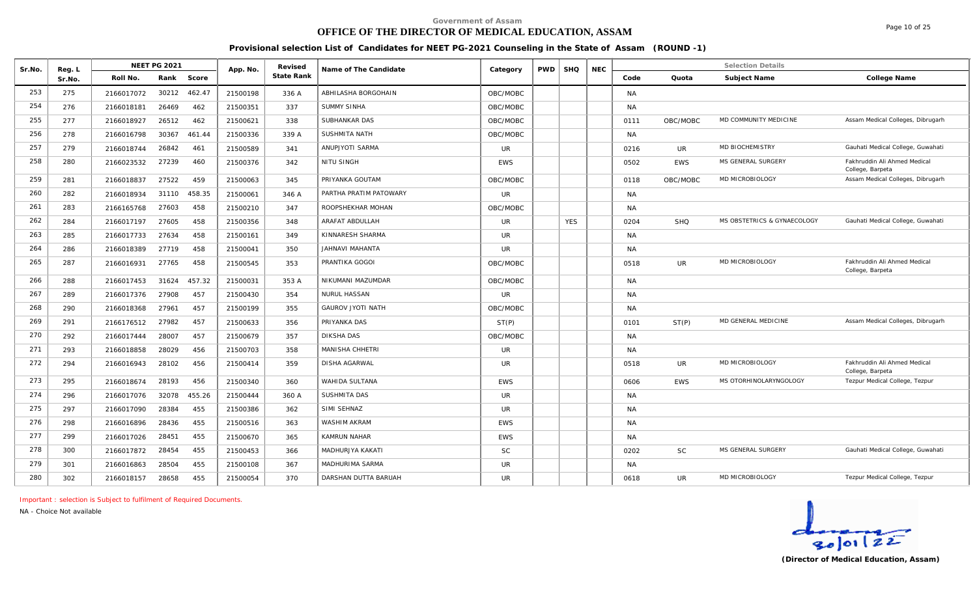## **OFFICE OF THE DIRECTOR OF MEDICAL EDUCATION, ASSAM**

**Provisional selection List of Candidates for NEET PG-2021 Counseling in the State of Assam (ROUND -1)**

| Sr.No. |                  | <b>NEET PG 2021</b>           | App. No. | Revised    | Name of The Candidate    |            | <b>PWD</b> | <b>SHQ</b> | <b>NEC</b> |           |            | <b>Selection Details</b>    |                                                  |
|--------|------------------|-------------------------------|----------|------------|--------------------------|------------|------------|------------|------------|-----------|------------|-----------------------------|--------------------------------------------------|
|        | Reg. L<br>Sr.No. | Rank<br>Score<br>Roll No.     |          | State Rank |                          | Category   |            |            |            | Code      | Quota      | Subject Name                | College Name                                     |
| 253    | 275              | 30212<br>462.47<br>2166017072 | 21500198 | 336 A      | ABHILASHA BORGOHAIN      | OBC/MOBC   |            |            |            | <b>NA</b> |            |                             |                                                  |
| 254    | 276              | 26469<br>462<br>2166018181    | 21500351 | 337        | <b>SUMMY SINHA</b>       | OBC/MOBC   |            |            |            | <b>NA</b> |            |                             |                                                  |
| 255    | 277              | 26512<br>462<br>2166018927    | 21500621 | 338        | SUBHANKAR DAS            | OBC/MOBC   |            |            |            | 0111      | OBC/MOBC   | MD COMMUNITY MEDICINE       | Assam Medical Colleges, Dibrugarh                |
| 256    | 278              | 30367<br>461.44<br>2166016798 | 21500336 | 339 A      | SUSHMITA NATH            | OBC/MOBC   |            |            |            | <b>NA</b> |            |                             |                                                  |
| 257    | 279              | 26842<br>461<br>2166018744    | 21500589 | 341        | ANUPJYOTI SARMA          | UR         |            |            |            | 0216      | UR.        | <b>MD BIOCHEMISTRY</b>      | Gauhati Medical College, Guwahati                |
| 258    | 280              | 27239<br>460<br>2166023532    | 21500376 | 342        | NITU SINGH               | <b>EWS</b> |            |            |            | 0502      | <b>EWS</b> | MS GENERAL SURGERY          | Fakhruddin Ali Ahmed Medical<br>College, Barpeta |
| 259    | 281              | 27522<br>459<br>2166018837    | 21500063 | 345        | PRIYANKA GOUTAM          | OBC/MOBC   |            |            |            | 0118      | OBC/MOBC   | MD MICROBIOLOGY             | Assam Medical Colleges, Dibrugarh                |
| 260    | 282              | 458.35<br>2166018934<br>31110 | 21500061 | 346 A      | PARTHA PRATIM PATOWARY   | <b>UR</b>  |            |            |            | <b>NA</b> |            |                             |                                                  |
| 261    | 283              | 27603<br>458<br>2166165768    | 21500210 | 347        | ROOPSHEKHAR MOHAN        | OBC/MOBC   |            |            |            | <b>NA</b> |            |                             |                                                  |
| 262    | 284              | 2166017197<br>27605<br>458    | 21500356 | 348        | ARAFAT ABDULLAH          | <b>UR</b>  |            | <b>YES</b> |            | 0204      | <b>SHQ</b> | MS OBSTETRICS & GYNAECOLOGY | Gauhati Medical College, Guwahati                |
| 263    | 285              | 2166017733<br>27634<br>458    | 21500161 | 349        | KINNARESH SHARMA         | UR         |            |            |            | <b>NA</b> |            |                             |                                                  |
| 264    | 286              | 27719<br>458<br>2166018389    | 21500041 | 350        | JAHNAVI MAHANTA          | <b>UR</b>  |            |            |            | <b>NA</b> |            |                             |                                                  |
| 265    | 287              | 27765<br>458<br>2166016931    | 21500545 | 353        | PRANTIKA GOGOI           | OBC/MOBC   |            |            |            | 0518      | <b>UR</b>  | MD MICROBIOLOGY             | Fakhruddin Ali Ahmed Medical<br>College, Barpeta |
| 266    | 288              | 457.32<br>2166017453<br>31624 | 21500031 | 353 A      | NIKUMANI MAZUMDAR        | OBC/MOBC   |            |            |            | <b>NA</b> |            |                             |                                                  |
| 267    | 289              | 27908<br>457<br>2166017376    | 21500430 | 354        | <b>NURUL HASSAN</b>      | <b>UR</b>  |            |            |            | NA        |            |                             |                                                  |
| 268    | 290              | 27961<br>457<br>2166018368    | 21500199 | 355        | <b>GAUROV JYOTI NATH</b> | OBC/MOBC   |            |            |            | <b>NA</b> |            |                             |                                                  |
| 269    | 291              | 27982<br>457<br>2166176512    | 21500633 | 356        | PRIYANKA DAS             | ST(P)      |            |            |            | 0101      | ST(P)      | MD GENERAL MEDICINE         | Assam Medical Colleges, Dibrugarh                |
| 270    | 292              | 28007<br>457<br>2166017444    | 21500679 | 357        | <b>DIKSHA DAS</b>        | OBC/MOBC   |            |            |            | <b>NA</b> |            |                             |                                                  |
| 271    | 293              | 28029<br>456<br>2166018858    | 21500703 | 358        | MANISHA CHHETRI          | <b>UR</b>  |            |            |            | NA        |            |                             |                                                  |
| 272    | 294              | 28102<br>456<br>2166016943    | 21500414 | 359        | <b>DISHA AGARWAL</b>     | <b>UR</b>  |            |            |            | 0518      | <b>UR</b>  | MD MICROBIOLOGY             | Fakhruddin Ali Ahmed Medical<br>College, Barpeta |
| 273    | 295              | 28193<br>456<br>2166018674    | 21500340 | 360        | WAHIDA SULTANA           | <b>FWS</b> |            |            |            | 0606      | <b>FWS</b> | MS OTORHINOLARYNGOLOGY      | Tezpur Medical College, Tezpur                   |
| 274    | 296              | 32078<br>455.26<br>2166017076 | 21500444 | 360 A      | SUSHMITA DAS             | <b>UR</b>  |            |            |            | NA        |            |                             |                                                  |
| 275    | 297              | 28384<br>455<br>2166017090    | 21500386 | 362        | SIMI SEHNAZ              | <b>UR</b>  |            |            |            | NA        |            |                             |                                                  |
| 276    | 298              | 28436<br>455<br>2166016896    | 21500516 | 363        | WASHIM AKRAM             | <b>EWS</b> |            |            |            | <b>NA</b> |            |                             |                                                  |
| 277    | 299              | 455<br>2166017026<br>28451    | 21500670 | 365        | <b>KAMRUN NAHAR</b>      | <b>EWS</b> |            |            |            | <b>NA</b> |            |                             |                                                  |
| 278    | 300              | 28454<br>455<br>2166017872    | 21500453 | 366        | MADHURJYA KAKATI         | SC         |            |            |            | 0202      | <b>SC</b>  | MS GENERAL SURGERY          | Gauhati Medical College, Guwahati                |
| 279    | 301              | 455<br>28504<br>2166016863    | 21500108 | 367        | MADHURIMA SARMA          | <b>UR</b>  |            |            |            | <b>NA</b> |            |                             |                                                  |
| 280    | 302              | 28658<br>455<br>2166018157    | 21500054 | 370        | DARSHAN DUTTA BARUAH     | <b>UR</b>  |            |            |            | 0618      | UR         | MD MICROBIOLOGY             | Tezpur Medical College, Tezpur                   |

*Important : selection is Subject to fulfilment of Required Documents.*

*NA - Choice Not available*

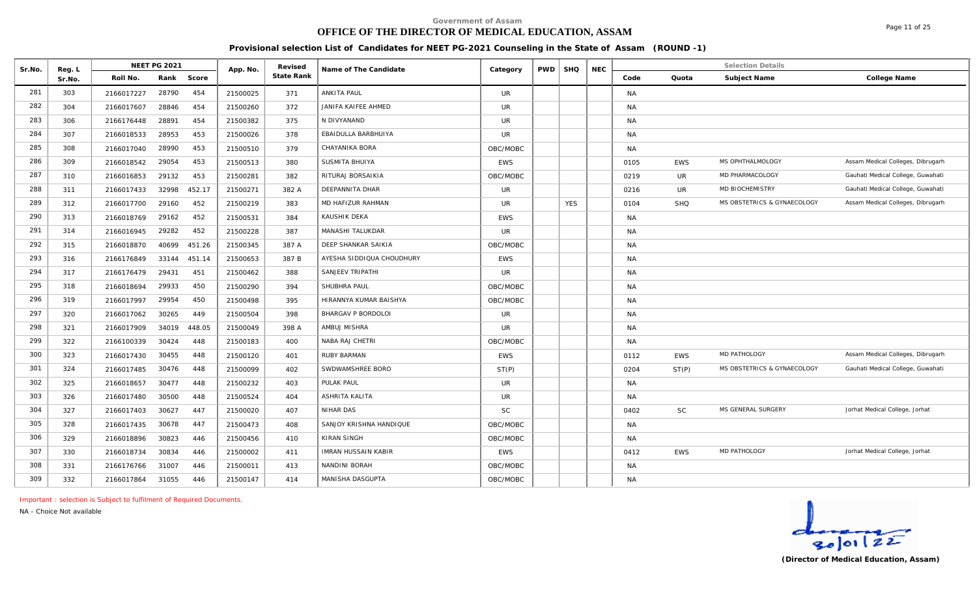# **OFFICE OF THE DIRECTOR OF MEDICAL EDUCATION, ASSAM**

Page 11 of 25

**Provisional selection List of Candidates for NEET PG-2021 Counseling in the State of Assam (ROUND -1)**

| Sr.No. | Reg. L |            | <b>NEET PG 2021</b> |        | App. No. | Revised    | Name of The Candidate      | Category   | PWD | SHQ        | <b>NEC</b> |           |            | <b>Selection Details</b>    |                                   |
|--------|--------|------------|---------------------|--------|----------|------------|----------------------------|------------|-----|------------|------------|-----------|------------|-----------------------------|-----------------------------------|
|        | Sr.No. | Roll No.   | Rank Score          |        |          | State Rank |                            |            |     |            |            | Code      | Quota      | Subject Name                | College Name                      |
| 281    | 303    | 2166017227 | 28790               | 454    | 21500025 | 371        | <b>ANKITA PAUL</b>         | <b>UR</b>  |     |            |            | <b>NA</b> |            |                             |                                   |
| 282    | 304    | 2166017607 | 28846               | 454    | 21500260 | 372        | JANIFA KAIFEE AHMED        | UR.        |     |            |            | <b>NA</b> |            |                             |                                   |
| 283    | 306    | 2166176448 | 28891               | 454    | 21500382 | 375        | N DIVYANAND                | <b>UR</b>  |     |            |            | NA        |            |                             |                                   |
| 284    | 307    | 2166018533 | 28953               | 453    | 21500026 | 378        | EBAIDULLA BARBHUIYA        | <b>UR</b>  |     |            |            | <b>NA</b> |            |                             |                                   |
| 285    | 308    | 2166017040 | 28990               | 453    | 21500510 | 379        | CHAYANIKA BORA             | OBC/MOBC   |     |            |            | <b>NA</b> |            |                             |                                   |
| 286    | 309    | 2166018542 | 29054               | 453    | 21500513 | 380        | SUSMITA BHUIYA             | <b>EWS</b> |     |            |            | 0105      | <b>EWS</b> | MS OPHTHALMOLOGY            | Assam Medical Colleges, Dibrugarh |
| 287    | 310    | 2166016853 | 29132               | 453    | 21500281 | 382        | RITURAJ BORSAIKIA          | OBC/MOBC   |     |            |            | 0219      | UR.        | MD PHARMACOLOGY             | Gauhati Medical College, Guwahati |
| 288    | 311    | 2166017433 | 32998               | 452.17 | 21500271 | 382 A      | DEEPANNITA DHAR            | UR.        |     |            |            | 0216      | UR.        | MD BIOCHEMISTRY             | Gauhati Medical College, Guwahati |
| 289    | 312    | 2166017700 | 29160               | 452    | 21500219 | 383        | MD HAFIZUR RAHMAN          | <b>UR</b>  |     | <b>YES</b> |            | 0104      | <b>SHQ</b> | MS OBSTETRICS & GYNAECOLOGY | Assam Medical Colleges, Dibrugarh |
| 290    | 313    | 2166018769 | 29162               | 452    | 21500531 | 384        | <b>KAUSHIK DEKA</b>        | <b>EWS</b> |     |            |            | NA        |            |                             |                                   |
| 291    | 314    | 2166016945 | 29282               | 452    | 21500228 | 387        | MANASHI TALUKDAR           | UR.        |     |            |            | <b>NA</b> |            |                             |                                   |
| 292    | 315    | 2166018870 | 40699               | 451.26 | 21500345 | 387 A      | DEEP SHANKAR SAIKIA        | OBC/MOBC   |     |            |            | <b>NA</b> |            |                             |                                   |
| 293    | 316    | 2166176849 | 33144               | 451.14 | 21500653 | 387 B      | AYESHA SIDDIQUA CHOUDHURY  | <b>EWS</b> |     |            |            | NA        |            |                             |                                   |
| 294    | 317    | 2166176479 | 29431               | 451    | 21500462 | 388        | SANJEEV TRIPATHI           | UR.        |     |            |            | NA        |            |                             |                                   |
| 295    | 318    | 2166018694 | 29933               | 450    | 21500290 | 394        | SHUBHRA PAUL               | OBC/MOBC   |     |            |            | NA        |            |                             |                                   |
| 296    | 319    | 2166017997 | 29954               | 450    | 21500498 | 395        | HIRANNYA KUMAR BAISHYA     | OBC/MOBC   |     |            |            | <b>NA</b> |            |                             |                                   |
| 297    | 320    | 2166017062 | 30265               | 449    | 21500504 | 398        | BHARGAV P BORDOLOI         | UR.        |     |            |            | <b>NA</b> |            |                             |                                   |
| 298    | 321    | 2166017909 | 34019               | 448.05 | 21500049 | 398 A      | AMBUJ MISHRA               | UR         |     |            |            | NA        |            |                             |                                   |
| 299    | 322    | 2166100339 | 30424               | 448    | 21500183 | 400        | NABA RAJ CHETRI            | OBC/MOBC   |     |            |            | <b>NA</b> |            |                             |                                   |
| 300    | 323    | 2166017430 | 30455               | 448    | 21500120 | 401        | RUBY BARMAN                | <b>EWS</b> |     |            |            | 0112      | EWS        | MD PATHOLOGY                | Assam Medical Colleges, Dibrugarh |
| 301    | 324    | 2166017485 | 30476               | 448    | 21500099 | 402        | SWDWAMSHREE BORO           | ST(P)      |     |            |            | 0204      | ST(P)      | MS OBSTETRICS & GYNAECOLOGY | Gauhati Medical College, Guwahati |
| 302    | 325    | 2166018657 | 30477               | 448    | 21500232 | 403        | PULAK PAUL                 | UR         |     |            |            | <b>NA</b> |            |                             |                                   |
| 303    | 326    | 2166017480 | 30500               | 448    | 21500524 | 404        | ASHRITA KALITA             | <b>UR</b>  |     |            |            | <b>NA</b> |            |                             |                                   |
| 304    | 327    | 2166017403 | 30627               | 447    | 21500020 | 407        | NIHAR DAS                  | <b>SC</b>  |     |            |            | 0402      | <b>SC</b>  | MS GENERAL SURGERY          | Jorhat Medical College, Jorhat    |
| 305    | 328    | 2166017435 | 30678               | 447    | 21500473 | 408        | SANJOY KRISHNA HANDIQUE    | OBC/MOBC   |     |            |            | <b>NA</b> |            |                             |                                   |
| 306    | 329    | 2166018896 | 30823               | 446    | 21500456 | 410        | KIRAN SINGH                | OBC/MOBC   |     |            |            | <b>NA</b> |            |                             |                                   |
| 307    | 330    | 2166018734 | 30834               | 446    | 21500002 | 411        | <b>IMRAN HUSSAIN KABIR</b> | <b>EWS</b> |     |            |            | 0412      | <b>EWS</b> | MD PATHOLOGY                | Jorhat Medical College, Jorhat    |
| 308    | 331    | 2166176766 | 31007               | 446    | 21500011 | 413        | NANDINI BORAH              | OBC/MOBC   |     |            |            | <b>NA</b> |            |                             |                                   |
| 309    | 332    | 2166017864 | 31055               | 446    | 21500147 | 414        | MANISHA DASGUPTA           | OBC/MOBC   |     |            |            | NA        |            |                             |                                   |

*Important : selection is Subject to fulfilment of Required Documents.*

*NA - Choice Not available*

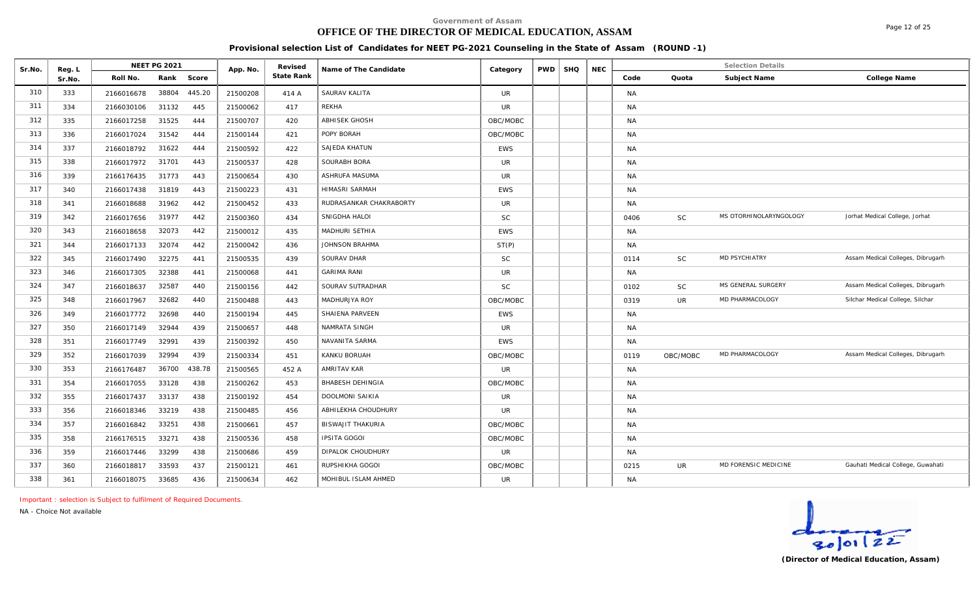# **OFFICE OF THE DIRECTOR OF MEDICAL EDUCATION, ASSAM**

Page 12 of 25

**Provisional selection List of Candidates for NEET PG-2021 Counseling in the State of Assam (ROUND -1)**

| Sr.No. | Reg. L |            | NEET PG 2021 |        | App. No. | Revised    | Name of The Candidate    | Category   | <b>PWD</b> | <b>SHQ</b> | <b>NEC</b> |           |           | <b>Selection Details</b> |                                   |
|--------|--------|------------|--------------|--------|----------|------------|--------------------------|------------|------------|------------|------------|-----------|-----------|--------------------------|-----------------------------------|
|        | Sr.No. | Roll No.   | Rank         | Score  |          | State Rank |                          |            |            |            |            | Code      | Quota     | Subject Name             | College Name                      |
| 310    | 333    | 2166016678 | 38804        | 445.20 | 21500208 | 414 A      | SAURAV KALITA            | <b>UR</b>  |            |            |            | <b>NA</b> |           |                          |                                   |
| 311    | 334    | 2166030106 | 31132        | 445    | 21500062 | 417        | REKHA                    | <b>UR</b>  |            |            |            | <b>NA</b> |           |                          |                                   |
| 312    | 335    | 2166017258 | 31525        | 444    | 21500707 | 420        | <b>ABHISEK GHOSH</b>     | OBC/MOBC   |            |            |            | <b>NA</b> |           |                          |                                   |
| 313    | 336    | 2166017024 | 31542        | 444    | 21500144 | 421        | POPY BORAH               | OBC/MOBC   |            |            |            | <b>NA</b> |           |                          |                                   |
| 314    | 337    | 2166018792 | 31622        | 444    | 21500592 | 422        | <b>SAJEDA KHATUN</b>     | <b>EWS</b> |            |            |            | <b>NA</b> |           |                          |                                   |
| 315    | 338    | 2166017972 | 31701        | 443    | 21500537 | 428        | SOURABH BORA             | <b>UR</b>  |            |            |            | <b>NA</b> |           |                          |                                   |
| 316    | 339    | 2166176435 | 31773        | 443    | 21500654 | 430        | ASHRUFA MASUMA           | <b>UR</b>  |            |            |            | <b>NA</b> |           |                          |                                   |
| 317    | 340    | 2166017438 | 31819        | 443    | 21500223 | 431        | HIMASRI SARMAH           | <b>EWS</b> |            |            |            | <b>NA</b> |           |                          |                                   |
| 318    | 341    | 2166018688 | 31962        | 442    | 21500452 | 433        | RUDRASANKAR CHAKRABORTY  | <b>UR</b>  |            |            |            | NA        |           |                          |                                   |
| 319    | 342    | 2166017656 | 31977        | 442    | 21500360 | 434        | SNIGDHA HALOI            | SC         |            |            |            | 0406      | <b>SC</b> | MS OTORHINOLARYNGOLOGY   | Jorhat Medical College, Jorhat    |
| 320    | 343    | 2166018658 | 32073        | 442    | 21500012 | 435        | <b>MADHURI SETHIA</b>    | <b>EWS</b> |            |            |            | <b>NA</b> |           |                          |                                   |
| 321    | 344    | 2166017133 | 32074        | 442    | 21500042 | 436        | <b>JOHNSON BRAHMA</b>    | ST(P)      |            |            |            | NA        |           |                          |                                   |
| 322    | 345    | 2166017490 | 32275        | 441    | 21500535 | 439        | SOURAV DHAR              | <b>SC</b>  |            |            |            | 0114      | <b>SC</b> | <b>MD PSYCHIATRY</b>     | Assam Medical Colleges, Dibrugarh |
| 323    | 346    | 2166017305 | 32388        | 441    | 21500068 | 441        | <b>GARIMA RANI</b>       | <b>UR</b>  |            |            |            | NA        |           |                          |                                   |
| 324    | 347    | 2166018637 | 32587        | 440    | 21500156 | 442        | SOURAV SUTRADHAR         | <b>SC</b>  |            |            |            | 0102      | <b>SC</b> | MS GENERAL SURGERY       | Assam Medical Colleges, Dibrugarh |
| 325    | 348    | 2166017967 | 32682        | 440    | 21500488 | 443        | MADHURJYA ROY            | OBC/MOBC   |            |            |            | 0319      | <b>UR</b> | MD PHARMACOLOGY          | Silchar Medical College, Silchar  |
| 326    | 349    | 2166017772 | 32698        | 440    | 21500194 | 445        | SHAIENA PARVEEN          | <b>EWS</b> |            |            |            | <b>NA</b> |           |                          |                                   |
| 327    | 350    | 2166017149 | 32944        | 439    | 21500657 | 448        | NAMRATA SINGH            | <b>UR</b>  |            |            |            | <b>NA</b> |           |                          |                                   |
| 328    | 351    | 2166017749 | 32991        | 439    | 21500392 | 450        | NAVANITA SARMA           | <b>EWS</b> |            |            |            | <b>NA</b> |           |                          |                                   |
| 329    | 352    | 2166017039 | 32994        | 439    | 21500334 | 451        | KANKU BORUAH             | OBC/MOBC   |            |            |            | 0119      | OBC/MOBC  | MD PHARMACOLOGY          | Assam Medical Colleges, Dibrugarh |
| 330    | 353    | 2166176487 | 36700        | 438.78 | 21500565 | 452 A      | <b>AMRITAV KAR</b>       | UR         |            |            |            | <b>NA</b> |           |                          |                                   |
| 331    | 354    | 2166017055 | 33128        | 438    | 21500262 | 453        | <b>BHABESH DEHINGIA</b>  | OBC/MOBC   |            |            |            | <b>NA</b> |           |                          |                                   |
| 332    | 355    | 2166017437 | 33137        | 438    | 21500192 | 454        | DOOLMONI SAIKIA          | <b>UR</b>  |            |            |            | <b>NA</b> |           |                          |                                   |
| 333    | 356    | 2166018346 | 33219        | 438    | 21500485 | 456        | ABHILEKHA CHOUDHURY      | UR.        |            |            |            | NA        |           |                          |                                   |
| 334    | 357    | 2166016842 | 33251        | 438    | 21500661 | 457        | <b>BISWAJIT THAKURIA</b> | OBC/MOBC   |            |            |            | <b>NA</b> |           |                          |                                   |
| 335    | 358    | 2166176515 | 33271        | 438    | 21500536 | 458        | <b>IPSITA GOGOI</b>      | OBC/MOBC   |            |            |            | <b>NA</b> |           |                          |                                   |
| 336    | 359    | 2166017446 | 33299        | 438    | 21500686 | 459        | DIPALOK CHOUDHURY        | UR.        |            |            |            | NA        |           |                          |                                   |
| 337    | 360    | 2166018817 | 33593        | 437    | 21500121 | 461        | RUPSHIKHA GOGOI          | OBC/MOBC   |            |            |            | 0215      | <b>UR</b> | MD FORENSIC MEDICINE     | Gauhati Medical College, Guwahati |
| 338    | 361    | 2166018075 | 33685        | 436    | 21500634 | 462        | MOHIBUL ISLAM AHMED      | <b>UR</b>  |            |            |            | NA        |           |                          |                                   |

*Important : selection is Subject to fulfilment of Required Documents.*

*NA - Choice Not available*

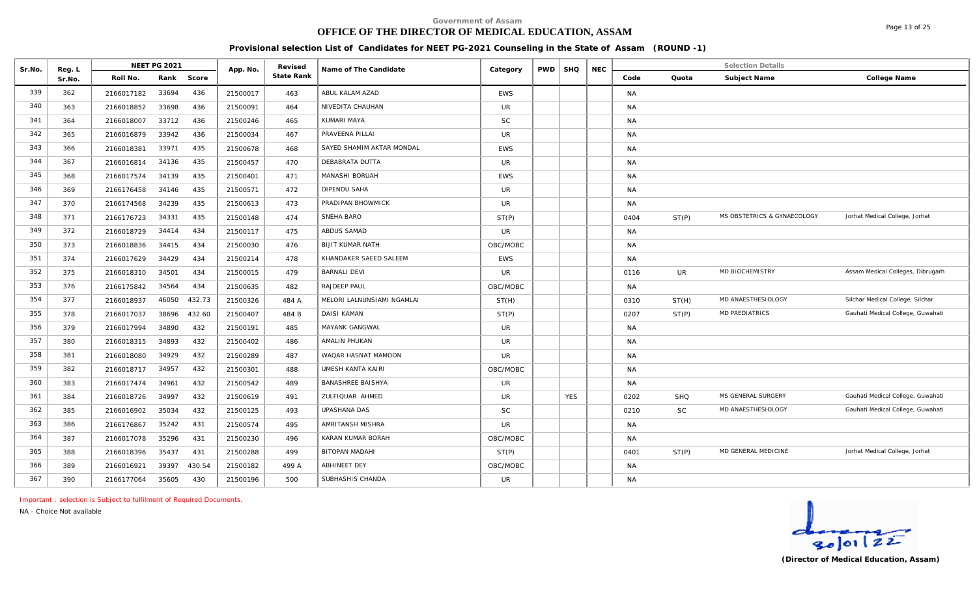# **OFFICE OF THE DIRECTOR OF MEDICAL EDUCATION, ASSAM**

**Provisional selection List of Candidates for NEET PG-2021 Counseling in the State of Assam (ROUND -1)**

| Sr.No. | Reg. L |            | <b>NEET PG 2021</b> |        | App. No. | Revised    | Name of The Candidate      | Category   | PWD | SHQ        | <b>NEC</b> |           |            | <b>Selection Details</b>    |                                   |
|--------|--------|------------|---------------------|--------|----------|------------|----------------------------|------------|-----|------------|------------|-----------|------------|-----------------------------|-----------------------------------|
|        | Sr.No. | Roll No.   | Rank                | Score  |          | State Rank |                            |            |     |            |            | Code      | Quota      | Subject Name                | College Name                      |
| 339    | 362    | 2166017182 | 33694               | 436    | 21500017 | 463        | ABUL KALAM AZAD            | <b>EWS</b> |     |            |            | NA        |            |                             |                                   |
| 340    | 363    | 2166018852 | 33698               | 436    | 21500091 | 464        | NIVEDITA CHAUHAN           | <b>UR</b>  |     |            |            | <b>NA</b> |            |                             |                                   |
| 341    | 364    | 2166018007 | 33712               | 436    | 21500246 | 465        | KUMARI MAYA                | <b>SC</b>  |     |            |            | NA        |            |                             |                                   |
| 342    | 365    | 2166016879 | 33942               | 436    | 21500034 | 467        | PRAVEENA PILLAI            | <b>UR</b>  |     |            |            | <b>NA</b> |            |                             |                                   |
| 343    | 366    | 2166018381 | 33971               | 435    | 21500678 | 468        | SAYED SHAMIM AKTAR MONDAL  | <b>EWS</b> |     |            |            | NA        |            |                             |                                   |
| 344    | 367    | 2166016814 | 34136               | 435    | 21500457 | 470        | DEBABRATA DUTTA            | <b>UR</b>  |     |            |            | <b>NA</b> |            |                             |                                   |
| 345    | 368    | 2166017574 | 34139               | 435    | 21500401 | 471        | MANASHI BORUAH             | <b>EWS</b> |     |            |            | <b>NA</b> |            |                             |                                   |
| 346    | 369    | 2166176458 | 34146               | 435    | 21500571 | 472        | DIPENDU SAHA               | UR         |     |            |            | NA        |            |                             |                                   |
| 347    | 370    | 2166174568 | 34239               | 435    | 21500613 | 473        | PRADIPAN BHOWMICK          | <b>UR</b>  |     |            |            | <b>NA</b> |            |                             |                                   |
| 348    | 371    | 2166176723 | 34331               | 435    | 21500148 | 474        | SNEHA BARO                 | ST(P)      |     |            |            | 0404      | ST(P)      | MS OBSTETRICS & GYNAECOLOGY | Jorhat Medical College, Jorhat    |
| 349    | 372    | 2166018729 | 34414               | 434    | 21500117 | 475        | ABDUS SAMAD                | <b>UR</b>  |     |            |            | NA        |            |                             |                                   |
| 350    | 373    | 2166018836 | 34415               | 434    | 21500030 | 476        | <b>BIJIT KUMAR NATH</b>    | OBC/MOBC   |     |            |            | <b>NA</b> |            |                             |                                   |
| 351    | 374    | 2166017629 | 34429               | 434    | 21500214 | 478        | KHANDAKER SAEED SALEEM     | <b>EWS</b> |     |            |            | NA        |            |                             |                                   |
| 352    | 375    | 2166018310 | 34501               | 434    | 21500015 | 479        | <b>BARNALI DEVI</b>        | UR.        |     |            |            | 0116      | <b>UR</b>  | MD BIOCHEMISTRY             | Assam Medical Colleges, Dibrugarh |
| 353    | 376    | 2166175842 | 34564               | 434    | 21500635 | 482        | RAJDEEP PAUL               | OBC/MOBC   |     |            |            | <b>NA</b> |            |                             |                                   |
| 354    | 377    | 2166018937 | 46050               | 432.73 | 21500326 | 484 A      | MELORI LALNUNSIAMI NGAMLAI | ST(H)      |     |            |            | 0310      | ST(H)      | MD ANAESTHESIOLOGY          | Silchar Medical College, Silchar  |
| 355    | 378    | 2166017037 | 38696               | 432.60 | 21500407 | 484 B      | <b>DAISI KAMAN</b>         | ST(P)      |     |            |            | 0207      | ST(P)      | <b>MD PAEDIATRICS</b>       | Gauhati Medical College, Guwahati |
| 356    | 379    | 2166017994 | 34890               | 432    | 21500191 | 485        | MAYANK GANGWAL             | <b>UR</b>  |     |            |            | NA        |            |                             |                                   |
| 357    | 380    | 2166018315 | 34893               | 432    | 21500402 | 486        | AMALIN PHUKAN              | UR.        |     |            |            | <b>NA</b> |            |                             |                                   |
| 358    | 381    | 2166018080 | 34929               | 432    | 21500289 | 487        | WAQAR HASNAT MAMOON        | <b>UR</b>  |     |            |            | <b>NA</b> |            |                             |                                   |
| 359    | 382    | 2166018717 | 34957               | 432    | 21500301 | 488        | <b>UMESH KANTA KAIRI</b>   | OBC/MOBC   |     |            |            | <b>NA</b> |            |                             |                                   |
| 360    | 383    | 2166017474 | 34961               | 432    | 21500542 | 489        | <b>BANASHREE BAISHYA</b>   | UR         |     |            |            | NA        |            |                             |                                   |
| 361    | 384    | 2166018726 | 34997               | 432    | 21500619 | 491        | ZULFIQUAR AHMED            | <b>UR</b>  |     | <b>YES</b> |            | 0202      | <b>SHQ</b> | MS GENERAL SURGERY          | Gauhati Medical College, Guwahati |
| 362    | 385    | 2166016902 | 35034               | 432    | 21500125 | 493        | UPASHANA DAS               | <b>SC</b>  |     |            |            | 0210      | <b>SC</b>  | MD ANAESTHESIOLOGY          | Gauhati Medical College, Guwahati |
| 363    | 386    | 2166176867 | 35242               | 431    | 21500574 | 495        | AMRITANSH MISHRA           | <b>UR</b>  |     |            |            | <b>NA</b> |            |                             |                                   |
| 364    | 387    | 2166017078 | 35296               | 431    | 21500230 | 496        | KARAN KUMAR BORAH          | OBC/MOBC   |     |            |            | <b>NA</b> |            |                             |                                   |
| 365    | 388    | 2166018396 | 35437               | 431    | 21500288 | 499        | BITOPAN MADAHI             | ST(P)      |     |            |            | 0401      | ST(P)      | MD GENERAL MEDICINE         | Jorhat Medical College, Jorhat    |
| 366    | 389    | 2166016921 | 39397               | 430.54 | 21500182 | 499 A      | <b>ABHINEET DEY</b>        | OBC/MOBC   |     |            |            | NA        |            |                             |                                   |
| 367    | 390    | 2166177064 | 35605               | 430    | 21500196 | 500        | SUBHASHIS CHANDA           | <b>UR</b>  |     |            |            | <b>NA</b> |            |                             |                                   |

*Important : selection is Subject to fulfilment of Required Documents.*

*NA - Choice Not available*



Page 13 of 25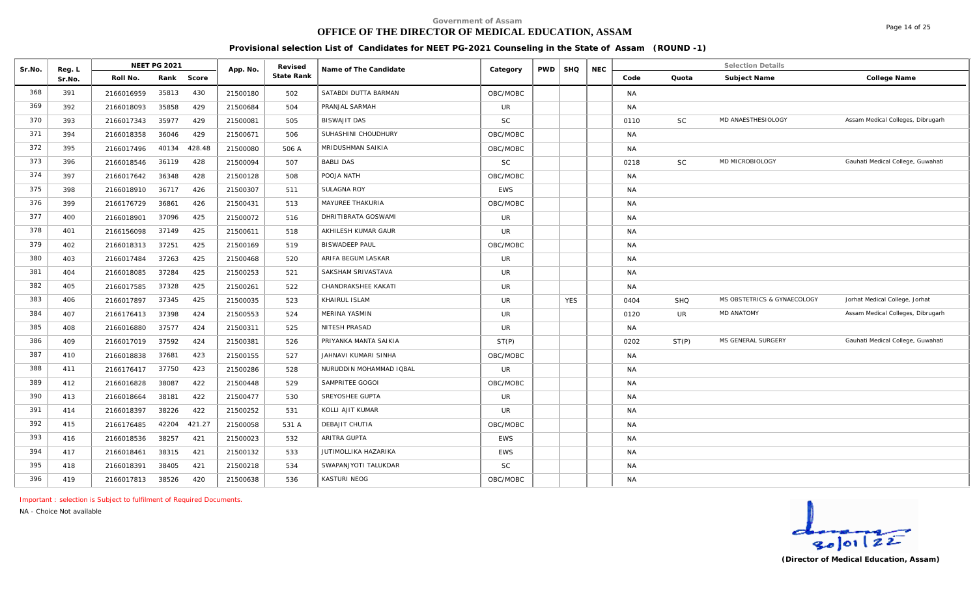# **OFFICE OF THE DIRECTOR OF MEDICAL EDUCATION, ASSAM**

**Provisional selection List of Candidates for NEET PG-2021 Counseling in the State of Assam (ROUND -1)**

| Sr.No. | Reg. L |            | <b>NEET PG 2021</b> |        | App. No. | Revised    | Name of The Candidate   | Category   | PWD | SHQ        | <b>NEC</b> |           |           | <b>Selection Details</b>    |                                   |
|--------|--------|------------|---------------------|--------|----------|------------|-------------------------|------------|-----|------------|------------|-----------|-----------|-----------------------------|-----------------------------------|
|        | Sr.No. | Roll No.   | Rank                | Score  |          | State Rank |                         |            |     |            |            | Code      | Quota     | Subject Name                | College Name                      |
| 368    | 391    | 2166016959 | 35813               | 430    | 21500180 | 502        | SATABDI DUTTA BARMAN    | OBC/MOBC   |     |            |            | <b>NA</b> |           |                             |                                   |
| 369    | 392    | 2166018093 | 35858               | 429    | 21500684 | 504        | PRANJAL SARMAH          | UR         |     |            |            | <b>NA</b> |           |                             |                                   |
| 370    | 393    | 2166017343 | 35977               | 429    | 21500081 | 505        | BISWAJIT DAS            | <b>SC</b>  |     |            |            | 0110      | <b>SC</b> | MD ANAESTHESIOLOGY          | Assam Medical Colleges, Dibrugarh |
| 371    | 394    | 2166018358 | 36046               | 429    | 21500671 | 506        | SUHASHINI CHOUDHURY     | OBC/MOBC   |     |            |            | <b>NA</b> |           |                             |                                   |
| 372    | 395    | 2166017496 | 40134               | 428.48 | 21500080 | 506 A      | MRIDUSHMAN SAIKIA       | OBC/MOBC   |     |            |            | <b>NA</b> |           |                             |                                   |
| 373    | 396    | 2166018546 | 36119               | 428    | 21500094 | 507        | <b>BABLI DAS</b>        | <b>SC</b>  |     |            |            | 0218      | <b>SC</b> | MD MICROBIOLOGY             | Gauhati Medical College, Guwahati |
| 374    | 397    | 2166017642 | 36348               | 428    | 21500128 | 508        | POOJA NATH              | OBC/MOBC   |     |            |            | <b>NA</b> |           |                             |                                   |
| 375    | 398    | 2166018910 | 36717               | 426    | 21500307 | 511        | SULAGNA ROY             | EWS        |     |            |            | <b>NA</b> |           |                             |                                   |
| 376    | 399    | 2166176729 | 36861               | 426    | 21500431 | 513        | MAYUREE THAKURIA        | OBC/MOBC   |     |            |            | <b>NA</b> |           |                             |                                   |
| 377    | 400    | 2166018901 | 37096               | 425    | 21500072 | 516        | DHRITIBRATA GOSWAMI     | <b>UR</b>  |     |            |            | <b>NA</b> |           |                             |                                   |
| 378    | 401    | 2166156098 | 37149               | 425    | 21500611 | 518        | AKHILESH KUMAR GAUR     | UR         |     |            |            | <b>NA</b> |           |                             |                                   |
| 379    | 402    | 2166018313 | 37251               | 425    | 21500169 | 519        | <b>BISWADEEP PAUL</b>   | OBC/MOBC   |     |            |            | <b>NA</b> |           |                             |                                   |
| 380    | 403    | 2166017484 | 37263               | 425    | 21500468 | 520        | ARIFA BEGUM LASKAR      | UR.        |     |            |            | <b>NA</b> |           |                             |                                   |
| 381    | 404    | 2166018085 | 37284               | 425    | 21500253 | 521        | SAKSHAM SRIVASTAVA      | <b>UR</b>  |     |            |            | <b>NA</b> |           |                             |                                   |
| 382    | 405    | 2166017585 | 37328               | 425    | 21500261 | 522        | CHANDRAKSHEE KAKATI     | <b>UR</b>  |     |            |            | <b>NA</b> |           |                             |                                   |
| 383    | 406    | 2166017897 | 37345               | 425    | 21500035 | 523        | KHAIRUL ISLAM           | UR.        |     | <b>YES</b> |            | 0404      | SHQ       | MS OBSTETRICS & GYNAECOLOGY | Jorhat Medical College, Jorhat    |
| 384    | 407    | 2166176413 | 37398               | 424    | 21500553 | 524        | MERINA YASMIN           | <b>UR</b>  |     |            |            | 0120      | <b>UR</b> | <b>MD ANATOMY</b>           | Assam Medical Colleges, Dibrugarh |
| 385    | 408    | 2166016880 | 37577               | 424    | 21500311 | 525        | NITESH PRASAD           | UR         |     |            |            | NA        |           |                             |                                   |
| 386    | 409    | 2166017019 | 37592               | 424    | 21500381 | 526        | PRIYANKA MANTA SAIKIA   | ST(P)      |     |            |            | 0202      | ST(P)     | MS GENERAL SURGERY          | Gauhati Medical College, Guwahati |
| 387    | 410    | 2166018838 | 37681               | 423    | 21500155 | 527        | JAHNAVI KUMARI SINHA    | OBC/MOBC   |     |            |            | <b>NA</b> |           |                             |                                   |
| 388    | 411    | 2166176417 | 37750               | 423    | 21500286 | 528        | NURUDDIN MOHAMMAD IQBAL | <b>UR</b>  |     |            |            | <b>NA</b> |           |                             |                                   |
| 389    | 412    | 2166016828 | 38087               | 422    | 21500448 | 529        | SAMPRITEE GOGOI         | OBC/MOBC   |     |            |            | <b>NA</b> |           |                             |                                   |
| 390    | 413    | 2166018664 | 38181               | 422    | 21500477 | 530        | SREYOSHEE GUPTA         | <b>UR</b>  |     |            |            | <b>NA</b> |           |                             |                                   |
| 391    | 414    | 2166018397 | 38226               | 422    | 21500252 | 531        | KOLLI AJIT KUMAR        | <b>UR</b>  |     |            |            | <b>NA</b> |           |                             |                                   |
| 392    | 415    | 2166176485 | 42204               | 421.27 | 21500058 | 531 A      | DEBAJIT CHUTIA          | OBC/MOBC   |     |            |            | <b>NA</b> |           |                             |                                   |
| 393    | 416    | 2166018536 | 38257               | 421    | 21500023 | 532        | ARITRA GUPTA            | EWS        |     |            |            | <b>NA</b> |           |                             |                                   |
| 394    | 417    | 2166018461 | 38315               | 421    | 21500132 | 533        | JUTIMOLLIKA HAZARIKA    | <b>EWS</b> |     |            |            | <b>NA</b> |           |                             |                                   |
| 395    | 418    | 2166018391 | 38405               | 421    | 21500218 | 534        | SWAPANJYOTI TALUKDAR    | <b>SC</b>  |     |            |            | <b>NA</b> |           |                             |                                   |
| 396    | 419    | 2166017813 | 38526               | 420    | 21500638 | 536        | KASTURI NEOG            | OBC/MOBC   |     |            |            | <b>NA</b> |           |                             |                                   |

*Important : selection is Subject to fulfilment of Required Documents.*

*NA - Choice Not available*



Page 14 of 25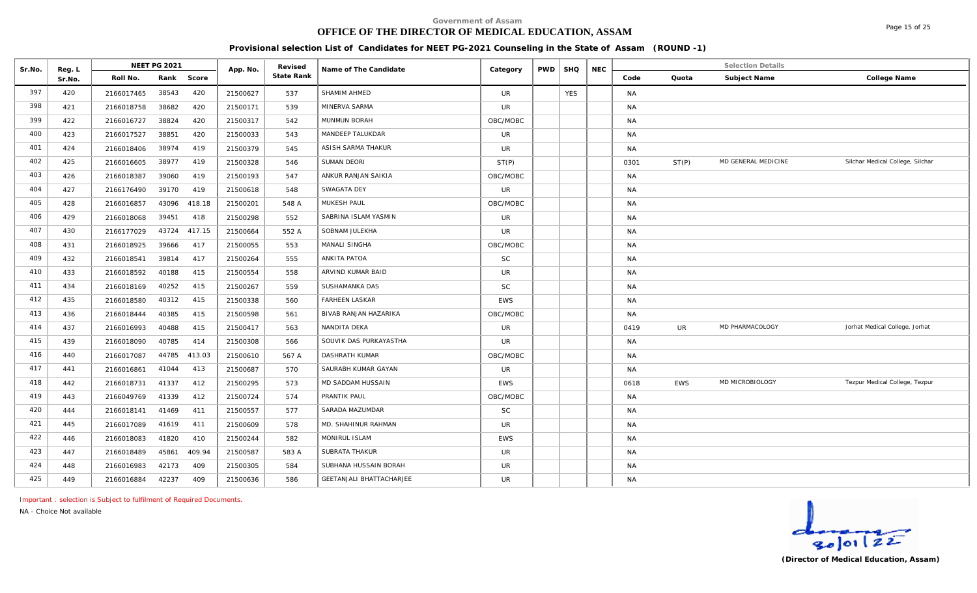# **OFFICE OF THE DIRECTOR OF MEDICAL EDUCATION, ASSAM**

**Provisional selection List of Candidates for NEET PG-2021 Counseling in the State of Assam (ROUND -1)**

| Sr.No. | Reg. L |            | <b>NEET PG 2021</b> |        | App. No. | Revised    | Name of The Candidate           | Category   | PWD   SHQ  | <b>NEC</b> |           |            | <b>Selection Details</b> |                                  |
|--------|--------|------------|---------------------|--------|----------|------------|---------------------------------|------------|------------|------------|-----------|------------|--------------------------|----------------------------------|
|        | Sr.No. | Roll No.   | Rank                | Score  |          | State Rank |                                 |            |            |            | Code      | Quota      | Subject Name             | College Name                     |
| 397    | 420    | 2166017465 | 38543               | 420    | 21500627 | 537        | SHAMIM AHMED                    | UR         | <b>YES</b> |            | <b>NA</b> |            |                          |                                  |
| 398    | 421    | 2166018758 | 38682               | 420    | 21500171 | 539        | MINERVA SARMA                   | UR         |            |            | <b>NA</b> |            |                          |                                  |
| 399    | 422    | 2166016727 | 38824               | 420    | 21500317 | 542        | MUNMUN BORAH                    | OBC/MOBC   |            |            | NA        |            |                          |                                  |
| 400    | 423    | 2166017527 | 38851               | 420    | 21500033 | 543        | MANDEEP TALUKDAR                | UR         |            |            | NA        |            |                          |                                  |
| 401    | 424    | 2166018406 | 38974               | 419    | 21500379 | 545        | ASISH SARMA THAKUR              | UR         |            |            | <b>NA</b> |            |                          |                                  |
| 402    | 425    | 2166016605 | 38977               | 419    | 21500328 | 546        | SUMAN DEORI                     | ST(P)      |            |            | 0301      | ST(P)      | MD GENERAL MEDICINE      | Silchar Medical College, Silchar |
| 403    | 426    | 2166018387 | 39060               | 419    | 21500193 | 547        | ANKUR RANJAN SAIKIA             | OBC/MOBC   |            |            | <b>NA</b> |            |                          |                                  |
| 404    | 427    | 2166176490 | 39170               | 419    | 21500618 | 548        | SWAGATA DEY                     | UR         |            |            | NA        |            |                          |                                  |
| 405    | 428    | 2166016857 | 43096               | 418.18 | 21500201 | 548 A      | MUKESH PAUL                     | OBC/MOBC   |            |            | <b>NA</b> |            |                          |                                  |
| 406    | 429    | 2166018068 | 39451               | 418    | 21500298 | 552        | SABRINA ISLAM YASMIN            | UR         |            |            | NA        |            |                          |                                  |
| 407    | 430    | 2166177029 | 43724               | 417.15 | 21500664 | 552 A      | SOBNAM JULEKHA                  | UR         |            |            | NA        |            |                          |                                  |
| 408    | 431    | 2166018925 | 39666               | 417    | 21500055 | 553        | MANALI SINGHA                   | OBC/MOBC   |            |            | <b>NA</b> |            |                          |                                  |
| 409    | 432    | 2166018541 | 39814               | 417    | 21500264 | 555        | <b>ANKITA PATOA</b>             | <b>SC</b>  |            |            | NA        |            |                          |                                  |
| 410    | 433    | 2166018592 | 40188               | 415    | 21500554 | 558        | ARVIND KUMAR BAID               | UR         |            |            | NA        |            |                          |                                  |
| 411    | 434    | 2166018169 | 40252               | 415    | 21500267 | 559        | SUSHAMANKA DAS                  | <b>SC</b>  |            |            | NA        |            |                          |                                  |
| 412    | 435    | 2166018580 | 40312               | 415    | 21500338 | 560        | <b>FARHEEN LASKAR</b>           | EWS        |            |            | NA        |            |                          |                                  |
| 413    | 436    | 2166018444 | 40385               | 415    | 21500598 | 561        | BIVAB RANJAN HAZARIKA           | OBC/MOBC   |            |            | NA.       |            |                          |                                  |
| 414    | 437    | 2166016993 | 40488               | 415    | 21500417 | 563        | NANDITA DEKA                    | UR         |            |            | 0419      | <b>UR</b>  | MD PHARMACOLOGY          | Jorhat Medical College, Jorhat   |
| 415    | 439    | 2166018090 | 40785               | 414    | 21500308 | 566        | SOUVIK DAS PURKAYASTHA          | UR         |            |            | NA        |            |                          |                                  |
| 416    | 440    | 2166017087 | 44785               | 413.03 | 21500610 | 567 A      | DASHRATH KUMAR                  | OBC/MOBC   |            |            | NA        |            |                          |                                  |
| 417    | 441    | 2166016861 | 41044               | 413    | 21500687 | 570        | SAURABH KUMAR GAYAN             | UR         |            |            | NA        |            |                          |                                  |
| 418    | 442    | 2166018731 | 41337               | 412    | 21500295 | 573        | MD SADDAM HUSSAIN               | <b>EWS</b> |            |            | 0618      | <b>EWS</b> | MD MICROBIOLOGY          | Tezpur Medical College, Tezpur   |
| 419    | 443    | 2166049769 | 41339               | 412    | 21500724 | 574        | PRANTIK PAUL                    | OBC/MOBC   |            |            | NA        |            |                          |                                  |
| 420    | 444    | 2166018141 | 41469               | 411    | 21500557 | 577        | SARADA MAZUMDAR                 | <b>SC</b>  |            |            | NA        |            |                          |                                  |
| 421    | 445    | 2166017089 | 41619               | 411    | 21500609 | 578        | MD. SHAHINUR RAHMAN             | UR         |            |            | NA        |            |                          |                                  |
| 422    | 446    | 2166018083 | 41820               | 410    | 21500244 | 582        | MONIRUL ISLAM                   | <b>EWS</b> |            |            | NA        |            |                          |                                  |
| 423    | 447    | 2166018489 | 45861               | 409.94 | 21500587 | 583 A      | SUBRATA THAKUR                  | UR         |            |            | <b>NA</b> |            |                          |                                  |
| 424    | 448    | 2166016983 | 42173               | 409    | 21500305 | 584        | SUBHANA HUSSAIN BORAH           | <b>UR</b>  |            |            | NA        |            |                          |                                  |
| 425    | 449    | 2166016884 | 42237               | 409    | 21500636 | 586        | <b>GEETANJALI BHATTACHARJEE</b> | UR         |            |            | NA        |            |                          |                                  |

*Important : selection is Subject to fulfilment of Required Documents.*

*NA - Choice Not available*

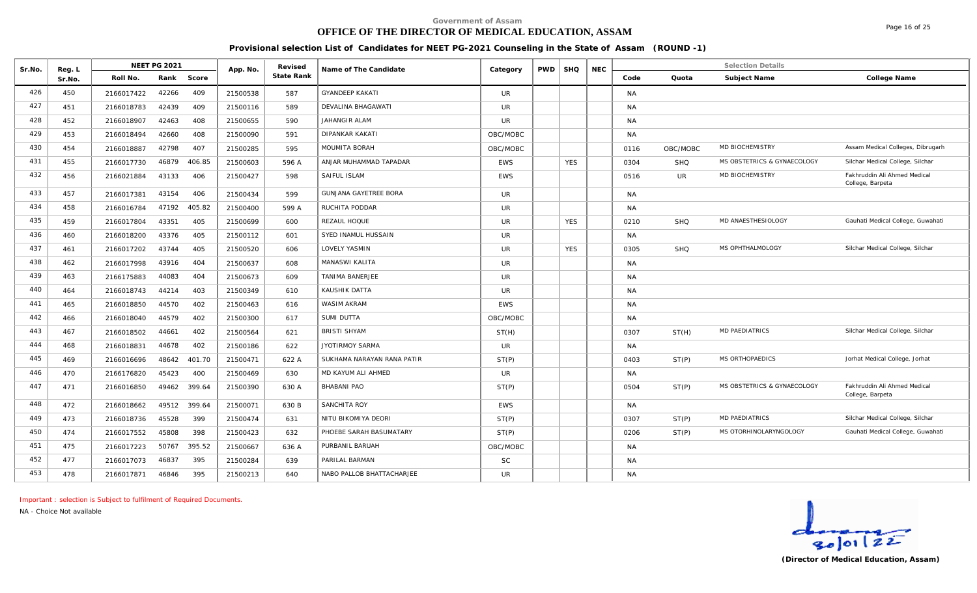# **OFFICE OF THE DIRECTOR OF MEDICAL EDUCATION, ASSAM**

Page 16 of 25

**Provisional selection List of Candidates for NEET PG-2021 Counseling in the State of Assam (ROUND -1)**

| Sr.No. | Reg. L |            | NEET PG 2021 |        | App. No. | Revised    | Name of The Candidate        | Category   | <b>PWD</b> | <b>SHQ</b> | <b>NEC</b> |           |            | <b>Selection Details</b>    |                                                  |
|--------|--------|------------|--------------|--------|----------|------------|------------------------------|------------|------------|------------|------------|-----------|------------|-----------------------------|--------------------------------------------------|
|        | Sr.No. | Roll No.   | Rank         | Score  |          | State Rank |                              |            |            |            |            | Code      | Quota      | Subject Name                | College Name                                     |
| 426    | 450    | 2166017422 | 42266        | 409    | 21500538 | 587        | <b>GYANDEEP KAKATI</b>       | UR         |            |            |            | NA        |            |                             |                                                  |
| 427    | 451    | 2166018783 | 42439        | 409    | 21500116 | 589        | DEVALINA BHAGAWATI           | <b>UR</b>  |            |            |            | NA        |            |                             |                                                  |
| 428    | 452    | 2166018907 | 42463        | 408    | 21500655 | 590        | JAHANGIR ALAM                | <b>UR</b>  |            |            |            | <b>NA</b> |            |                             |                                                  |
| 429    | 453    | 2166018494 | 42660        | 408    | 21500090 | 591        | <b>DIPANKAR KAKATI</b>       | OBC/MOBC   |            |            |            | NA        |            |                             |                                                  |
| 430    | 454    | 2166018887 | 42798        | 407    | 21500285 | 595        | MOUMITA BORAH                | OBC/MOBC   |            |            |            | 0116      | OBC/MOBC   | MD BIOCHEMISTRY             | Assam Medical Colleges, Dibrugarh                |
| 431    | 455    | 2166017730 | 46879        | 406.85 | 21500603 | 596 A      | ANJAR MUHAMMAD TAPADAR       | <b>EWS</b> |            | <b>YES</b> |            | 0304      | <b>SHQ</b> | MS OBSTETRICS & GYNAECOLOGY | Silchar Medical College, Silchar                 |
| 432    | 456    | 2166021884 | 43133        | 406    | 21500427 | 598        | SAIFUL ISLAM                 | <b>EWS</b> |            |            |            | 0516      | UR         | MD BIOCHEMISTRY             | Fakhruddin Ali Ahmed Medical<br>College, Barpeta |
| 433    | 457    | 2166017381 | 43154        | 406    | 21500434 | 599        | <b>GUNJANA GAYETREE BORA</b> | UR         |            |            |            | NA        |            |                             |                                                  |
| 434    | 458    | 2166016784 | 47192        | 405.82 | 21500400 | 599 A      | RUCHITA PODDAR               | <b>UR</b>  |            |            |            | <b>NA</b> |            |                             |                                                  |
| 435    | 459    | 2166017804 | 43351        | 405    | 21500699 | 600        | REZAUL HOQUE                 | <b>UR</b>  |            | <b>YES</b> |            | 0210      | <b>SHQ</b> | MD ANAESTHESIOLOGY          | Gauhati Medical College, Guwahati                |
| 436    | 460    | 2166018200 | 43376        | 405    | 21500112 | 601        | SYED INAMUL HUSSAIN          | UR         |            |            |            | <b>NA</b> |            |                             |                                                  |
| 437    | 461    | 2166017202 | 43744        | 405    | 21500520 | 606        | LOVELY YASMIN                | UR.        |            | <b>YES</b> |            | 0305      | <b>SHQ</b> | MS OPHTHALMOLOGY            | Silchar Medical College, Silchar                 |
| 438    | 462    | 2166017998 | 43916        | 404    | 21500637 | 608        | MANASWI KALITA               | UR         |            |            |            | NA        |            |                             |                                                  |
| 439    | 463    | 2166175883 | 44083        | 404    | 21500673 | 609        | <b>TANIMA BANERJEE</b>       | <b>UR</b>  |            |            |            | <b>NA</b> |            |                             |                                                  |
| 440    | 464    | 2166018743 | 44214        | 403    | 21500349 | 610        | KAUSHIK DATTA                | <b>UR</b>  |            |            |            | NA        |            |                             |                                                  |
| 441    | 465    | 2166018850 | 44570        | 402    | 21500463 | 616        | WASIM AKRAM                  | <b>EWS</b> |            |            |            | NA        |            |                             |                                                  |
| 442    | 466    | 2166018040 | 44579        | 402    | 21500300 | 617        | SUMI DUTTA                   | OBC/MOBC   |            |            |            | <b>NA</b> |            |                             |                                                  |
| 443    | 467    | 2166018502 | 44661        | 402    | 21500564 | 621        | <b>BRISTI SHYAM</b>          | ST(H)      |            |            |            | 0307      | ST(H)      | <b>MD PAEDIATRICS</b>       | Silchar Medical College, Silchar                 |
| 444    | 468    | 2166018831 | 44678        | 402    | 21500186 | 622        | <b>JYOTIRMOY SARMA</b>       | <b>UR</b>  |            |            |            | <b>NA</b> |            |                             |                                                  |
| 445    | 469    | 2166016696 | 48642        | 401.70 | 21500471 | 622 A      | SUKHAMA NARAYAN RANA PATIR   | ST(P)      |            |            |            | 0403      | ST(P)      | MS ORTHOPAEDICS             | Jorhat Medical College, Jorhat                   |
| 446    | 470    | 2166176820 | 45423        | 400    | 21500469 | 630        | MD KAYUM ALI AHMED           | <b>UR</b>  |            |            |            | <b>NA</b> |            |                             |                                                  |
| 447    | 471    | 2166016850 | 49462        | 399.64 | 21500390 | 630 A      | <b>BHABANI PAO</b>           | ST(P)      |            |            |            | 0504      | ST(P)      | MS OBSTETRICS & GYNAECOLOGY | Fakhruddin Ali Ahmed Medical<br>College, Barpeta |
| 448    | 472    | 2166018662 | 49512        | 399.64 | 21500071 | 630 B      | SANCHITA ROY                 | <b>EWS</b> |            |            |            | <b>NA</b> |            |                             |                                                  |
| 449    | 473    | 2166018736 | 45528        | 399    | 21500474 | 631        | NITU BIKOMIYA DEORI          | ST(P)      |            |            |            | 0307      | ST(P)      | <b>MD PAEDIATRICS</b>       | Silchar Medical College, Silchar                 |
| 450    | 474    | 2166017552 | 45808        | 398    | 21500423 | 632        | PHOEBE SARAH BASUMATARY      | ST(P)      |            |            |            | 0206      | ST(P)      | MS OTORHINOLARYNGOLOGY      | Gauhati Medical College, Guwahati                |
| 451    | 475    | 2166017223 | 50767        | 395.52 | 21500667 | 636 A      | PURBANIL BARUAH              | OBC/MOBC   |            |            |            | <b>NA</b> |            |                             |                                                  |
| 452    | 477    | 2166017073 | 46837        | 395    | 21500284 | 639        | PARILAL BARMAN               | <b>SC</b>  |            |            |            | <b>NA</b> |            |                             |                                                  |
| 453    | 478    | 2166017871 | 46846        | 395    | 21500213 | 640        | NABO PALLOB BHATTACHARJEE    | <b>UR</b>  |            |            |            | <b>NA</b> |            |                             |                                                  |

*Important : selection is Subject to fulfilment of Required Documents.*

*NA - Choice Not available*

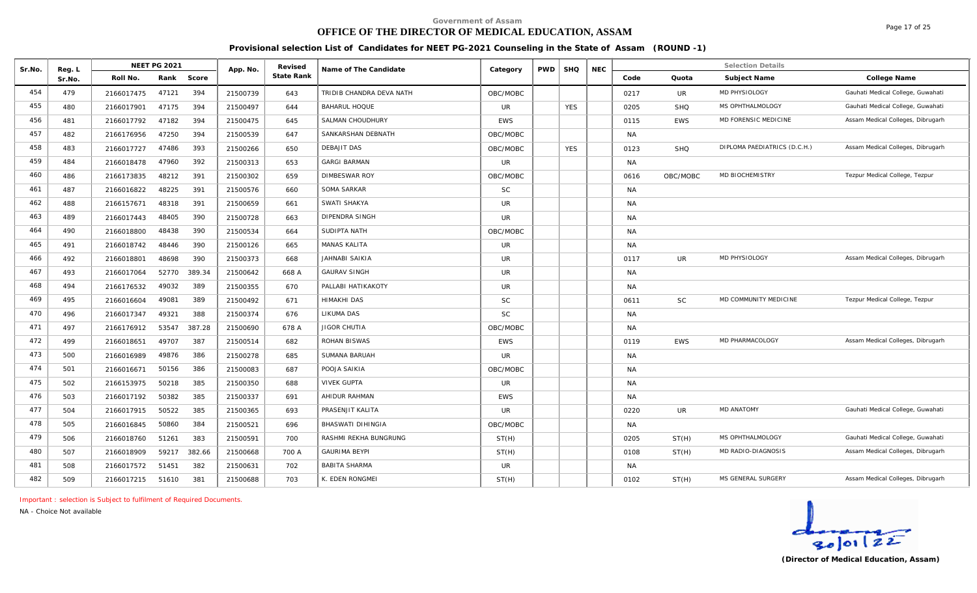## **OFFICE OF THE DIRECTOR OF MEDICAL EDUCATION, ASSAM**

Page 17 of 25

**Provisional selection List of Candidates for NEET PG-2021 Counseling in the State of Assam (ROUND -1)**

| Sr.No. | Reg. L | <b>NEET PG 2021</b> |       |        | App. No. | Revised    | Name of The Candidate    | Category   | <b>PWD</b> | <b>SHQ</b> | <b>NEC</b> |           |            | <b>Selection Details</b>     |                                   |
|--------|--------|---------------------|-------|--------|----------|------------|--------------------------|------------|------------|------------|------------|-----------|------------|------------------------------|-----------------------------------|
|        | Sr.No. | Roll No.            | Rank  | Score  |          | State Rank |                          |            |            |            |            | Code      | Quota      | Subject Name                 | College Name                      |
| 454    | 479    | 2166017475          | 47121 | 394    | 21500739 | 643        | TRIDIB CHANDRA DEVA NATH | OBC/MOBC   |            |            |            | 0217      | UR         | MD PHYSIOLOGY                | Gauhati Medical College, Guwahati |
| 455    | 480    | 2166017901          | 47175 | 394    | 21500497 | 644        | <b>BAHARUL HOQUE</b>     | <b>UR</b>  |            | <b>YES</b> |            | 0205      | SHQ        | MS OPHTHALMOLOGY             | Gauhati Medical College, Guwahati |
| 456    | 481    | 2166017792          | 47182 | 394    | 21500475 | 645        | SALMAN CHOUDHURY         | <b>EWS</b> |            |            |            | 0115      | EWS        | MD FORENSIC MEDICINE         | Assam Medical Colleges, Dibrugarh |
| 457    | 482    | 2166176956          | 47250 | 394    | 21500539 | 647        | SANKARSHAN DEBNATH       | OBC/MOBC   |            |            |            | <b>NA</b> |            |                              |                                   |
| 458    | 483    | 2166017727          | 47486 | 393    | 21500266 | 650        | <b>DEBAJIT DAS</b>       | OBC/MOBC   |            | <b>YES</b> |            | 0123      | <b>SHQ</b> | DIPLOMA PAEDIATRICS (D.C.H.) | Assam Medical Colleges, Dibrugarh |
| 459    | 484    | 2166018478          | 47960 | 392    | 21500313 | 653        | <b>GARGI BARMAN</b>      | <b>UR</b>  |            |            |            | <b>NA</b> |            |                              |                                   |
| 460    | 486    | 2166173835          | 48212 | 391    | 21500302 | 659        | <b>DIMBESWAR ROY</b>     | OBC/MOBC   |            |            |            | 0616      | OBC/MOBC   | MD BIOCHEMISTRY              | Tezpur Medical College, Tezpur    |
| 461    | 487    | 2166016822          | 48225 | 391    | 21500576 | 660        | SOMA SARKAR              | <b>SC</b>  |            |            |            | <b>NA</b> |            |                              |                                   |
| 462    | 488    | 2166157671          | 48318 | 391    | 21500659 | 661        | SWATI SHAKYA             | <b>UR</b>  |            |            |            | <b>NA</b> |            |                              |                                   |
| 463    | 489    | 2166017443          | 48405 | 390    | 21500728 | 663        | <b>DIPENDRA SINGH</b>    | <b>UR</b>  |            |            |            | NA        |            |                              |                                   |
| 464    | 490    | 2166018800          | 48438 | 390    | 21500534 | 664        | SUDIPTA NATH             | OBC/MOBC   |            |            |            | NA        |            |                              |                                   |
| 465    | 491    | 2166018742          | 48446 | 390    | 21500126 | 665        | <b>MANAS KALITA</b>      | <b>UR</b>  |            |            |            | <b>NA</b> |            |                              |                                   |
| 466    | 492    | 2166018801          | 48698 | 390    | 21500373 | 668        | JAHNABI SAIKIA           | <b>UR</b>  |            |            |            | 0117      | UR         | MD PHYSIOLOGY                | Assam Medical Colleges, Dibrugarh |
| 467    | 493    | 2166017064          | 52770 | 389.34 | 21500642 | 668 A      | <b>GAURAV SINGH</b>      | <b>UR</b>  |            |            |            | <b>NA</b> |            |                              |                                   |
| 468    | 494    | 2166176532          | 49032 | 389    | 21500355 | 670        | PALLABI HATIKAKOTY       | <b>UR</b>  |            |            |            | NA        |            |                              |                                   |
| 469    | 495    | 2166016604          | 49081 | 389    | 21500492 | 671        | HIMAKHI DAS              | <b>SC</b>  |            |            |            | 0611      | <b>SC</b>  | MD COMMUNITY MEDICINE        | Tezpur Medical College, Tezpur    |
| 470    | 496    | 2166017347          | 49321 | 388    | 21500374 | 676        | LIKUMA DAS               | <b>SC</b>  |            |            |            | <b>NA</b> |            |                              |                                   |
| 471    | 497    | 2166176912          | 53547 | 387.28 | 21500690 | 678 A      | <b>JIGOR CHUTIA</b>      | OBC/MOBC   |            |            |            | NA        |            |                              |                                   |
| 472    | 499    | 2166018651          | 49707 | 387    | 21500514 | 682        | ROHAN BISWAS             | <b>EWS</b> |            |            |            | 0119      | <b>EWS</b> | MD PHARMACOLOGY              | Assam Medical Colleges, Dibrugarh |
| 473    | 500    | 2166016989          | 49876 | 386    | 21500278 | 685        | <b>SUMANA BARUAH</b>     | <b>UR</b>  |            |            |            | NA        |            |                              |                                   |
| 474    | 501    | 2166016671          | 50156 | 386    | 21500083 | 687        | POOJA SAIKIA             | OBC/MOBC   |            |            |            | NA        |            |                              |                                   |
| 475    | 502    | 2166153975          | 50218 | 385    | 21500350 | 688        | <b>VIVEK GUPTA</b>       | <b>UR</b>  |            |            |            | <b>NA</b> |            |                              |                                   |
| 476    | 503    | 2166017192          | 50382 | 385    | 21500337 | 691        | AHIDUR RAHMAN            | <b>EWS</b> |            |            |            | NA        |            |                              |                                   |
| 477    | 504    | 2166017915          | 50522 | 385    | 21500365 | 693        | PRASENJIT KALITA         | <b>UR</b>  |            |            |            | 0220      | UR         | <b>MD ANATOMY</b>            | Gauhati Medical College, Guwahati |
| 478    | 505    | 2166016845          | 50860 | 384    | 21500521 | 696        | <b>BHASWATI DIHINGIA</b> | OBC/MOBC   |            |            |            | <b>NA</b> |            |                              |                                   |
| 479    | 506    | 2166018760          | 51261 | 383    | 21500591 | 700        | RASHMI REKHA BUNGRUNG    | ST(H)      |            |            |            | 0205      | ST(H)      | MS OPHTHALMOLOGY             | Gauhati Medical College, Guwahati |
| 480    | 507    | 2166018909          | 59217 | 382.66 | 21500668 | 700 A      | <b>GAURIMA BEYPI</b>     | ST(H)      |            |            |            | 0108      | ST(H)      | MD RADIO-DIAGNOSIS           | Assam Medical Colleges, Dibrugarh |
| 481    | 508    | 2166017572          | 51451 | 382    | 21500631 | 702        | <b>BABITA SHARMA</b>     | <b>UR</b>  |            |            |            | NA        |            |                              |                                   |
| 482    | 509    | 2166017215          | 51610 | 381    | 21500688 | 703        | K. EDEN RONGMEI          | ST(H)      |            |            |            | 0102      | ST(H)      | MS GENERAL SURGERY           | Assam Medical Colleges, Dibrugarh |

*Important : selection is Subject to fulfilment of Required Documents.*

*NA - Choice Not available*

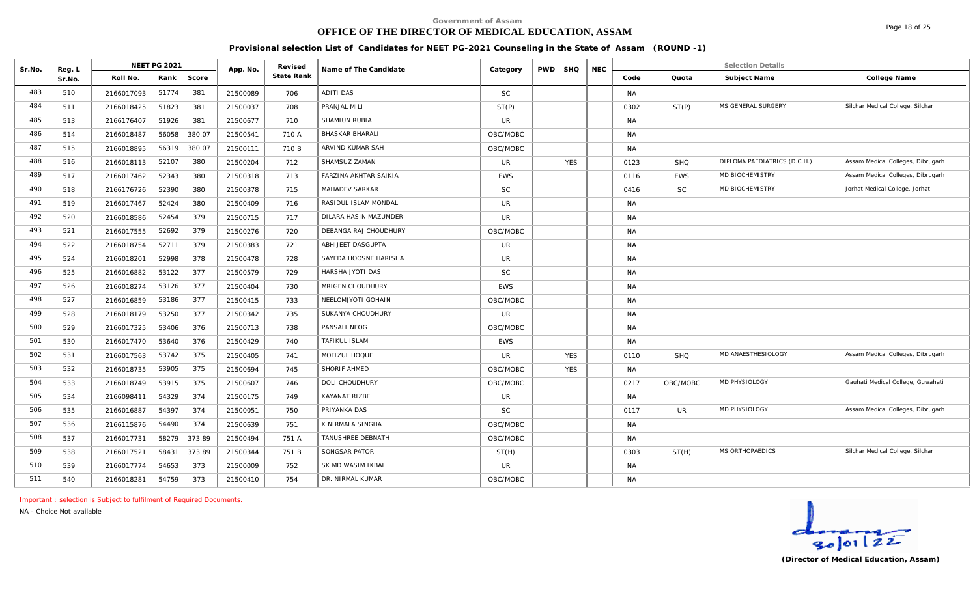# **OFFICE OF THE DIRECTOR OF MEDICAL EDUCATION, ASSAM**

**Provisional selection List of Candidates for NEET PG-2021 Counseling in the State of Assam (ROUND -1)**

| Sr.No. | Reg. L | <b>NEET PG 2021</b>           | App. No. | Revised           | Name of The Candidate        | Category   | <b>PWD</b> | SHQ        | <b>NEC</b> |           |            | <b>Selection Details</b>     |                                   |
|--------|--------|-------------------------------|----------|-------------------|------------------------------|------------|------------|------------|------------|-----------|------------|------------------------------|-----------------------------------|
|        | Sr.No. | Roll No.<br>Rank<br>Score     |          | <b>State Rank</b> |                              |            |            |            |            | Code      | Quota      | Subject Name                 | College Name                      |
| 483    | 510    | 51774<br>381<br>2166017093    | 21500089 | 706               | ADITI DAS                    | <b>SC</b>  |            |            |            | <b>NA</b> |            |                              |                                   |
| 484    | 511    | 381<br>2166018425<br>51823    | 21500037 | 708               | PRANJAL MILI                 | ST(P)      |            |            |            | 0302      | ST(P)      | MS GENERAL SURGERY           | Silchar Medical College, Silchar  |
| 485    | 513    | 51926<br>381<br>2166176407    | 21500677 | 710               | SHAMIUN RUBIA                | <b>UR</b>  |            |            |            | <b>NA</b> |            |                              |                                   |
| 486    | 514    | 56058<br>380.07<br>2166018487 | 21500541 | 710 A             | <b>BHASKAR BHARALI</b>       | OBC/MOBC   |            |            |            | <b>NA</b> |            |                              |                                   |
| 487    | 515    | 56319<br>380.07<br>2166018895 | 21500111 | 710 B             | ARVIND KUMAR SAH             | OBC/MOBC   |            |            |            | <b>NA</b> |            |                              |                                   |
| 488    | 516    | 380<br>52107<br>2166018113    | 21500204 | 712               | SHAMSUZ ZAMAN                | UR         |            | <b>YES</b> |            | 0123      | <b>SHQ</b> | DIPLOMA PAEDIATRICS (D.C.H.) | Assam Medical Colleges, Dibrugarh |
| 489    | 517    | 380<br>2166017462<br>52343    | 21500318 | 713               | <b>FARZINA AKHTAR SAIKIA</b> | <b>EWS</b> |            |            |            | 0116      | <b>EWS</b> | <b>MD BIOCHEMISTRY</b>       | Assam Medical Colleges, Dibrugarh |
| 490    | 518    | 52390<br>380<br>2166176726    | 21500378 | 715               | <b>MAHADEV SARKAR</b>        | <b>SC</b>  |            |            |            | 0416      | <b>SC</b>  | MD BIOCHEMISTRY              | Jorhat Medical College, Jorhat    |
| 491    | 519    | 52424<br>380<br>2166017467    | 21500409 | 716               | RASIDUL ISLAM MONDAL         | <b>UR</b>  |            |            |            | <b>NA</b> |            |                              |                                   |
| 492    | 520    | 52454<br>379<br>2166018586    | 21500715 | 717               | DILARA HASIN MAZUMDER        | UR.        |            |            |            | <b>NA</b> |            |                              |                                   |
| 493    | 521    | 52692<br>379<br>2166017555    | 21500276 | 720               | DEBANGA RAJ CHOUDHURY        | OBC/MOBC   |            |            |            | <b>NA</b> |            |                              |                                   |
| 494    | 522    | 52711<br>379<br>2166018754    | 21500383 | 721               | ABHIJEET DASGUPTA            | UR         |            |            |            | <b>NA</b> |            |                              |                                   |
| 495    | 524    | 378<br>52998<br>2166018201    | 21500478 | 728               | SAYEDA HOOSNE HARISHA        | UR.        |            |            |            | <b>NA</b> |            |                              |                                   |
| 496    | 525    | 53122<br>377<br>2166016882    | 21500579 | 729               | HARSHA JYOTI DAS             | <b>SC</b>  |            |            |            | <b>NA</b> |            |                              |                                   |
| 497    | 526    | 53126<br>377<br>2166018274    | 21500404 | 730               | MRIGEN CHOUDHURY             | <b>EWS</b> |            |            |            | <b>NA</b> |            |                              |                                   |
| 498    | 527    | 53186<br>377<br>2166016859    | 21500415 | 733               | NEELOMJYOTI GOHAIN           | OBC/MOBC   |            |            |            | <b>NA</b> |            |                              |                                   |
| 499    | 528    | 53250<br>377<br>2166018179    | 21500342 | 735               | SUKANYA CHOUDHURY            | <b>UR</b>  |            |            |            | <b>NA</b> |            |                              |                                   |
| 500    | 529    | 53406<br>376<br>2166017325    | 21500713 | 738               | PANSALI NEOG                 | OBC/MOBC   |            |            |            | <b>NA</b> |            |                              |                                   |
| 501    | 530    | 53640<br>376<br>2166017470    | 21500429 | 740               | TAFIKUL ISLAM                | <b>EWS</b> |            |            |            | <b>NA</b> |            |                              |                                   |
| 502    | 531    | 53742<br>375<br>2166017563    | 21500405 | 741               | MOFIZUL HOQUE                | <b>UR</b>  |            | <b>YES</b> |            | 0110      | <b>SHQ</b> | MD ANAESTHESIOLOGY           | Assam Medical Colleges, Dibrugarh |
| 503    | 532    | 53905<br>375<br>2166018735    | 21500694 | 745               | SHORIF AHMED                 | OBC/MOBC   |            | <b>YES</b> |            | NA        |            |                              |                                   |
| 504    | 533    | 2166018749<br>53915<br>375    | 21500607 | 746               | DOLI CHOUDHURY               | OBC/MOBC   |            |            |            | 0217      | OBC/MOBC   | MD PHYSIOLOGY                | Gauhati Medical College, Guwahati |
| 505    | 534    | 54329<br>374<br>2166098411    | 21500175 | 749               | KAYANAT RIZBE                | UR.        |            |            |            | NA        |            |                              |                                   |
| 506    | 535    | 54397<br>374<br>2166016887    | 21500051 | 750               | PRIYANKA DAS                 | <b>SC</b>  |            |            |            | 0117      | UR         | MD PHYSIOLOGY                | Assam Medical Colleges, Dibrugarh |
| 507    | 536    | 54490<br>374<br>2166115876    | 21500639 | 751               | K NIRMALA SINGHA             | OBC/MOBC   |            |            |            | <b>NA</b> |            |                              |                                   |
| 508    | 537    | 58279<br>373.89<br>2166017731 | 21500494 | 751 A             | TANUSHREE DEBNATH            | OBC/MOBC   |            |            |            | <b>NA</b> |            |                              |                                   |
| 509    | 538    | 58431<br>373.89<br>2166017521 | 21500344 | 751 B             | SONGSAR PATOR                | ST(H)      |            |            |            | 0303      | ST(H)      | <b>MS ORTHOPAEDICS</b>       | Silchar Medical College, Silchar  |
| 510    | 539    | 54653<br>373<br>2166017774    | 21500009 | 752               | SK MD WASIM IKBAL            | <b>UR</b>  |            |            |            | <b>NA</b> |            |                              |                                   |
| 511    | 540    | 373<br>54759<br>2166018281    | 21500410 | 754               | DR. NIRMAL KUMAR             | OBC/MOBC   |            |            |            | <b>NA</b> |            |                              |                                   |

*Important : selection is Subject to fulfilment of Required Documents.*

*NA - Choice Not available*

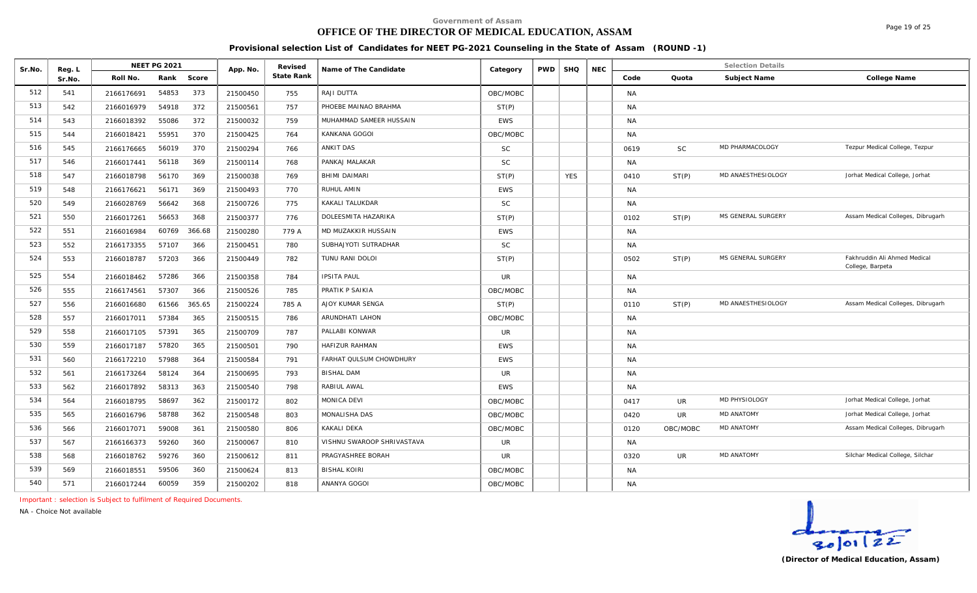# **OFFICE OF THE DIRECTOR OF MEDICAL EDUCATION, ASSAM**

**Provisional selection List of Candidates for NEET PG-2021 Counseling in the State of Assam (ROUND -1)**

| Sr.No. | Reg. L |            | <b>NEET PG 2021</b> |        | App. No. | Revised    | Name of The Candidate      | Category   | <b>PWD</b> | <b>SHQ</b> | <b>NEC</b> |           |           | <b>Selection Details</b> |                                                  |
|--------|--------|------------|---------------------|--------|----------|------------|----------------------------|------------|------------|------------|------------|-----------|-----------|--------------------------|--------------------------------------------------|
|        | Sr.No. | Roll No.   | Rank                | Score  |          | State Rank |                            |            |            |            |            | Code      | Quota     | Subject Name             | College Name                                     |
| 512    | 541    | 2166176691 | 54853               | 373    | 21500450 | 755        | RAJI DUTTA                 | OBC/MOBC   |            |            |            | NA        |           |                          |                                                  |
| 513    | 542    | 2166016979 | 54918               | 372    | 21500561 | 757        | PHOEBE MAINAO BRAHMA       | ST(P)      |            |            |            | NA        |           |                          |                                                  |
| 514    | 543    | 2166018392 | 55086               | 372    | 21500032 | 759        | MUHAMMAD SAMEER HUSSAIN    | <b>EWS</b> |            |            |            | <b>NA</b> |           |                          |                                                  |
| 515    | 544    | 2166018421 | 55951               | 370    | 21500425 | 764        | KANKANA GOGOI              | OBC/MOBC   |            |            |            | NA        |           |                          |                                                  |
| 516    | 545    | 2166176665 | 56019               | 370    | 21500294 | 766        | ANKIT DAS                  | <b>SC</b>  |            |            |            | 0619      | <b>SC</b> | MD PHARMACOLOGY          | Tezpur Medical College, Tezpur                   |
| 517    | 546    | 2166017441 | 56118               | 369    | 21500114 | 768        | PANKAJ MALAKAR             | <b>SC</b>  |            |            |            | <b>NA</b> |           |                          |                                                  |
| 518    | 547    | 2166018798 | 56170               | 369    | 21500038 | 769        | <b>BHIMI DAIMARI</b>       | ST(P)      |            | <b>YES</b> |            | 0410      | ST(P)     | MD ANAESTHESIOLOGY       | Jorhat Medical College, Jorhat                   |
| 519    | 548    | 2166176621 | 56171               | 369    | 21500493 | 770        | RUHUL AMIN                 | <b>EWS</b> |            |            |            | <b>NA</b> |           |                          |                                                  |
| 520    | 549    | 2166028769 | 56642               | 368    | 21500726 | 775        | KAKALI TALUKDAR            | <b>SC</b>  |            |            |            | NA        |           |                          |                                                  |
| 521    | 550    | 2166017261 | 56653               | 368    | 21500377 | 776        | DOLEESMITA HAZARIKA        | ST(P)      |            |            |            | 0102      | ST(P)     | MS GENERAL SURGERY       | Assam Medical Colleges, Dibrugarh                |
| 522    | 551    | 2166016984 | 60769               | 366.68 | 21500280 | 779 A      | MD MUZAKKIR HUSSAIN        | <b>EWS</b> |            |            |            | NA        |           |                          |                                                  |
| 523    | 552    | 2166173355 | 57107               | 366    | 21500451 | 780        | SUBHAJYOTI SUTRADHAR       | <b>SC</b>  |            |            |            | <b>NA</b> |           |                          |                                                  |
| 524    | 553    | 2166018787 | 57203               | 366    | 21500449 | 782        | TUNU RANI DOLOI            | ST(P)      |            |            |            | 0502      | ST(P)     | MS GENERAL SURGERY       | Fakhruddin Ali Ahmed Medical<br>College, Barpeta |
| 525    | 554    | 2166018462 | 57286               | 366    | 21500358 | 784        | <b>IPSITA PAUL</b>         | UR.        |            |            |            | <b>NA</b> |           |                          |                                                  |
| 526    | 555    | 2166174561 | 57307               | 366    | 21500526 | 785        | PRATIK P SAIKIA            | OBC/MOBC   |            |            |            | <b>NA</b> |           |                          |                                                  |
| 527    | 556    | 2166016680 | 61566               | 365.65 | 21500224 | 785 A      | AJOY KUMAR SENGA           | ST(P)      |            |            |            | 0110      | ST(P)     | MD ANAESTHESIOLOGY       | Assam Medical Colleges, Dibrugarh                |
| 528    | 557    | 2166017011 | 57384               | 365    | 21500515 | 786        | ARUNDHATI LAHON            | OBC/MOBC   |            |            |            | <b>NA</b> |           |                          |                                                  |
| 529    | 558    | 2166017105 | 57391               | 365    | 21500709 | 787        | PALLABI KONWAR             | <b>UR</b>  |            |            |            | <b>NA</b> |           |                          |                                                  |
| 530    | 559    | 2166017187 | 57820               | 365    | 21500501 | 790        | HAFIZUR RAHMAN             | <b>EWS</b> |            |            |            | NA        |           |                          |                                                  |
| 531    | 560    | 2166172210 | 57988               | 364    | 21500584 | 791        | FARHAT QULSUM CHOWDHURY    | <b>EWS</b> |            |            |            | NA        |           |                          |                                                  |
| 532    | 561    | 2166173264 | 58124               | 364    | 21500695 | 793        | <b>BISHAL DAM</b>          | <b>UR</b>  |            |            |            | NA        |           |                          |                                                  |
| 533    | 562    | 2166017892 | 58313               | 363    | 21500540 | 798        | RABIUL AWAL                | <b>EWS</b> |            |            |            | <b>NA</b> |           |                          |                                                  |
| 534    | 564    | 2166018795 | 58697               | 362    | 21500172 | 802        | MONICA DEVI                | OBC/MOBC   |            |            |            | 0417      | <b>UR</b> | MD PHYSIOLOGY            | Jorhat Medical College, Jorhat                   |
| 535    | 565    | 2166016796 | 58788               | 362    | 21500548 | 803        | MONALISHA DAS              | OBC/MOBC   |            |            |            | 0420      | UR        | <b>MD ANATOMY</b>        | Jorhat Medical College, Jorhat                   |
| 536    | 566    | 2166017071 | 59008               | 361    | 21500580 | 806        | KAKALI DEKA                | OBC/MOBC   |            |            |            | 0120      | OBC/MOBC  | <b>MD ANATOMY</b>        | Assam Medical Colleges, Dibrugarh                |
| 537    | 567    | 2166166373 | 59260               | 360    | 21500067 | 810        | VISHNU SWAROOP SHRIVASTAVA | <b>UR</b>  |            |            |            | <b>NA</b> |           |                          |                                                  |
| 538    | 568    | 2166018762 | 59276               | 360    | 21500612 | 811        | PRAGYASHREE BORAH          | UR.        |            |            |            | 0320      | UR        | <b>MD ANATOMY</b>        | Silchar Medical College, Silchar                 |
| 539    | 569    | 2166018551 | 59506               | 360    | 21500624 | 813        | <b>BISHAL KOIRI</b>        | OBC/MOBC   |            |            |            | NA        |           |                          |                                                  |
| 540    | 571    | 2166017244 | 60059               | 359    | 21500202 | 818        | ANANYA GOGOI               | OBC/MOBC   |            |            |            | <b>NA</b> |           |                          |                                                  |

*Important : selection is Subject to fulfilment of Required Documents.*

*NA - Choice Not available*

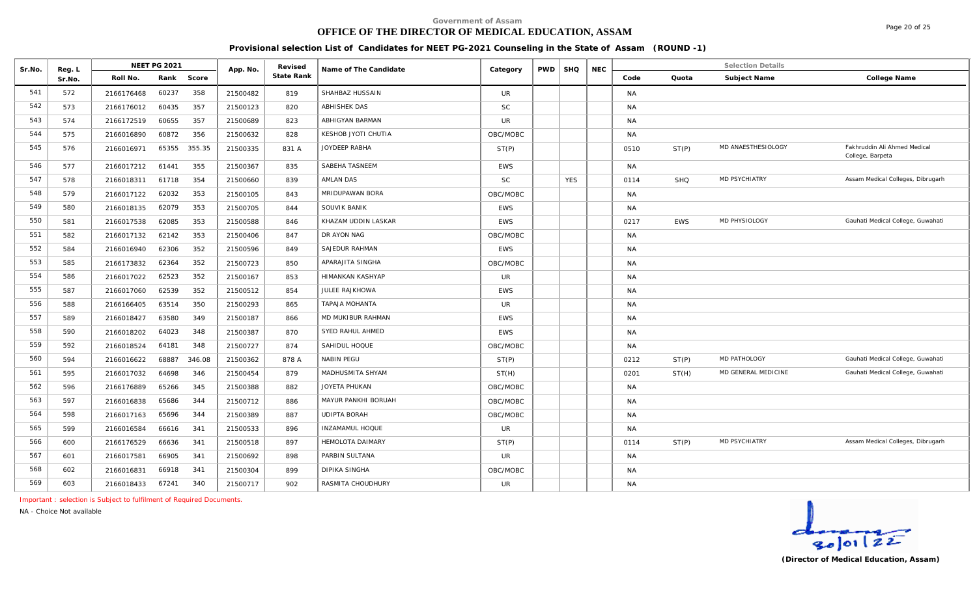# **OFFICE OF THE DIRECTOR OF MEDICAL EDUCATION, ASSAM**

Page 20 of 25

**Provisional selection List of Candidates for NEET PG-2021 Counseling in the State of Assam (ROUND -1)**

| Sr.No. | Reg. L |            | <b>NEET PG 2021</b> |        | App. No. | Revised    | Name of The Candidate   | Category   | PWD   SHQ  | <b>NEC</b> |           |            | <b>Selection Details</b> |                                                  |
|--------|--------|------------|---------------------|--------|----------|------------|-------------------------|------------|------------|------------|-----------|------------|--------------------------|--------------------------------------------------|
|        | Sr.No. | Roll No.   | Rank                | Score  |          | State Rank |                         |            |            |            | Code      | Quota      | Subject Name             | College Name                                     |
| 541    | 572    | 2166176468 | 60237               | 358    | 21500482 | 819        | SHAHBAZ HUSSAIN         | <b>UR</b>  |            |            | NA        |            |                          |                                                  |
| 542    | 573    | 2166176012 | 60435               | 357    | 21500123 | 820        | ABHISHEK DAS            | <b>SC</b>  |            |            | NA        |            |                          |                                                  |
| 543    | 574    | 2166172519 | 60655               | 357    | 21500689 | 823        | ABHIGYAN BARMAN         | UR.        |            |            | <b>NA</b> |            |                          |                                                  |
| 544    | 575    | 2166016890 | 60872               | 356    | 21500632 | 828        | KESHOB JYOTI CHUTIA     | OBC/MOBC   |            |            | NA        |            |                          |                                                  |
| 545    | 576    | 2166016971 | 65355               | 355.35 | 21500335 | 831 A      | JOYDEEP RABHA           | ST(P)      |            |            | 0510      | ST(P)      | MD ANAESTHESIOLOGY       | Fakhruddin Ali Ahmed Medical<br>College, Barpeta |
| 546    | 577    | 2166017212 | 61441               | 355    | 21500367 | 835        | SABEHA TASNEEM          | <b>EWS</b> |            |            | NA        |            |                          |                                                  |
| 547    | 578    | 2166018311 | 61718               | 354    | 21500660 | 839        | <b>AMLAN DAS</b>        | <b>SC</b>  | <b>YES</b> |            | 0114      | <b>SHQ</b> | <b>MD PSYCHIATRY</b>     | Assam Medical Colleges, Dibrugarh                |
| 548    | 579    | 2166017122 | 62032               | 353    | 21500105 | 843        | MRIDUPAWAN BORA         | OBC/MOBC   |            |            | NA        |            |                          |                                                  |
| 549    | 580    | 2166018135 | 62079               | 353    | 21500705 | 844        | SOUVIK BANIK            | <b>EWS</b> |            |            | NA        |            |                          |                                                  |
| 550    | 581    | 2166017538 | 62085               | 353    | 21500588 | 846        | KHAZAM UDDIN LASKAR     | <b>EWS</b> |            |            | 0217      | <b>EWS</b> | MD PHYSIOLOGY            | Gauhati Medical College, Guwahati                |
| 551    | 582    | 2166017132 | 62142               | 353    | 21500406 | 847        | DR AYON NAG             | OBC/MOBC   |            |            | <b>NA</b> |            |                          |                                                  |
| 552    | 584    | 2166016940 | 62306               | 352    | 21500596 | 849        | SAJEDUR RAHMAN          | <b>EWS</b> |            |            | <b>NA</b> |            |                          |                                                  |
| 553    | 585    | 2166173832 | 62364               | 352    | 21500723 | 850        | APARAJITA SINGHA        | OBC/MOBC   |            |            | NA        |            |                          |                                                  |
| 554    | 586    | 2166017022 | 62523               | 352    | 21500167 | 853        | HIMANKAN KASHYAP        | UR.        |            |            | <b>NA</b> |            |                          |                                                  |
| 555    | 587    | 2166017060 | 62539               | 352    | 21500512 | 854        | JULEE RAJKHOWA          | <b>EWS</b> |            |            | NA        |            |                          |                                                  |
| 556    | 588    | 2166166405 | 63514               | 350    | 21500293 | 865        | TAPAJA MOHANTA          | <b>UR</b>  |            |            | NA        |            |                          |                                                  |
| 557    | 589    | 2166018427 | 63580               | 349    | 21500187 | 866        | MD MUKIBUR RAHMAN       | <b>EWS</b> |            |            | <b>NA</b> |            |                          |                                                  |
| 558    | 590    | 2166018202 | 64023               | 348    | 21500387 | 870        | SYED RAHUL AHMED        | <b>EWS</b> |            |            | NA        |            |                          |                                                  |
| 559    | 592    | 2166018524 | 64181               | 348    | 21500727 | 874        | SAHIDUL HOQUE           | OBC/MOBC   |            |            | <b>NA</b> |            |                          |                                                  |
| 560    | 594    | 2166016622 | 68887               | 346.08 | 21500362 | 878 A      | NABIN PEGU              | ST(P)      |            |            | 0212      | ST(P)      | MD PATHOLOGY             | Gauhati Medical College, Guwahati                |
| 561    | 595    | 2166017032 | 64698               | 346    | 21500454 | 879        | MADHUSMITA SHYAM        | ST(H)      |            |            | 0201      | ST(H)      | MD GENERAL MEDICINE      | Gauhati Medical College, Guwahati                |
| 562    | 596    | 2166176889 | 65266               | 345    | 21500388 | 882        | JOYETA PHUKAN           | OBC/MOBC   |            |            | NA        |            |                          |                                                  |
| 563    | 597    | 2166016838 | 65686               | 344    | 21500712 | 886        | MAYUR PANKHI BORUAH     | OBC/MOBC   |            |            | <b>NA</b> |            |                          |                                                  |
| 564    | 598    | 2166017163 | 65696               | 344    | 21500389 | 887        | <b>UDIPTA BORAH</b>     | OBC/MOBC   |            |            | NA        |            |                          |                                                  |
| 565    | 599    | 2166016584 | 66616               | 341    | 21500533 | 896        | <b>INZAMAMUL HOQUE</b>  | UR.        |            |            | NA        |            |                          |                                                  |
| 566    | 600    | 2166176529 | 66636               | 341    | 21500518 | 897        | <b>HEMOLOTA DAIMARY</b> | ST(P)      |            |            | 0114      | ST(P)      | <b>MD PSYCHIATRY</b>     | Assam Medical Colleges, Dibrugarh                |
| 567    | 601    | 2166017581 | 66905               | 341    | 21500692 | 898        | PARBIN SULTANA          | <b>UR</b>  |            |            | NA        |            |                          |                                                  |
| 568    | 602    | 2166016831 | 66918               | 341    | 21500304 | 899        | <b>DIPIKA SINGHA</b>    | OBC/MOBC   |            |            | <b>NA</b> |            |                          |                                                  |
| 569    | 603    | 2166018433 | 67241               | 340    | 21500717 | 902        | RASMITA CHOUDHURY       | UR         |            |            | NA        |            |                          |                                                  |

*Important : selection is Subject to fulfilment of Required Documents.*

*NA - Choice Not available*

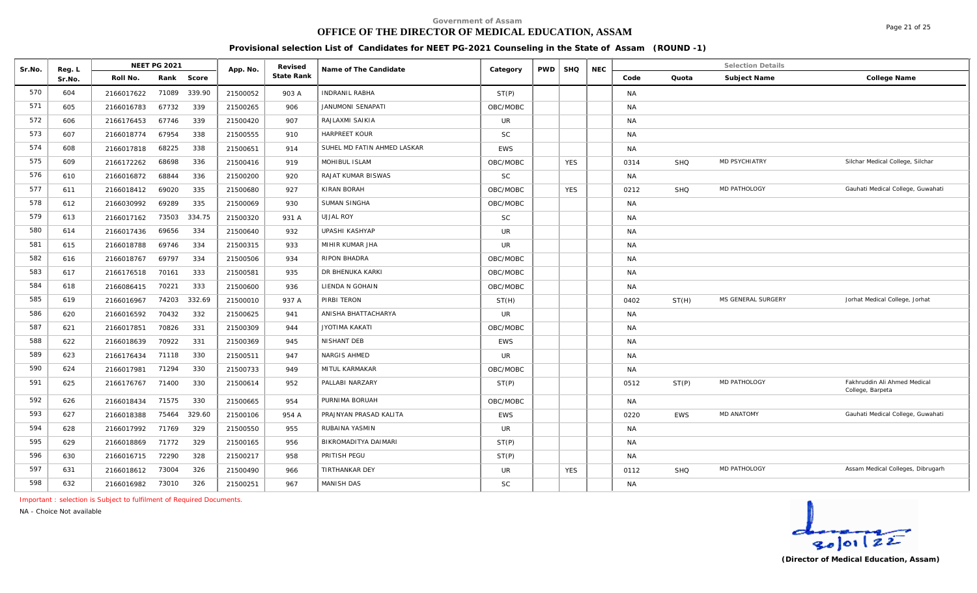# **OFFICE OF THE DIRECTOR OF MEDICAL EDUCATION, ASSAM**

**Provisional selection List of Candidates for NEET PG-2021 Counseling in the State of Assam (ROUND -1)**

| Sr.No. |                  |            | <b>NEET PG 2021</b> |        |          | Revised    |                             |            | <b>PWD</b> | <b>SHQ</b> | <b>NEC</b> |           |            | <b>Selection Details</b> |                                                  |
|--------|------------------|------------|---------------------|--------|----------|------------|-----------------------------|------------|------------|------------|------------|-----------|------------|--------------------------|--------------------------------------------------|
|        | Reg. L<br>Sr.No. | Roll No.   | Rank                | Score  | App. No. | State Rank | Name of The Candidate       | Category   |            |            |            | Code      | Quota      | Subject Name             | College Name                                     |
| 570    | 604              | 2166017622 | 71089               | 339.90 | 21500052 | 903 A      | <b>INDRANIL RABHA</b>       | ST(P)      |            |            |            | <b>NA</b> |            |                          |                                                  |
| 571    | 605              | 2166016783 | 67732               | 339    | 21500265 | 906        | <b>JANUMONI SENAPATI</b>    | OBC/MOBC   |            |            |            | <b>NA</b> |            |                          |                                                  |
| 572    | 606              | 2166176453 | 67746               | 339    | 21500420 | 907        | RAJLAXMI SAIKIA             | UR         |            |            |            | NA        |            |                          |                                                  |
| 573    | 607              | 2166018774 | 67954               | 338    | 21500555 | 910        | <b>HARPREET KOUR</b>        | <b>SC</b>  |            |            |            | <b>NA</b> |            |                          |                                                  |
| 574    | 608              | 2166017818 | 68225               | 338    | 21500651 | 914        | SUHEL MD FATIN AHMED LASKAR | <b>EWS</b> |            |            |            | <b>NA</b> |            |                          |                                                  |
| 575    | 609              | 2166172262 | 68698               | 336    | 21500416 | 919        | MOHIBUL ISLAM               | OBC/MOBC   |            | <b>YES</b> |            | 0314      | <b>SHQ</b> | <b>MD PSYCHIATRY</b>     | Silchar Medical College, Silchar                 |
| 576    | 610              | 2166016872 | 68844               | 336    | 21500200 | 920        | RAJAT KUMAR BISWAS          | <b>SC</b>  |            |            |            | NA        |            |                          |                                                  |
| 577    | 611              | 2166018412 | 69020               | 335    | 21500680 | 927        | KIRAN BORAH                 | OBC/MOBC   |            | <b>YES</b> |            | 0212      | <b>SHQ</b> | MD PATHOLOGY             | Gauhati Medical College, Guwahati                |
| 578    | 612              | 2166030992 | 69289               | 335    | 21500069 | 930        | SUMAN SINGHA                | OBC/MOBC   |            |            |            | NA        |            |                          |                                                  |
| 579    | 613              | 2166017162 | 73503               | 334.75 | 21500320 | 931 A      | <b>UJJAL ROY</b>            | <b>SC</b>  |            |            |            | <b>NA</b> |            |                          |                                                  |
| 580    | 614              | 2166017436 | 69656               | 334    | 21500640 | 932        | <b>UPASHI KASHYAP</b>       | <b>UR</b>  |            |            |            | <b>NA</b> |            |                          |                                                  |
| 581    | 615              | 2166018788 | 69746               | 334    | 21500315 | 933        | MIHIR KUMAR JHA             | <b>UR</b>  |            |            |            | <b>NA</b> |            |                          |                                                  |
| 582    | 616              | 2166018767 | 69797               | 334    | 21500506 | 934        | RIPON BHADRA                | OBC/MOBC   |            |            |            | <b>NA</b> |            |                          |                                                  |
| 583    | 617              | 2166176518 | 70161               | 333    | 21500581 | 935        | DR BHENUKA KARKI            | OBC/MOBC   |            |            |            | <b>NA</b> |            |                          |                                                  |
| 584    | 618              | 2166086415 | 70221               | 333    | 21500600 | 936        | LIENDA N GOHAIN             | OBC/MOBC   |            |            |            | <b>NA</b> |            |                          |                                                  |
| 585    | 619              | 2166016967 | 74203               | 332.69 | 21500010 | 937 A      | PIRBI TERON                 | ST(H)      |            |            |            | 0402      | ST(H)      | MS GENERAL SURGERY       | Jorhat Medical College, Jorhat                   |
| 586    | 620              | 2166016592 | 70432               | 332    | 21500625 | 941        | ANISHA BHATTACHARYA         | <b>UR</b>  |            |            |            | <b>NA</b> |            |                          |                                                  |
| 587    | 621              | 2166017851 | 70826               | 331    | 21500309 | 944        | <b>JYOTIMA KAKATI</b>       | OBC/MOBC   |            |            |            | <b>NA</b> |            |                          |                                                  |
| 588    | 622              | 2166018639 | 70922               | 331    | 21500369 | 945        | NISHANT DEB                 | <b>EWS</b> |            |            |            | <b>NA</b> |            |                          |                                                  |
| 589    | 623              | 2166176434 | 71118               | 330    | 21500511 | 947        | NARGIS AHMED                | UR         |            |            |            | <b>NA</b> |            |                          |                                                  |
| 590    | 624              | 2166017981 | 71294               | 330    | 21500733 | 949        | MITUL KARMAKAR              | OBC/MOBC   |            |            |            | <b>NA</b> |            |                          |                                                  |
| 591    | 625              | 2166176767 | 71400               | 330    | 21500614 | 952        | PALLABI NARZARY             | ST(P)      |            |            |            | 0512      | ST(P)      | MD PATHOLOGY             | Fakhruddin Ali Ahmed Medical<br>College, Barpeta |
| 592    | 626              | 2166018434 | 71575               | 330    | 21500665 | 954        | PURNIMA BORUAH              | OBC/MOBC   |            |            |            | <b>NA</b> |            |                          |                                                  |
| 593    | 627              | 2166018388 | 75464               | 329.60 | 21500106 | 954 A      | PRAJNYAN PRASAD KALITA      | <b>EWS</b> |            |            |            | 0220      | <b>EWS</b> | <b>MD ANATOMY</b>        | Gauhati Medical College, Guwahati                |
| 594    | 628              | 2166017992 | 71769               | 329    | 21500550 | 955        | RUBAINA YASMIN              | <b>UR</b>  |            |            |            | <b>NA</b> |            |                          |                                                  |
| 595    | 629              | 2166018869 | 71772               | 329    | 21500165 | 956        | BIKROMADITYA DAIMARI        | ST(P)      |            |            |            | <b>NA</b> |            |                          |                                                  |
| 596    | 630              | 2166016715 | 72290               | 328    | 21500217 | 958        | PRITISH PEGU                | ST(P)      |            |            |            | <b>NA</b> |            |                          |                                                  |
| 597    | 631              | 2166018612 | 73004               | 326    | 21500490 | 966        | <b>TIRTHANKAR DEY</b>       | <b>UR</b>  |            | <b>YES</b> |            | 0112      | <b>SHQ</b> | MD PATHOLOGY             | Assam Medical Colleges, Dibrugarh                |
| 598    | 632              | 2166016982 | 73010               | 326    | 21500251 | 967        | MANISH DAS                  | <b>SC</b>  |            |            |            | <b>NA</b> |            |                          |                                                  |

*Important : selection is Subject to fulfilment of Required Documents.*

*NA - Choice Not available*

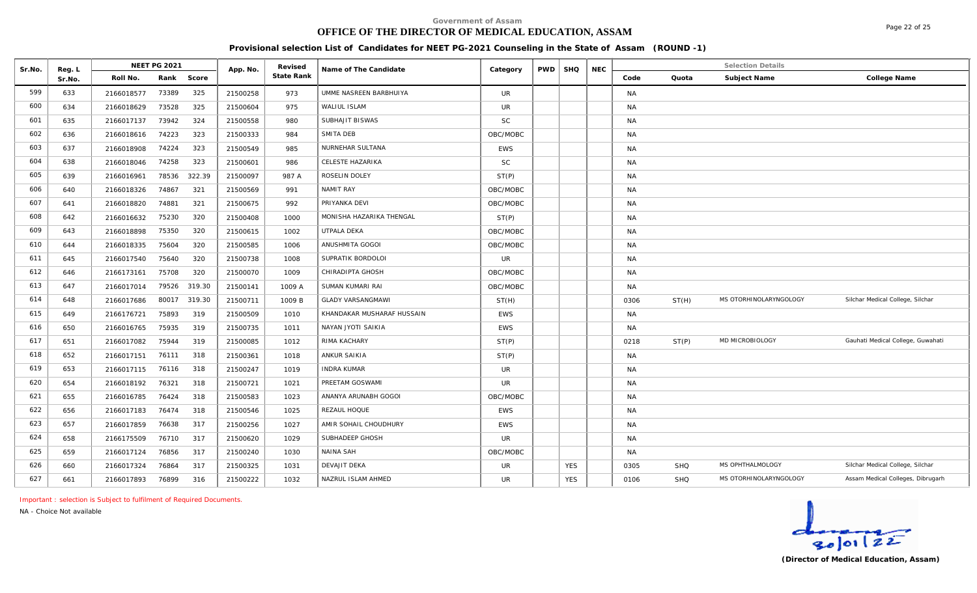# **OFFICE OF THE DIRECTOR OF MEDICAL EDUCATION, ASSAM**

**Provisional selection List of Candidates for NEET PG-2021 Counseling in the State of Assam (ROUND -1)**

| Sr.No. | Reg. L |            | NEET PG 2021 |        | App. No. | Revised    | Name of The Candidate      | Category   | PWD | SHQ        | <b>NEC</b> |           |            | <b>Selection Details</b> |                                   |
|--------|--------|------------|--------------|--------|----------|------------|----------------------------|------------|-----|------------|------------|-----------|------------|--------------------------|-----------------------------------|
|        | Sr.No. | Roll No.   | Rank Score   |        |          | State Rank |                            |            |     |            |            | Code      | Quota      | Subject Name             | College Name                      |
| 599    | 633    | 2166018577 | 73389        | 325    | 21500258 | 973        | UMME NASREEN BARBHUIYA     | UR.        |     |            |            | <b>NA</b> |            |                          |                                   |
| 600    | 634    | 2166018629 | 73528        | 325    | 21500604 | 975        | <b>WALIUL ISLAM</b>        | <b>UR</b>  |     |            |            | <b>NA</b> |            |                          |                                   |
| 601    | 635    | 2166017137 | 73942        | 324    | 21500558 | 980        | SUBHAJIT BISWAS            | <b>SC</b>  |     |            |            | <b>NA</b> |            |                          |                                   |
| 602    | 636    | 2166018616 | 74223        | 323    | 21500333 | 984        | SMITA DEB                  | OBC/MOBC   |     |            |            | <b>NA</b> |            |                          |                                   |
| 603    | 637    | 2166018908 | 74224        | 323    | 21500549 | 985        | NURNEHAR SULTANA           | <b>EWS</b> |     |            |            | <b>NA</b> |            |                          |                                   |
| 604    | 638    | 2166018046 | 74258        | 323    | 21500601 | 986        | <b>CELESTE HAZARIKA</b>    | <b>SC</b>  |     |            |            | <b>NA</b> |            |                          |                                   |
| 605    | 639    | 2166016961 | 78536        | 322.39 | 21500097 | 987 A      | ROSELIN DOLEY              | ST(P)      |     |            |            | <b>NA</b> |            |                          |                                   |
| 606    | 640    | 2166018326 | 74867        | 321    | 21500569 | 991        | NAMIT RAY                  | OBC/MOBC   |     |            |            | <b>NA</b> |            |                          |                                   |
| 607    | 641    | 2166018820 | 74881        | 321    | 21500675 | 992        | PRIYANKA DEVI              | OBC/MOBC   |     |            |            | <b>NA</b> |            |                          |                                   |
| 608    | 642    | 2166016632 | 75230        | 320    | 21500408 | 1000       | MONISHA HAZARIKA THENGAL   | ST(P)      |     |            |            | <b>NA</b> |            |                          |                                   |
| 609    | 643    | 2166018898 | 75350        | 320    | 21500615 | 1002       | UTPALA DEKA                | OBC/MOBC   |     |            |            | <b>NA</b> |            |                          |                                   |
| 610    | 644    | 2166018335 | 75604        | 320    | 21500585 | 1006       | ANUSHMITA GOGOI            | OBC/MOBC   |     |            |            | <b>NA</b> |            |                          |                                   |
| 611    | 645    | 2166017540 | 75640        | 320    | 21500738 | 1008       | SUPRATIK BORDOLOI          | <b>UR</b>  |     |            |            | <b>NA</b> |            |                          |                                   |
| 612    | 646    | 2166173161 | 75708        | 320    | 21500070 | 1009       | CHIRADIPTA GHOSH           | OBC/MOBC   |     |            |            | NA        |            |                          |                                   |
| 613    | 647    | 2166017014 | 79526        | 319.30 | 21500141 | 1009 A     | SUMAN KUMARI RAI           | OBC/MOBC   |     |            |            | <b>NA</b> |            |                          |                                   |
| 614    | 648    | 2166017686 | 80017        | 319.30 | 21500711 | 1009 B     | <b>GLADY VARSANGMAWI</b>   | ST(H)      |     |            |            | 0306      | ST(H)      | MS OTORHINOLARYNGOLOGY   | Silchar Medical College, Silchar  |
| 615    | 649    | 2166176721 | 75893        | 319    | 21500509 | 1010       | KHANDAKAR MUSHARAF HUSSAIN | <b>EWS</b> |     |            |            | <b>NA</b> |            |                          |                                   |
| 616    | 650    | 2166016765 | 75935        | 319    | 21500735 | 1011       | NAYAN JYOTI SAIKIA         | <b>EWS</b> |     |            |            | NA        |            |                          |                                   |
| 617    | 651    | 2166017082 | 75944        | 319    | 21500085 | 1012       | RIMA KACHARY               | ST(P)      |     |            |            | 0218      | ST(P)      | MD MICROBIOLOGY          | Gauhati Medical College, Guwahati |
| 618    | 652    | 2166017151 | 76111        | 318    | 21500361 | 1018       | ANKUR SAIKIA               | ST(P)      |     |            |            | <b>NA</b> |            |                          |                                   |
| 619    | 653    | 2166017115 | 76116        | 318    | 21500247 | 1019       | <b>INDRA KUMAR</b>         | UR.        |     |            |            | <b>NA</b> |            |                          |                                   |
| 620    | 654    | 2166018192 | 76321        | 318    | 21500721 | 1021       | PREETAM GOSWAMI            | <b>UR</b>  |     |            |            | NA        |            |                          |                                   |
| 621    | 655    | 2166016785 | 76424        | 318    | 21500583 | 1023       | ANANYA ARUNABH GOGOI       | OBC/MOBC   |     |            |            | <b>NA</b> |            |                          |                                   |
| 622    | 656    | 2166017183 | 76474        | 318    | 21500546 | 1025       | REZAUL HOQUE               | <b>EWS</b> |     |            |            | <b>NA</b> |            |                          |                                   |
| 623    | 657    | 2166017859 | 76638        | 317    | 21500256 | 1027       | AMIR SOHAIL CHOUDHURY      | <b>EWS</b> |     |            |            | <b>NA</b> |            |                          |                                   |
| 624    | 658    | 2166175509 | 76710        | 317    | 21500620 | 1029       | SUBHADEEP GHOSH            | UR         |     |            |            | <b>NA</b> |            |                          |                                   |
| 625    | 659    | 2166017124 | 76856        | 317    | 21500240 | 1030       | NAINA SAH                  | OBC/MOBC   |     |            |            | <b>NA</b> |            |                          |                                   |
| 626    | 660    | 2166017324 | 76864        | 317    | 21500325 | 1031       | DEVAJIT DEKA               | <b>UR</b>  |     | <b>YES</b> |            | 0305      | <b>SHQ</b> | MS OPHTHALMOLOGY         | Silchar Medical College, Silchar  |
| 627    | 661    | 2166017893 | 76899        | 316    | 21500222 | 1032       | NAZRUL ISLAM AHMED         | <b>UR</b>  |     | <b>YES</b> |            | 0106      | <b>SHQ</b> | MS OTORHINOLARYNGOLOGY   | Assam Medical Colleges, Dibrugarh |

*Important : selection is Subject to fulfilment of Required Documents.*

*NA - Choice Not available*

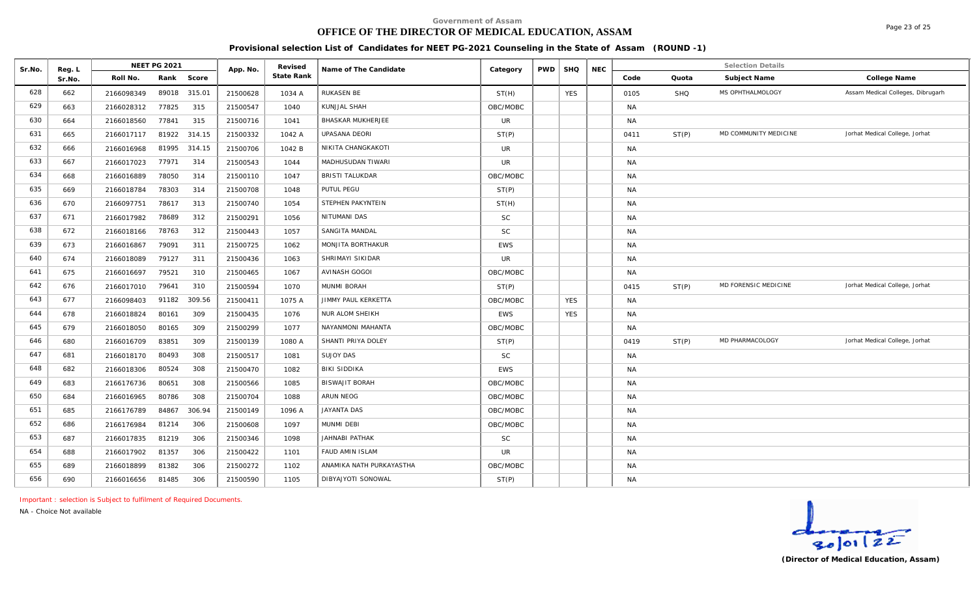## **OFFICE OF THE DIRECTOR OF MEDICAL EDUCATION, ASSAM**

Page 23 of 25

**Provisional selection List of Candidates for NEET PG-2021 Counseling in the State of Assam (ROUND -1)**

| Sr.No. | Reg. L | <b>NEET PG 2021</b>           | App. No. | Revised    | Name of The Candidate      | Category   | PWD | <b>SHQ</b> | <b>NEC</b> |           |       | <b>Selection Details</b> |                                   |
|--------|--------|-------------------------------|----------|------------|----------------------------|------------|-----|------------|------------|-----------|-------|--------------------------|-----------------------------------|
|        | Sr.No. | Rank Score<br>Roll No.        |          | State Rank |                            |            |     |            |            | Code      | Quota | Subject Name             | College Name                      |
| 628    | 662    | 89018<br>315.01<br>2166098349 | 21500628 | 1034 A     | <b>RUKASEN BE</b>          | ST(H)      |     | <b>YES</b> |            | 0105      | SHQ   | MS OPHTHALMOLOGY         | Assam Medical Colleges, Dibrugarh |
| 629    | 663    | 77825<br>315<br>2166028312    | 21500547 | 1040       | <b>KUNJJAL SHAH</b>        | OBC/MOBC   |     |            |            | NA        |       |                          |                                   |
| 630    | 664    | 77841<br>315<br>2166018560    | 21500716 | 1041       | <b>BHASKAR MUKHERJEE</b>   | <b>UR</b>  |     |            |            | <b>NA</b> |       |                          |                                   |
| 631    | 665    | 81922<br>314.15<br>2166017117 | 21500332 | 1042 A     | <b>UPASANA DEORI</b>       | ST(P)      |     |            |            | 0411      | ST(P) | MD COMMUNITY MEDICINE    | Jorhat Medical College, Jorhat    |
| 632    | 666    | 2166016968<br>81995<br>314.15 | 21500706 | 1042 B     | NIKITA CHANGKAKOTI         | <b>UR</b>  |     |            |            | <b>NA</b> |       |                          |                                   |
| 633    | 667    | 77971<br>314<br>2166017023    | 21500543 | 1044       | MADHUSUDAN TIWARI          | <b>UR</b>  |     |            |            | NA        |       |                          |                                   |
| 634    | 668    | 78050<br>2166016889<br>314    | 21500110 | 1047       | <b>BRISTI TALUKDAR</b>     | OBC/MOBC   |     |            |            | <b>NA</b> |       |                          |                                   |
| 635    | 669    | 78303<br>314<br>2166018784    | 21500708 | 1048       | PUTUL PEGU                 | ST(P)      |     |            |            | NA        |       |                          |                                   |
| 636    | 670    | 78617<br>313<br>2166097751    | 21500740 | 1054       | <b>STEPHEN PAKYNTEIN</b>   | ST(H)      |     |            |            | <b>NA</b> |       |                          |                                   |
| 637    | 671    | 2166017982<br>78689<br>312    | 21500291 | 1056       | NITUMANI DAS               | <b>SC</b>  |     |            |            | <b>NA</b> |       |                          |                                   |
| 638    | 672    | 78763<br>312<br>2166018166    | 21500443 | 1057       | SANGITA MANDAL             | <b>SC</b>  |     |            |            | <b>NA</b> |       |                          |                                   |
| 639    | 673    | 79091<br>2166016867<br>311    | 21500725 | 1062       | MONJITA BORTHAKUR          | <b>EWS</b> |     |            |            | <b>NA</b> |       |                          |                                   |
| 640    | 674    | 79127<br>311<br>2166018089    | 21500436 | 1063       | SHRIMAYI SIKIDAR           | UR.        |     |            |            | <b>NA</b> |       |                          |                                   |
| 641    | 675    | 79521<br>310<br>2166016697    | 21500465 | 1067       | AVINASH GOGOI              | OBC/MOBC   |     |            |            | <b>NA</b> |       |                          |                                   |
| 642    | 676    | 79641<br>310<br>2166017010    | 21500594 | 1070       | MUNMI BORAH                | ST(P)      |     |            |            | 0415      | ST(P) | MD FORENSIC MEDICINE     | Jorhat Medical College, Jorhat    |
| 643    | 677    | 309.56<br>91182<br>2166098403 | 21500411 | 1075 A     | <b>JIMMY PAUL KERKETTA</b> | OBC/MOBC   |     | <b>YES</b> |            | NA        |       |                          |                                   |
| 644    | 678    | 80161<br>309<br>2166018824    | 21500435 | 1076       | NUR ALOM SHEIKH            | <b>EWS</b> |     | <b>YES</b> |            | <b>NA</b> |       |                          |                                   |
| 645    | 679    | 80165<br>309<br>2166018050    | 21500299 | 1077       | NAYANMONI MAHANTA          | OBC/MOBC   |     |            |            | <b>NA</b> |       |                          |                                   |
| 646    | 680    | 83851<br>309<br>2166016709    | 21500139 | 1080 A     | SHANTI PRIYA DOLEY         | ST(P)      |     |            |            | 0419      | ST(P) | MD PHARMACOLOGY          | Jorhat Medical College, Jorhat    |
| 647    | 681    | 80493<br>308<br>2166018170    | 21500517 | 1081       | SUJOY DAS                  | SC         |     |            |            | NA        |       |                          |                                   |
| 648    | 682    | 80524<br>308<br>2166018306    | 21500470 | 1082       | <b>BIKI SIDDIKA</b>        | <b>EWS</b> |     |            |            | <b>NA</b> |       |                          |                                   |
| 649    | 683    | 80651<br>308<br>2166176736    | 21500566 | 1085       | <b>BISWAJIT BORAH</b>      | OBC/MOBC   |     |            |            | NA        |       |                          |                                   |
| 650    | 684    | 2166016965<br>80786<br>308    | 21500704 | 1088       | ARUN NEOG                  | OBC/MOBC   |     |            |            | <b>NA</b> |       |                          |                                   |
| 651    | 685    | 84867<br>306.94<br>2166176789 | 21500149 | 1096 A     | <b>JAYANTA DAS</b>         | OBC/MOBC   |     |            |            | <b>NA</b> |       |                          |                                   |
| 652    | 686    | 81214<br>306<br>2166176984    | 21500608 | 1097       | MUNMI DEBI                 | OBC/MOBC   |     |            |            | NA        |       |                          |                                   |
| 653    | 687    | 81219<br>306<br>2166017835    | 21500346 | 1098       | <b>JAHNABI PATHAK</b>      | <b>SC</b>  |     |            |            | <b>NA</b> |       |                          |                                   |
| 654    | 688    | 81357<br>306<br>2166017902    | 21500422 | 1101       | FAUD AMIN ISLAM            | UR.        |     |            |            | NA        |       |                          |                                   |
| 655    | 689    | 81382<br>306<br>2166018899    | 21500272 | 1102       | ANAMIKA NATH PURKAYASTHA   | OBC/MOBC   |     |            |            | <b>NA</b> |       |                          |                                   |
| 656    | 690    | 81485<br>306<br>2166016656    | 21500590 | 1105       | DIBYAJYOTI SONOWAL         | ST(P)      |     |            |            | <b>NA</b> |       |                          |                                   |

*Important : selection is Subject to fulfilment of Required Documents.*

*NA - Choice Not available*

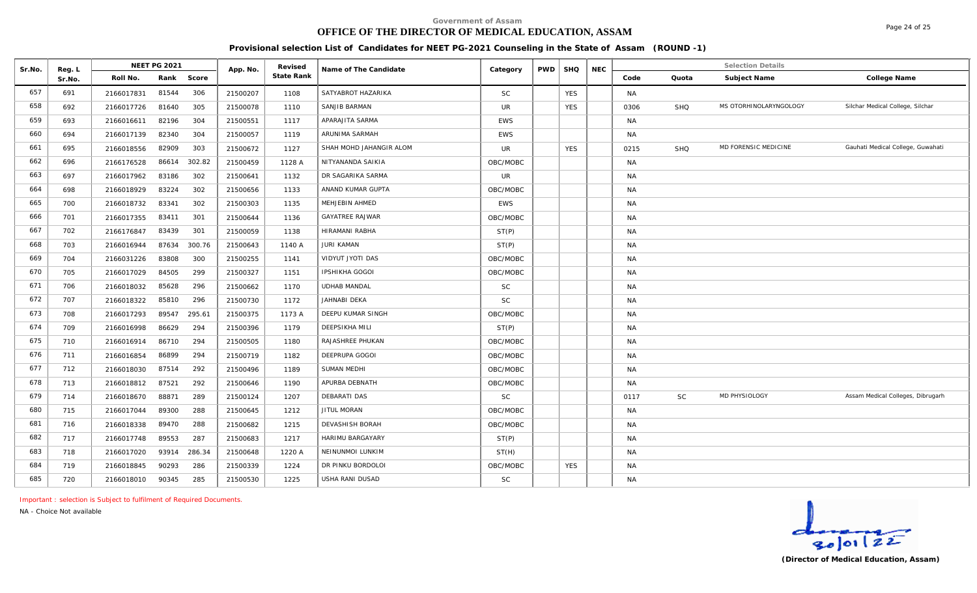# **OFFICE OF THE DIRECTOR OF MEDICAL EDUCATION, ASSAM**

**Provisional selection List of Candidates for NEET PG-2021 Counseling in the State of Assam (ROUND -1)**

| Sr.No. | Reg. L |            | <b>NEET PG 2021</b> |        | App. No. | Revised    | Name of The Candidate   | Category   | PWD   SHQ  | <b>NEC</b> |           |            | <b>Selection Details</b> |                                   |
|--------|--------|------------|---------------------|--------|----------|------------|-------------------------|------------|------------|------------|-----------|------------|--------------------------|-----------------------------------|
|        | Sr.No. | Roll No.   | Rank                | Score  |          | State Rank |                         |            |            |            | Code      | Quota      | Subject Name             | College Name                      |
| 657    | 691    | 2166017831 | 81544               | 306    | 21500207 | 1108       | SATYABROT HAZARIKA      | <b>SC</b>  | <b>YES</b> |            | <b>NA</b> |            |                          |                                   |
| 658    | 692    | 2166017726 | 81640               | 305    | 21500078 | 1110       | SANJIB BARMAN           | <b>UR</b>  | <b>YES</b> |            | 0306      | <b>SHQ</b> | MS OTORHINOLARYNGOLOGY   | Silchar Medical College, Silchar  |
| 659    | 693    | 2166016611 | 82196               | 304    | 21500551 | 1117       | APARAJITA SARMA         | <b>EWS</b> |            |            | <b>NA</b> |            |                          |                                   |
| 660    | 694    | 2166017139 | 82340               | 304    | 21500057 | 1119       | ARUNIMA SARMAH          | <b>EWS</b> |            |            | <b>NA</b> |            |                          |                                   |
| 661    | 695    | 2166018556 | 82909               | 303    | 21500672 | 1127       | SHAH MOHD JAHANGIR ALOM | <b>UR</b>  | <b>YES</b> |            | 0215      | <b>SHQ</b> | MD FORENSIC MEDICINE     | Gauhati Medical College, Guwahati |
| 662    | 696    | 2166176528 | 86614               | 302.82 | 21500459 | 1128 A     | NITYANANDA SAIKIA       | OBC/MOBC   |            |            | NA        |            |                          |                                   |
| 663    | 697    | 2166017962 | 83186               | 302    | 21500641 | 1132       | DR SAGARIKA SARMA       | <b>UR</b>  |            |            | <b>NA</b> |            |                          |                                   |
| 664    | 698    | 2166018929 | 83224               | 302    | 21500656 | 1133       | ANAND KUMAR GUPTA       | OBC/MOBC   |            |            | NA        |            |                          |                                   |
| 665    | 700    | 2166018732 | 83341               | 302    | 21500303 | 1135       | MEHJEBIN AHMED          | <b>EWS</b> |            |            | <b>NA</b> |            |                          |                                   |
| 666    | 701    | 2166017355 | 83411               | 301    | 21500644 | 1136       | <b>GAYATREE RAJWAR</b>  | OBC/MOBC   |            |            | NA        |            |                          |                                   |
| 667    | 702    | 2166176847 | 83439               | 301    | 21500059 | 1138       | <b>HIRAMANI RABHA</b>   | ST(P)      |            |            | NA        |            |                          |                                   |
| 668    | 703    | 2166016944 | 87634               | 300.76 | 21500643 | 1140 A     | <b>JURI KAMAN</b>       | ST(P)      |            |            | <b>NA</b> |            |                          |                                   |
| 669    | 704    | 2166031226 | 83808               | 300    | 21500255 | 1141       | VIDYUT JYOTI DAS        | OBC/MOBC   |            |            | NA        |            |                          |                                   |
| 670    | 705    | 2166017029 | 84505               | 299    | 21500327 | 1151       | <b>IPSHIKHA GOGOI</b>   | OBC/MOBC   |            |            | <b>NA</b> |            |                          |                                   |
| 671    | 706    | 2166018032 | 85628               | 296    | 21500662 | 1170       | <b>UDHAB MANDAL</b>     | <b>SC</b>  |            |            | NA        |            |                          |                                   |
| 672    | 707    | 2166018322 | 85810               | 296    | 21500730 | 1172       | JAHNABI DEKA            | <b>SC</b>  |            |            | NA        |            |                          |                                   |
| 673    | 708    | 2166017293 | 89547               | 295.61 | 21500375 | 1173 A     | DEEPU KUMAR SINGH       | OBC/MOBC   |            |            | NA        |            |                          |                                   |
| 674    | 709    | 2166016998 | 86629               | 294    | 21500396 | 1179       | <b>DEEPSIKHA MILI</b>   | ST(P)      |            |            | NA        |            |                          |                                   |
| 675    | 710    | 2166016914 | 86710               | 294    | 21500505 | 1180       | RAJASHREE PHUKAN        | OBC/MOBC   |            |            | NA        |            |                          |                                   |
| 676    | 711    | 2166016854 | 86899               | 294    | 21500719 | 1182       | DEEPRUPA GOGOI          | OBC/MOBC   |            |            | <b>NA</b> |            |                          |                                   |
| 677    | 712    | 2166018030 | 87514               | 292    | 21500496 | 1189       | SUMAN MEDHI             | OBC/MOBC   |            |            | <b>NA</b> |            |                          |                                   |
| 678    | 713    | 2166018812 | 87521               | 292    | 21500646 | 1190       | APURBA DEBNATH          | OBC/MOBC   |            |            | NA        |            |                          |                                   |
| 679    | 714    | 2166018670 | 88871               | 289    | 21500124 | 1207       | DEBARATI DAS            | <b>SC</b>  |            |            | 0117      | <b>SC</b>  | MD PHYSIOLOGY            | Assam Medical Colleges, Dibrugarh |
| 680    | 715    | 2166017044 | 89300               | 288    | 21500645 | 1212       | JITUL MORAN             | OBC/MOBC   |            |            | NA        |            |                          |                                   |
| 681    | 716    | 2166018338 | 89470               | 288    | 21500682 | 1215       | DEVASHISH BORAH         | OBC/MOBC   |            |            | <b>NA</b> |            |                          |                                   |
| 682    | 717    | 2166017748 | 89553               | 287    | 21500683 | 1217       | HARIMU BARGAYARY        | ST(P)      |            |            | NA        |            |                          |                                   |
| 683    | 718    | 2166017020 | 93914               | 286.34 | 21500648 | 1220 A     | NEINUNMOI LUNKIM        | ST(H)      |            |            | NA        |            |                          |                                   |
| 684    | 719    | 2166018845 | 90293               | 286    | 21500339 | 1224       | DR PINKU BORDOLOI       | OBC/MOBC   | <b>YES</b> |            | NA        |            |                          |                                   |
| 685    | 720    | 2166018010 | 90345               | 285    | 21500530 | 1225       | USHA RANI DUSAD         | <b>SC</b>  |            |            | <b>NA</b> |            |                          |                                   |

*Important : selection is Subject to fulfilment of Required Documents.*

*NA - Choice Not available*